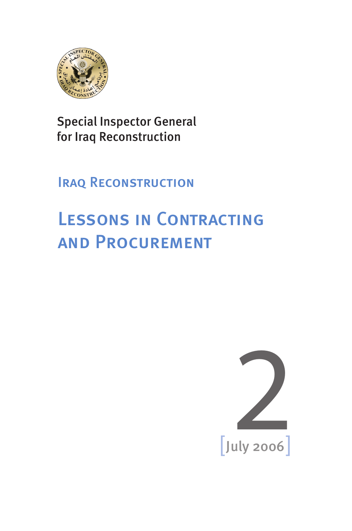

Special Inspector General for Iraq Reconstruction

# **IRAQ RECONSTRUCTION**

# Lessons in Contracting and Procurement

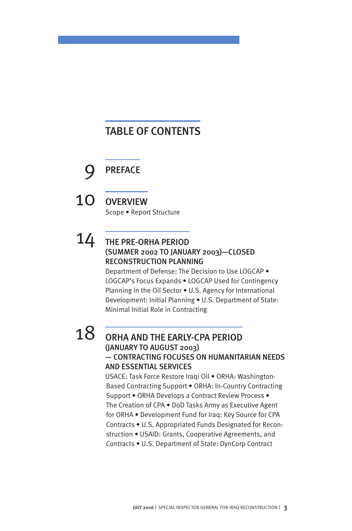### Table of Contents

- **PREFACE** 9
- **OVERVIEW**  $1<sub>O</sub>$

Scope • Report Structure

#### The Pre-ORHA Period (Summer 2002 to January 2003)—Closed Reconstruction Planning Department of Defense: The Decision to Use LOGCAP • 14

LOGCAP's Focus Expands • LOGCAP Used for Contingency Planning in the Oil Sector • U.S. Agency for International Development: Initial Planning • U.S. Department of State: Minimal Initial Role in Contracting

18

#### ORHA and The Early-CPA Period (January to August 2003) — Contracting focuses on Humanitarian Needs and Essential Services

USACE: Task Force Restore Iraqi Oil • ORHA: Washington-Based Contracting Support • ORHA: In-Country Contracting Support • ORHA Develops a Contract Review Process • The Creation of CPA • DoD Tasks Army as Executive Agent for ORHA • Development Fund for Iraq: Key Source for CPA Contracts • U.S. Appropriated Funds Designated for Reconstruction • USAID: Grants, Cooperative Agreements, and Contracts • U.S. Department of State: DynCorp Contract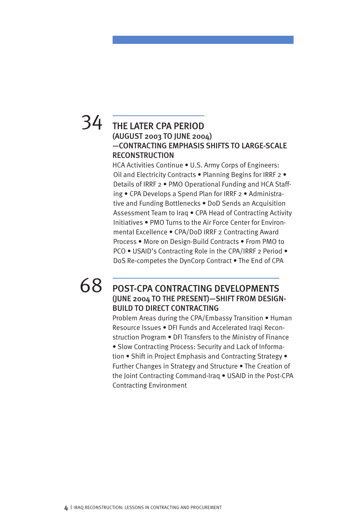#### The later CPA Period (August 2003 to June 2004) —Contracting Emphasis Shifts to Large-scale **RECONSTRUCTION** 34

HCA Activities Continue • U.S. Army Corps of Engineers: Oil and Electricity Contracts • Planning Begins for IRRF 2 • Details of IRRF 2 • PMO Operational Funding and HCA Staffing • CPA Develops a Spend Plan for IRRF 2 • Administrative and Funding Bottlenecks • DoD Sends an Acquisition Assessment Team to Iraq • CPA Head of Contracting Activity Initiatives • PMO Turns to the Air Force Center for Environmental Excellence • CPA/DoD IRRF 2 Contracting Award Process • More on Design-Build Contracts • From PMO to PCO • USAID's Contracting Role in the CPA/IRRF 2 Period • DoS Re-competes the DynCorp Contract • The End of CPA

# 68

#### Post-CPA Contracting Developments (June 2004 to the Present)—Shift from designbuild to direct contracting

Problem Areas during the CPA/Embassy Transition • Human Resource Issues • DFI Funds and Accelerated Iraqi Reconstruction Program • DFI Transfers to the Ministry of Finance • Slow Contracting Process: Security and Lack of Information • Shift in Project Emphasis and Contracting Strategy • Further Changes in Strategy and Structure • The Creation of the Joint Contracting Command-Iraq • USAID in the Post-CPA Contracting Environment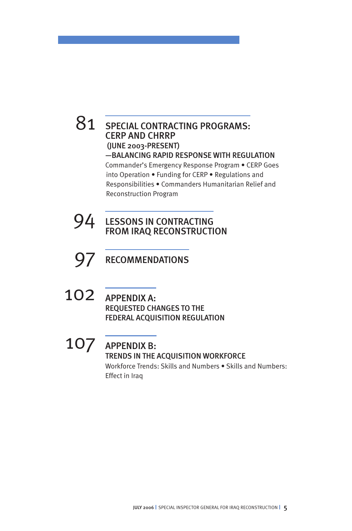#### 81 SPECIAL CONTRACTING PROGRAMS: CERP and CHRRP (June 2003-Present) —Balancing Rapid Response with Regulation Commander's Emergency Response Program • CERP Goes into Operation • Funding for CERP • Regulations and

Responsibilities • Commanders Humanitarian Relief and Reconstruction Program

# 94 LESSONS IN CONTRACTING FROM IRAO RECONSTRUCTION

- Recommendations 97
- 102 APPENDIX A: Requested Changes to the Federal Acquisition Regulation
- 107 APPENDIX B: Trends in the Acquisition Workforce Workforce Trends: Skills and Numbers • Skills and Numbers: Effect in Iraq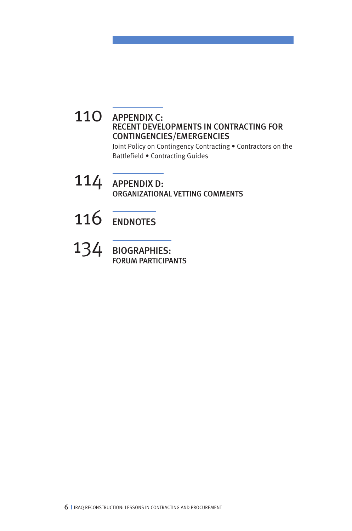#### 110 APPENDIX C: Recent Developments in Contracting for Contingencies/Emergencies Joint Policy on Contingency Contracting • Contractors on the

Battlefield • Contracting Guides

# $114$  Appendix D: Organizational Vetting Comments

- 116 ENDNOTES
- 134 BIOGRAPHIES: forum participants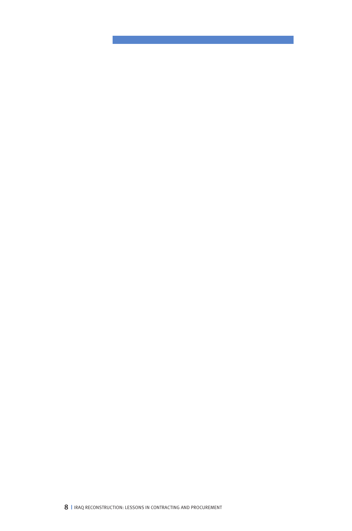8 | IRAQ RECONSTRUCTION: LESSONS IN CONTRACTING AND PROCUREMENT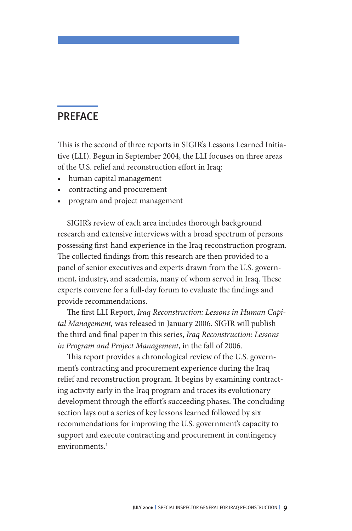#### **PRFFACF**

This is the second of three reports in SIGIR's Lessons Learned Initiative (LLI). Begun in September 2004, the LLI focuses on three areas of the U.S. relief and reconstruction effort in Iraq:

- human capital management
- contracting and procurement
- program and project management

SIGIR's review of each area includes thorough background research and extensive interviews with a broad spectrum of persons possessing first-hand experience in the Iraq reconstruction program. The collected findings from this research are then provided to a panel of senior executives and experts drawn from the U.S. government, industry, and academia, many of whom served in Iraq. These experts convene for a full-day forum to evaluate the findings and provide recommendations.

The first LLI Report, *Iraq Reconstruction: Lessons in Human Capital Management,* was released in January 2006. SIGIR will publish the third and final paper in this series, *Iraq Reconstruction: Lessons in Program and Project Management*, in the fall of 2006.

This report provides a chronological review of the U.S. government's contracting and procurement experience during the Iraq relief and reconstruction program. It begins by examining contracting activity early in the Iraq program and traces its evolutionary development through the effort's succeeding phases. The concluding section lays out a series of key lessons learned followed by six recommendations for improving the U.S. government's capacity to support and execute contracting and procurement in contingency environments.<sup>1</sup>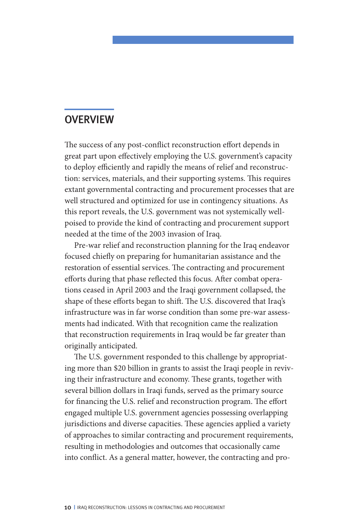#### **OVERVIEW**

The success of any post-conflict reconstruction effort depends in great part upon effectively employing the U.S. government's capacity to deploy efficiently and rapidly the means of relief and reconstruction: services, materials, and their supporting systems. This requires extant governmental contracting and procurement processes that are well structured and optimized for use in contingency situations. As this report reveals, the U.S. government was not systemically wellpoised to provide the kind of contracting and procurement support needed at the time of the 2003 invasion of Iraq.

Pre-war relief and reconstruction planning for the Iraq endeavor focused chiefly on preparing for humanitarian assistance and the restoration of essential services. The contracting and procurement efforts during that phase reflected this focus. After combat operations ceased in April 2003 and the Iraqi government collapsed, the shape of these efforts began to shift. The U.S. discovered that Iraq's infrastructure was in far worse condition than some pre-war assessments had indicated. With that recognition came the realization that reconstruction requirements in Iraq would be far greater than originally anticipated.

The U.S. government responded to this challenge by appropriating more than \$20 billion in grants to assist the Iraqi people in reviving their infrastructure and economy. These grants, together with several billion dollars in Iraqi funds, served as the primary source for financing the U.S. relief and reconstruction program. The effort engaged multiple U.S. government agencies possessing overlapping jurisdictions and diverse capacities. These agencies applied a variety of approaches to similar contracting and procurement requirements, resulting in methodologies and outcomes that occasionally came into conflict. As a general matter, however, the contracting and pro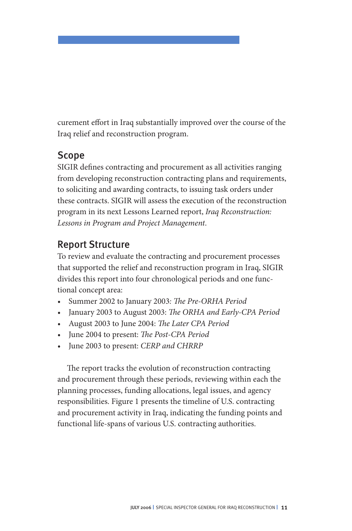curement effort in Iraq substantially improved over the course of the Iraq relief and reconstruction program.

#### Scope

SIGIR defines contracting and procurement as all activities ranging from developing reconstruction contracting plans and requirements, to soliciting and awarding contracts, to issuing task orders under these contracts. SIGIR will assess the execution of the reconstruction program in its next Lessons Learned report, *Iraq Reconstruction: Lessons in Program and Project Management*.

#### Report Structure

To review and evaluate the contracting and procurement processes that supported the relief and reconstruction program in Iraq, SIGIR divides this report into four chronological periods and one functional concept area:

- *•* Summer 2002 to January 2003*: The Pre-ORHA Period*
- *•* January 2003 to August 2003: *The ORHA and Early-CPA Period*
- *•* August 2003 to June 2004: *The Later CPA Period*
- *•* June 2004 to present: *The Post-CPA Period*
- *•* June 2003 to present: *CERP and CHRRP*

The report tracks the evolution of reconstruction contracting and procurement through these periods, reviewing within each the planning processes, funding allocations, legal issues, and agency responsibilities. Figure 1 presents the timeline of U.S. contracting and procurement activity in Iraq, indicating the funding points and functional life-spans of various U.S. contracting authorities.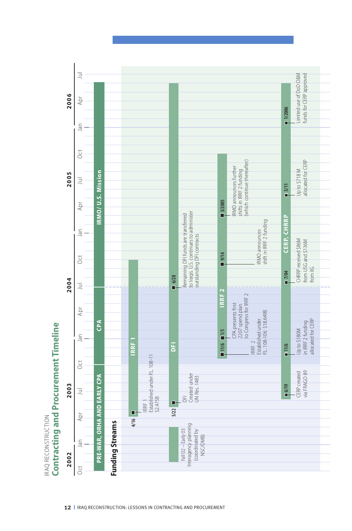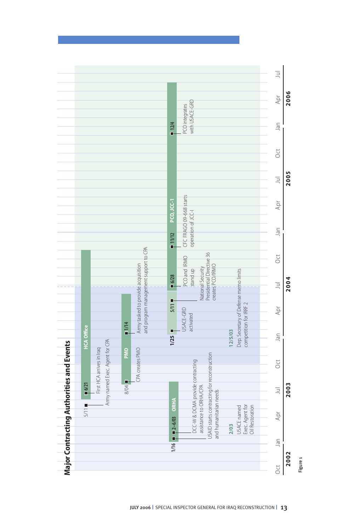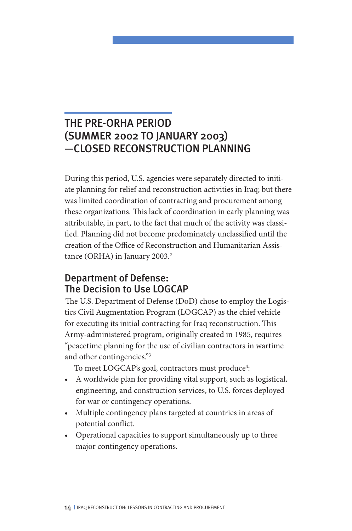# The Pre-ORHA Period (Summer 2002 to January 2003) —Closed Reconstruction Planning

During this period, U.S. agencies were separately directed to initiate planning for relief and reconstruction activities in Iraq; but there was limited coordination of contracting and procurement among these organizations. This lack of coordination in early planning was attributable, in part, to the fact that much of the activity was classified. Planning did not become predominately unclassified until the creation of the Office of Reconstruction and Humanitarian Assistance (ORHA) in January 2003.<sup>2</sup>

#### Department of Defense: The Decision to Use LOGCAP

The U.S. Department of Defense (DoD) chose to employ the Logistics Civil Augmentation Program (LOGCAP) as the chief vehicle for executing its initial contracting for Iraq reconstruction. This Army-administered program, originally created in 1985, requires "peacetime planning for the use of civilian contractors in wartime and other contingencies."3

To meet LOGCAP's goal, contractors must produce<sup>4</sup>:

- A worldwide plan for providing vital support, such as logistical, engineering, and construction services, to U.S. forces deployed for war or contingency operations.
- Multiple contingency plans targeted at countries in areas of potential conflict.
- Operational capacities to support simultaneously up to three major contingency operations.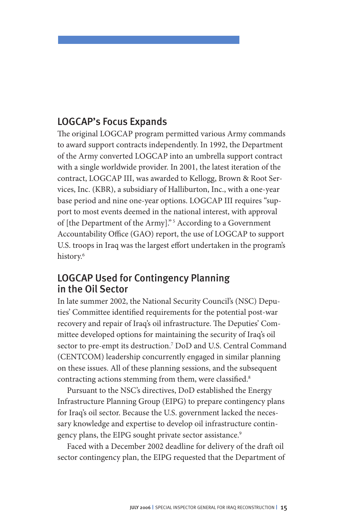#### LOGCAP's Focus Expands

The original LOGCAP program permitted various Army commands to award support contracts independently. In 1992, the Department of the Army converted LOGCAP into an umbrella support contract with a single worldwide provider. In 2001, the latest iteration of the contract, LOGCAP III, was awarded to Kellogg, Brown & Root Services, Inc. (KBR), a subsidiary of Halliburton, Inc., with a one-year base period and nine one-year options. LOGCAP III requires "support to most events deemed in the national interest, with approval of [the Department of the Army]." <sup>5</sup> According to a Government Accountability Office (GAO) report, the use of LOGCAP to support U.S. troops in Iraq was the largest effort undertaken in the program's history.<sup>6</sup>

#### LOGCAP Used for Contingency Planning in the Oil Sector

In late summer 2002, the National Security Council's (NSC) Deputies' Committee identified requirements for the potential post-war recovery and repair of Iraq's oil infrastructure. The Deputies' Committee developed options for maintaining the security of Iraq's oil sector to pre-empt its destruction.<sup>7</sup> DoD and U.S. Central Command (CENTCOM) leadership concurrently engaged in similar planning on these issues. All of these planning sessions, and the subsequent contracting actions stemming from them, were classified.<sup>8</sup>

Pursuant to the NSC's directives, DoD established the Energy Infrastructure Planning Group (EIPG) to prepare contingency plans for Iraq's oil sector. Because the U.S. government lacked the necessary knowledge and expertise to develop oil infrastructure contingency plans, the EIPG sought private sector assistance.<sup>9</sup>

Faced with a December 2002 deadline for delivery of the draft oil sector contingency plan, the EIPG requested that the Department of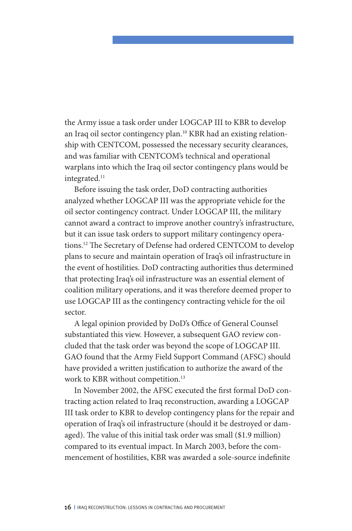the Army issue a task order under LOGCAP III to KBR to develop an Iraq oil sector contingency plan.10 KBR had an existing relationship with CENTCOM, possessed the necessary security clearances, and was familiar with CENTCOM's technical and operational warplans into which the Iraq oil sector contingency plans would be integrated.<sup>11</sup>

Before issuing the task order, DoD contracting authorities analyzed whether LOGCAP III was the appropriate vehicle for the oil sector contingency contract. Under LOGCAP III, the military cannot award a contract to improve another country's infrastructure, but it can issue task orders to support military contingency operations.12 The Secretary of Defense had ordered CENTCOM to develop plans to secure and maintain operation of Iraq's oil infrastructure in the event of hostilities. DoD contracting authorities thus determined that protecting Iraq's oil infrastructure was an essential element of coalition military operations, and it was therefore deemed proper to use LOGCAP III as the contingency contracting vehicle for the oil sector.

A legal opinion provided by DoD's Office of General Counsel substantiated this view. However, a subsequent GAO review concluded that the task order was beyond the scope of LOGCAP III. GAO found that the Army Field Support Command (AFSC) should have provided a written justification to authorize the award of the work to KBR without competition.<sup>13</sup>

In November 2002, the AFSC executed the first formal DoD contracting action related to Iraq reconstruction, awarding a LOGCAP III task order to KBR to develop contingency plans for the repair and operation of Iraq's oil infrastructure (should it be destroyed or damaged). The value of this initial task order was small (\$1.9 million) compared to its eventual impact. In March 2003, before the commencement of hostilities, KBR was awarded a sole-source indefinite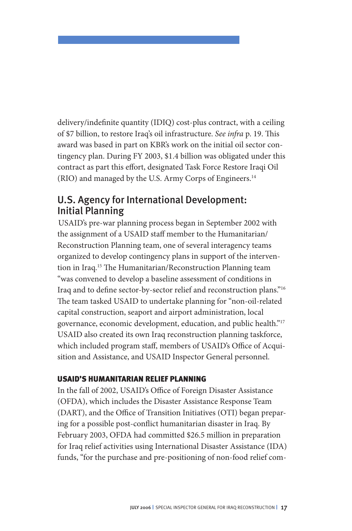delivery/indefinite quantity (IDIQ) cost-plus contract, with a ceiling of \$7 billion, to restore Iraq's oil infrastructure. *See infra* p. 19. This award was based in part on KBR's work on the initial oil sector contingency plan. During FY 2003, \$1.4 billion was obligated under this contract as part this effort, designated Task Force Restore Iraqi Oil (RIO) and managed by the U.S. Army Corps of Engineers.14

#### U.S. Agency for International Development: Initial Planning

USAID's pre-war planning process began in September 2002 with the assignment of a USAID staff member to the Humanitarian/ Reconstruction Planning team, one of several interagency teams organized to develop contingency plans in support of the intervention in Iraq.<sup>15</sup> The Humanitarian/Reconstruction Planning team "was convened to develop a baseline assessment of conditions in Iraq and to define sector-by-sector relief and reconstruction plans."16 The team tasked USAID to undertake planning for "non-oil-related capital construction, seaport and airport administration, local governance, economic development, education, and public health."17 USAID also created its own Iraq reconstruction planning taskforce, which included program staff, members of USAID's Office of Acquisition and Assistance, and USAID Inspector General personnel.

#### USAID's Humanitarian Relief Planning

In the fall of 2002, USAID's Office of Foreign Disaster Assistance (OFDA), which includes the Disaster Assistance Response Team (DART), and the Office of Transition Initiatives (OTI) began preparing for a possible post-conflict humanitarian disaster in Iraq. By February 2003, OFDA had committed \$26.5 million in preparation for Iraq relief activities using International Disaster Assistance (IDA) funds, "for the purchase and pre-positioning of non-food relief com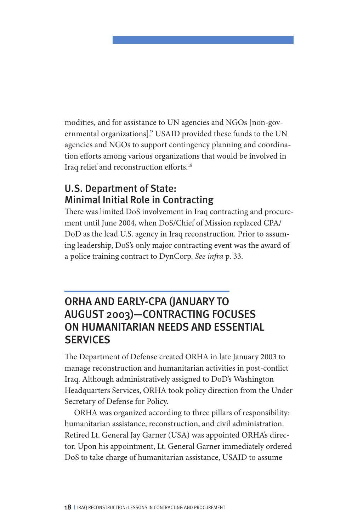modities, and for assistance to UN agencies and NGOs [non-governmental organizations]." USAID provided these funds to the UN agencies and NGOs to support contingency planning and coordination efforts among various organizations that would be involved in Iraq relief and reconstruction efforts.18

#### U.S. Department of State: Minimal Initial Role in Contracting

There was limited DoS involvement in Iraq contracting and procurement until June 2004, when DoS/Chief of Mission replaced CPA/ DoD as the lead U.S. agency in Iraq reconstruction. Prior to assuming leadership, DoS's only major contracting event was the award of a police training contract to DynCorp. *See infra* p. 33.

## ORHA and Early-CPA (January to August 2003)—contracting FOCuses on Humanitarian Needs and Essential **SERVICES**

The Department of Defense created ORHA in late January 2003 to manage reconstruction and humanitarian activities in post-conflict Iraq. Although administratively assigned to DoD's Washington Headquarters Services, ORHA took policy direction from the Under Secretary of Defense for Policy.

ORHA was organized according to three pillars of responsibility: humanitarian assistance, reconstruction, and civil administration. Retired Lt. General Jay Garner (USA) was appointed ORHA's director. Upon his appointment, Lt. General Garner immediately ordered DoS to take charge of humanitarian assistance, USAID to assume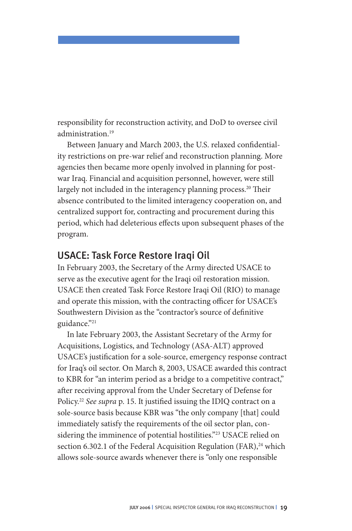responsibility for reconstruction activity, and DoD to oversee civil administration.<sup>19</sup>

Between January and March 2003, the U.S. relaxed confidentiality restrictions on pre-war relief and reconstruction planning. More agencies then became more openly involved in planning for postwar Iraq. Financial and acquisition personnel, however, were still largely not included in the interagency planning process.<sup>20</sup> Their absence contributed to the limited interagency cooperation on, and centralized support for, contracting and procurement during this period, which had deleterious effects upon subsequent phases of the program.

#### USACE: Task Force Restore Iraqi Oil

In February 2003, the Secretary of the Army directed USACE to serve as the executive agent for the Iraqi oil restoration mission. USACE then created Task Force Restore Iraqi Oil (RIO) to manage and operate this mission, with the contracting officer for USACE's Southwestern Division as the "contractor's source of definitive guidance."21

In late February 2003, the Assistant Secretary of the Army for Acquisitions, Logistics, and Technology (ASA-ALT) approved USACE's justification for a sole-source, emergency response contract for Iraq's oil sector. On March 8, 2003, USACE awarded this contract to KBR for "an interim period as a bridge to a competitive contract," after receiving approval from the Under Secretary of Defense for Policy.22 *See supra* p. 15. It justified issuing the IDIQ contract on a sole-source basis because KBR was "the only company [that] could immediately satisfy the requirements of the oil sector plan, considering the imminence of potential hostilities."<sup>23</sup> USACE relied on section 6.302.1 of the Federal Acquisition Regulation (FAR), $^{24}$  which allows sole-source awards whenever there is "only one responsible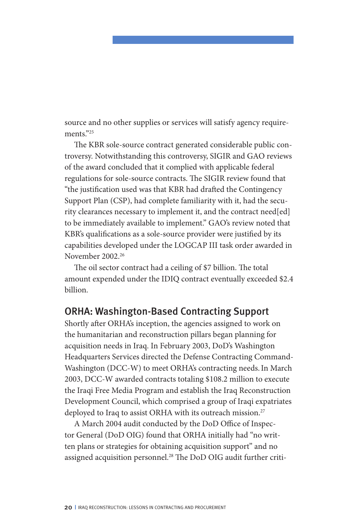source and no other supplies or services will satisfy agency requirements."25

The KBR sole-source contract generated considerable public controversy. Notwithstanding this controversy, SIGIR and GAO reviews of the award concluded that it complied with applicable federal regulations for sole-source contracts. The SIGIR review found that "the justification used was that KBR had drafted the Contingency Support Plan (CSP), had complete familiarity with it, had the security clearances necessary to implement it, and the contract need[ed] to be immediately available to implement." GAO's review noted that KBR's qualifications as a sole-source provider were justified by its capabilities developed under the LOGCAP III task order awarded in November 2002.26

The oil sector contract had a ceiling of \$7 billion. The total amount expended under the IDIQ contract eventually exceeded \$2.4 billion.

#### ORHA: Washington-Based Contracting Support

Shortly after ORHA's inception, the agencies assigned to work on the humanitarian and reconstruction pillars began planning for acquisition needs in Iraq. In February 2003, DoD's Washington Headquarters Services directed the Defense Contracting Command-Washington (DCC-W) to meet ORHA's contracting needs.In March 2003, DCC-W awarded contracts totaling \$108.2 million to execute the Iraqi Free Media Program and establish the Iraq Reconstruction Development Council, which comprised a group of Iraqi expatriates deployed to Iraq to assist ORHA with its outreach mission.<sup>27</sup>

A March 2004 audit conducted by the DoD Office of Inspector General (DoD OIG) found that ORHA initially had "no written plans or strategies for obtaining acquisition support" and no assigned acquisition personnel.<sup>28</sup> The DoD OIG audit further criti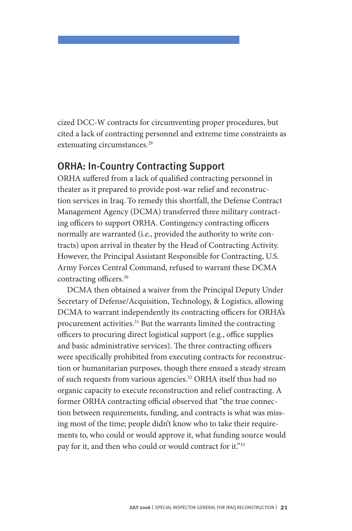cized DCC-W contracts for circumventing proper procedures, but cited a lack of contracting personnel and extreme time constraints as extenuating circumstances.<sup>29</sup>

#### ORHA: In-Country Contracting Support

ORHA suffered from a lack of qualified contracting personnel in theater as it prepared to provide post-war relief and reconstruction services in Iraq. To remedy this shortfall, the Defense Contract Management Agency (DCMA) transferred three military contracting officers to support ORHA. Contingency contracting officers normally are warranted (i.e., provided the authority to write contracts) upon arrival in theater by the Head of Contracting Activity. However, the Principal Assistant Responsible for Contracting, U.S. Army Forces Central Command, refused to warrant these DCMA contracting officers.30

DCMA then obtained a waiver from the Principal Deputy Under Secretary of Defense/Acquisition, Technology, & Logistics, allowing DCMA to warrant independently its contracting officers for ORHA's procurement activities.<sup>31</sup> But the warrants limited the contracting officers to procuring direct logistical support (e.g., office supplies and basic administrative services). The three contracting officers were specifically prohibited from executing contracts for reconstruction or humanitarian purposes, though there ensued a steady stream of such requests from various agencies.32 ORHA itself thus had no organic capacity to execute reconstruction and relief contracting. A former ORHA contracting official observed that "the true connection between requirements, funding, and contracts is what was missing most of the time; people didn't know who to take their requirements to, who could or would approve it, what funding source would pay for it, and then who could or would contract for it."33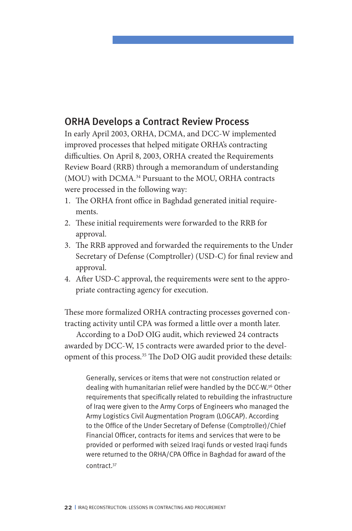#### ORHA Develops a Contract Review Process

In early April 2003, ORHA, DCMA, and DCC-W implemented improved processes that helped mitigate ORHA's contracting difficulties. On April 8, 2003, ORHA created the Requirements Review Board (RRB) through a memorandum of understanding (MOU) with DCMA.34 Pursuant to the MOU, ORHA contracts were processed in the following way:

- 1. The ORHA front office in Baghdad generated initial requirements.
- 2. These initial requirements were forwarded to the RRB for approval.
- 3. The RRB approved and forwarded the requirements to the Under Secretary of Defense (Comptroller) (USD-C) for final review and approval.
- 4. After USD-C approval, the requirements were sent to the appropriate contracting agency for execution.

These more formalized ORHA contracting processes governed contracting activity until CPA was formed a little over a month later.

 According to a DoD OIG audit, which reviewed 24 contracts awarded by DCC-W, 15 contracts were awarded prior to the development of this process.<sup>35</sup> The DoD OIG audit provided these details:

Generally, services or items that were not construction related or dealing with humanitarian relief were handled by the DCC-W.36 Other requirements that specifically related to rebuilding the infrastructure of Iraq were given to the Army Corps of Engineers who managed the Army Logistics Civil Augmentation Program (LOGCAP). According to the Office of the Under Secretary of Defense (Comptroller)/Chief Financial Officer, contracts for items and services that were to be provided or performed with seized Iraqi funds or vested Iraqi funds were returned to the ORHA/CPA Office in Baghdad for award of the contract.37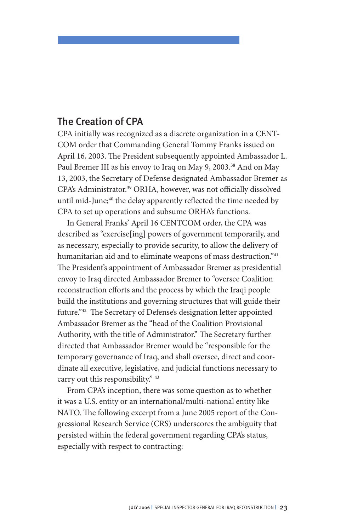#### The Creation of CPA

CPA initially was recognized as a discrete organization in a CENT-COM order that Commanding General Tommy Franks issued on April 16, 2003. The President subsequently appointed Ambassador L. Paul Bremer III as his envoy to Iraq on May 9, 2003.<sup>38</sup> And on May 13, 2003, the Secretary of Defense designated Ambassador Bremer as CPA's Administrator.<sup>39</sup> ORHA, however, was not officially dissolved until mid-June;<sup>40</sup> the delay apparently reflected the time needed by CPA to set up operations and subsume ORHA's functions.

In General Franks' April 16 CENTCOM order, the CPA was described as "exercise[ing] powers of government temporarily, and as necessary, especially to provide security, to allow the delivery of humanitarian aid and to eliminate weapons of mass destruction."<sup>41</sup> The President's appointment of Ambassador Bremer as presidential envoy to Iraq directed Ambassador Bremer to "oversee Coalition reconstruction efforts and the process by which the Iraqi people build the institutions and governing structures that will guide their future."42 The Secretary of Defense's designation letter appointed Ambassador Bremer as the "head of the Coalition Provisional Authority, with the title of Administrator." The Secretary further directed that Ambassador Bremer would be "responsible for the temporary governance of Iraq, and shall oversee, direct and coordinate all executive, legislative, and judicial functions necessary to carry out this responsibility." 43

From CPA's inception, there was some question as to whether it was a U.S. entity or an international/multi-national entity like NATO. The following excerpt from a June 2005 report of the Congressional Research Service (CRS) underscores the ambiguity that persisted within the federal government regarding CPA's status, especially with respect to contracting: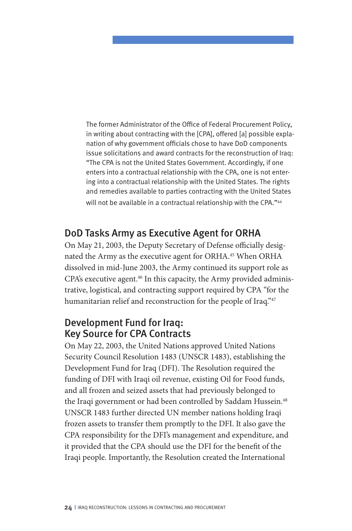The former Administrator of the Office of Federal Procurement Policy, in writing about contracting with the [CPA], offered [a] possible explanation of why government officials chose to have DoD components issue solicitations and award contracts for the reconstruction of Iraq: "The CPA is not the United States Government. Accordingly, if one enters into a contractual relationship with the CPA, one is not entering into a contractual relationship with the United States. The rights and remedies available to parties contracting with the United States will not be available in a contractual relationship with the CPA."44

#### DoD Tasks Army as Executive Agent for ORHA

On May 21, 2003, the Deputy Secretary of Defense officially designated the Army as the executive agent for ORHA.<sup>45</sup> When ORHA dissolved in mid-June 2003, the Army continued its support role as CPA's executive agent.<sup>46</sup> In this capacity, the Army provided administrative, logistical, and contracting support required by CPA "for the humanitarian relief and reconstruction for the people of Iraq."47

#### Development Fund for Iraq: Key Source for CPA Contracts

On May 22, 2003, the United Nations approved United Nations Security Council Resolution 1483 (UNSCR 1483), establishing the Development Fund for Iraq (DFI). The Resolution required the funding of DFI with Iraqi oil revenue, existing Oil for Food funds, and all frozen and seized assets that had previously belonged to the Iraqi government or had been controlled by Saddam Hussein.<sup>48</sup> UNSCR 1483 further directed UN member nations holding Iraqi frozen assets to transfer them promptly to the DFI. It also gave the CPA responsibility for the DFI's management and expenditure, and it provided that the CPA should use the DFI for the benefit of the Iraqi people. Importantly, the Resolution created the International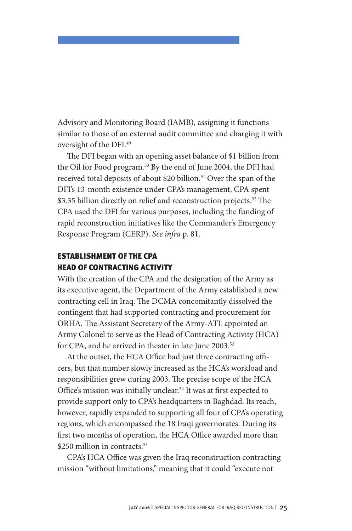Advisory and Monitoring Board (IAMB), assigning it functions similar to those of an external audit committee and charging it with oversight of the DFI.49

The DFI began with an opening asset balance of \$1 billion from the Oil for Food program.50 By the end of June 2004, the DFI had received total deposits of about \$20 billion.<sup>51</sup> Over the span of the DFI's 13-month existence under CPA's management, CPA spent \$3.35 billion directly on relief and reconstruction projects.<sup>52</sup> The CPA used the DFI for various purposes, including the funding of rapid reconstruction initiatives like the Commander's Emergency Response Program (CERP). *See infra* p. 81.

#### Establishment of the CPA Head of Contracting Activity

With the creation of the CPA and the designation of the Army as its executive agent, the Department of the Army established a new contracting cell in Iraq. The DCMA concomitantly dissolved the contingent that had supported contracting and procurement for ORHA. The Assistant Secretary of the Army-ATL appointed an Army Colonel to serve as the Head of Contracting Activity (HCA) for CPA, and he arrived in theater in late June 2003.<sup>53</sup>

At the outset, the HCA Office had just three contracting officers, but that number slowly increased as the HCA's workload and responsibilities grew during 2003. The precise scope of the HCA Office's mission was initially unclear.<sup>54</sup> It was at first expected to provide support only to CPA's headquarters in Baghdad. Its reach, however, rapidly expanded to supporting all four of CPA's operating regions, which encompassed the 18 Iraqi governorates. During its first two months of operation, the HCA Office awarded more than \$250 million in contracts.<sup>55</sup>

CPA's HCA Office was given the Iraq reconstruction contracting mission "without limitations," meaning that it could "execute not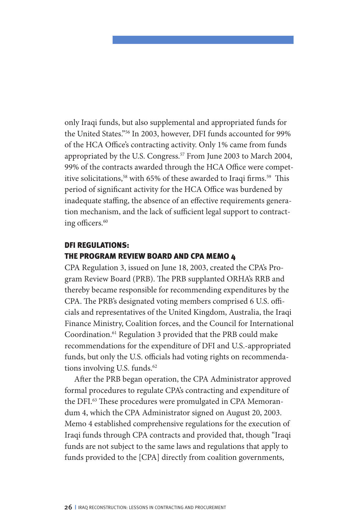only Iraqi funds, but also supplemental and appropriated funds for the United States."56 In 2003, however, DFI funds accounted for 99% of the HCA Office's contracting activity. Only 1% came from funds appropriated by the U.S. Congress.<sup>57</sup> From June 2003 to March 2004, 99% of the contracts awarded through the HCA Office were competitive solicitations,<sup>58</sup> with 65% of these awarded to Iraqi firms.<sup>59</sup> This period of significant activity for the HCA Office was burdened by inadequate staffing, the absence of an effective requirements generation mechanism, and the lack of sufficient legal support to contracting officers.<sup>60</sup>

#### DFI Regulations: the Program Review Board and CPA Memo 4

CPA Regulation 3, issued on June 18, 2003, created the CPA's Program Review Board (PRB). The PRB supplanted ORHA's RRB and thereby became responsible for recommending expenditures by the CPA. The PRB's designated voting members comprised 6 U.S. officials and representatives of the United Kingdom, Australia, the Iraqi Finance Ministry, Coalition forces, and the Council for International Coordination.61 Regulation 3 provided that the PRB could make recommendations for the expenditure of DFI and U.S.-appropriated funds, but only the U.S. officials had voting rights on recommendations involving U.S. funds.<sup>62</sup>

After the PRB began operation, the CPA Administrator approved formal procedures to regulate CPA's contracting and expenditure of the DFI.<sup>63</sup> These procedures were promulgated in CPA Memorandum 4, which the CPA Administrator signed on August 20, 2003. Memo 4 established comprehensive regulations for the execution of Iraqi funds through CPA contracts and provided that, though "Iraqi funds are not subject to the same laws and regulations that apply to funds provided to the [CPA] directly from coalition governments,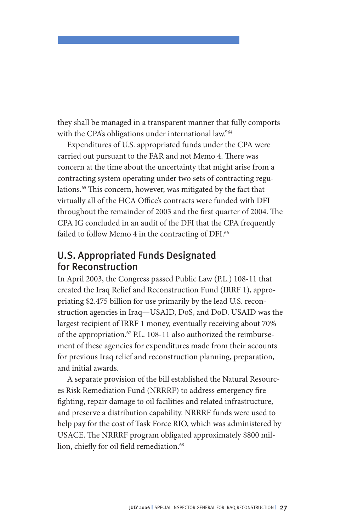they shall be managed in a transparent manner that fully comports with the CPA's obligations under international law."64

Expenditures of U.S. appropriated funds under the CPA were carried out pursuant to the FAR and not Memo 4. There was concern at the time about the uncertainty that might arise from a contracting system operating under two sets of contracting regulations.<sup>65</sup> This concern, however, was mitigated by the fact that virtually all of the HCA Office's contracts were funded with DFI throughout the remainder of 2003 and the first quarter of 2004. The CPA IG concluded in an audit of the DFI that the CPA frequently failed to follow Memo 4 in the contracting of DFI.<sup>66</sup>

#### U.S. Appropriated Funds Designated for Reconstruction

In April 2003, the Congress passed Public Law (P.L.) 108-11 that created the Iraq Relief and Reconstruction Fund (IRRF 1), appropriating \$2.475 billion for use primarily by the lead U.S. reconstruction agencies in Iraq—USAID, DoS, and DoD. USAID was the largest recipient of IRRF 1 money, eventually receiving about 70% of the appropriation.<sup>67</sup> P.L. 108-11 also authorized the reimbursement of these agencies for expenditures made from their accounts for previous Iraq relief and reconstruction planning, preparation, and initial awards.

A separate provision of the bill established the Natural Resources Risk Remediation Fund (NRRRF) to address emergency fire fighting, repair damage to oil facilities and related infrastructure, and preserve a distribution capability. NRRRF funds were used to help pay for the cost of Task Force RIO, which was administered by USACE. The NRRRF program obligated approximately \$800 million, chiefly for oil field remediation.<sup>68</sup>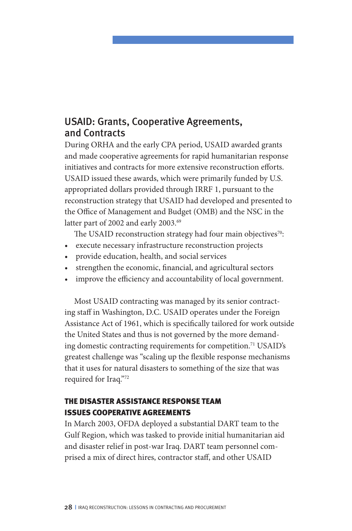#### USAID: Grants, Cooperative Agreements, and Contracts

During ORHA and the early CPA period, USAID awarded grants and made cooperative agreements for rapid humanitarian response initiatives and contracts for more extensive reconstruction efforts. USAID issued these awards, which were primarily funded by U.S. appropriated dollars provided through IRRF 1, pursuant to the reconstruction strategy that USAID had developed and presented to the Office of Management and Budget (OMB) and the NSC in the latter part of 2002 and early 2003.<sup>69</sup>

The USAID reconstruction strategy had four main objectives<sup>70</sup>:

- execute necessary infrastructure reconstruction projects
- provide education, health, and social services
- strengthen the economic, financial, and agricultural sectors
- improve the efficiency and accountability of local government.

Most USAID contracting was managed by its senior contracting staff in Washington, D.C. USAID operates under the Foreign Assistance Act of 1961, which is specifically tailored for work outside the United States and thus is not governed by the more demanding domestic contracting requirements for competition.<sup>71</sup> USAID's greatest challenge was "scaling up the flexible response mechanisms that it uses for natural disasters to something of the size that was required for Iraq."72

#### The Disaster Assistance Response Team Issues Cooperative Agreements

In March 2003, OFDA deployed a substantial DART team to the Gulf Region, which was tasked to provide initial humanitarian aid and disaster relief in post-war Iraq. DART team personnel comprised a mix of direct hires, contractor staff, and other USAID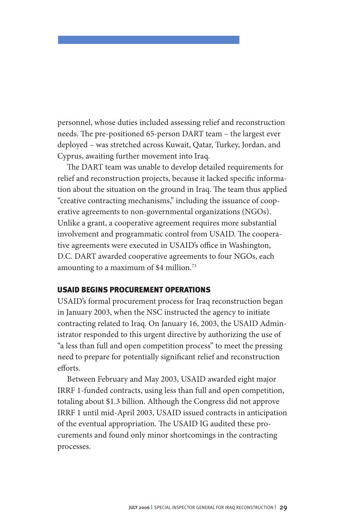personnel, whose duties included assessing relief and reconstruction needs. The pre-positioned 65-person DART team – the largest ever deployed – was stretched across Kuwait, Qatar, Turkey, Jordan, and Cyprus, awaiting further movement into Iraq.

The DART team was unable to develop detailed requirements for relief and reconstruction projects, because it lacked specific information about the situation on the ground in Iraq. The team thus applied "creative contracting mechanisms," including the issuance of cooperative agreements to non-governmental organizations (NGOs). Unlike a grant, a cooperative agreement requires more substantial involvement and programmatic control from USAID. The cooperative agreements were executed in USAID's office in Washington, D.C. DART awarded cooperative agreements to four NGOs, each amounting to a maximum of \$4 million.73

#### USAID Begins Procurement Operations

USAID's formal procurement process for Iraq reconstruction began in January 2003, when the NSC instructed the agency to initiate contracting related to Iraq. On January 16, 2003, the USAID Administrator responded to this urgent directive by authorizing the use of "a less than full and open competition process" to meet the pressing need to prepare for potentially significant relief and reconstruction efforts.

Between February and May 2003, USAID awarded eight major IRRF 1-funded contracts, using less than full and open competition, totaling about \$1.3 billion. Although the Congress did not approve IRRF 1 until mid-April 2003, USAID issued contracts in anticipation of the eventual appropriation. The USAID IG audited these procurements and found only minor shortcomings in the contracting processes.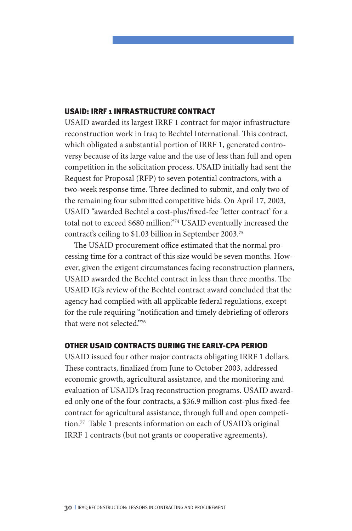#### USAID: IRRF 1 INFRASTRUCTURE CONTRACT

USAID awarded its largest IRRF 1 contract for major infrastructure reconstruction work in Iraq to Bechtel International. This contract, which obligated a substantial portion of IRRF 1, generated controversy because of its large value and the use of less than full and open competition in the solicitation process. USAID initially had sent the Request for Proposal (RFP) to seven potential contractors, with a two-week response time. Three declined to submit, and only two of the remaining four submitted competitive bids. On April 17, 2003, USAID "awarded Bechtel a cost-plus/fixed-fee 'letter contract' for a total not to exceed \$680 million."74 USAID eventually increased the contract's ceiling to \$1.03 billion in September 2003.75

The USAID procurement office estimated that the normal processing time for a contract of this size would be seven months. However, given the exigent circumstances facing reconstruction planners, USAID awarded the Bechtel contract in less than three months. The USAID IG's review of the Bechtel contract award concluded that the agency had complied with all applicable federal regulations, except for the rule requiring "notification and timely debriefing of offerors that were not selected."76

#### Other USAID Contracts during the Early-CPA Period

USAID issued four other major contracts obligating IRRF 1 dollars. These contracts, finalized from June to October 2003, addressed economic growth, agricultural assistance, and the monitoring and evaluation of USAID's Iraq reconstruction programs. USAID awarded only one of the four contracts, a \$36.9 million cost-plus fixed-fee contract for agricultural assistance, through full and open competition.77 Table 1 presents information on each of USAID's original IRRF 1 contracts (but not grants or cooperative agreements).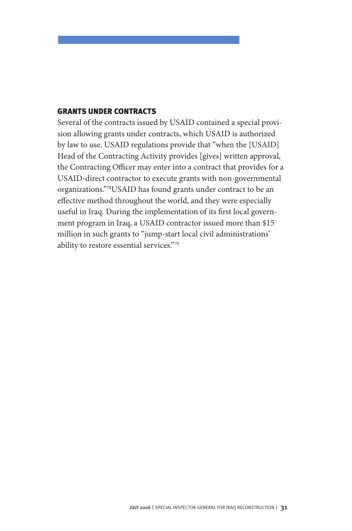#### Grants under Contracts

Several of the contracts issued by USAID contained a special provision allowing grants under contracts, which USAID is authorized by law to use. USAID regulations provide that "when the [USAID] Head of the Contracting Activity provides [gives] written approval, the Contracting Officer may enter into a contract that provides for a USAID-direct contractor to execute grants with non-governmental organizations."78USAID has found grants under contract to be an effective method throughout the world, and they were especially useful in Iraq. During the implementation of its first local government program in Iraq, a USAID contractor issued more than \$15 million in such grants to "jump-start local civil administrations' ability to restore essential services."79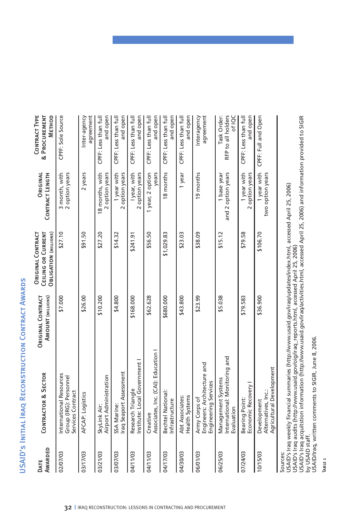# USAID'S INITIAL IRAQ RECONSTRUCTION CONTRACT AWARDS USAID's Initial Iraq Reconstruction Contract Awards

| AWARDED<br>DATE | <b>CONTRACTOR &amp; SECTOR</b>                                        | ORIGINAL CONTRACT<br>AMOUNT (MILLIONS) | CEILING OR CURRENT<br>ORIGINAL CONTRACT<br>OBLIGATION (MILLIONS) | ORIGINAL<br>CONTRACT LENGTH       | <b>CONTRACT TYPE</b><br>& PROCUREMENT<br>МЕТНОВ |
|-----------------|-----------------------------------------------------------------------|----------------------------------------|------------------------------------------------------------------|-----------------------------------|-------------------------------------------------|
| 02/07/03        | nternational Resources<br>Group (IRG): Personnel<br>Services Contract | \$7.000                                | \$27.10                                                          | 3 month, with<br>2 option years   | CPFF: Sole Source                               |
| 03/17/03        | AFCAP: Logistics                                                      | \$26.00                                | \$91.50                                                          | 2 years                           | agreement<br>Inter-agency                       |
| 03/21/03        | Airport Administration<br>SkyLink Air:                                | \$10.200                               | \$27.20                                                          | 18 months, with<br>2 option years | and open<br>CPFF: Less than full                |
| 3/07/03         | Iraq Seaport Assessment<br>SSA Marine:                                | \$4.800                                | \$14.32                                                          | 1 year with<br>2 option years     | and open<br>CPFF: Less than full                |
| 20/11/03        | Institute: Local Government I<br>Research Triangle                    | \$168.000                              | \$241.91                                                         | I year, with<br>2 option years    | and open<br>CPFF: Less than full                |
| 04/11/03        | Associates, Inc. (CAI): Education I<br>Creative                       | \$62.628                               | \$56.50                                                          | 1 year, 2 option<br>years         | and open<br>CPFF: Less than full                |
| 24/17/03        | Bechtel National:<br>Infrastructure                                   | \$680.000                              | \$1,029.83                                                       | 18 months                         | and open<br>CPFF: Less than full                |
| 04/30/03        | Health Systems<br>Abt Associates:                                     | \$43.800                               | \$23.03                                                          | 1 year                            | and open<br>CPFF: Less than full                |
| 36/01/03        | Engineers: Architecture and<br>Engineering Services<br>Army Corps of  | \$23.99                                | \$38.09                                                          | 19 months                         | agreement<br>Interagency                        |
| 06/25/03        | International: Monitoring and<br>Management Systems<br>Evaluation     | \$5.038                                | \$15.12                                                          | and 2 option years<br>1 base year | RFP to all holders<br>of IQC<br>Task Order:     |
| 07/24/03        | Economic Recovery I<br>Bearing Point:                                 | \$79.583                               | \$79.58                                                          | 1 year with<br>2 option years     | and open<br>CPFF: Less than full                |
| 10/15/03        | Agricultural Development<br>Alternatives, Inc.:<br>Development        | \$36.900                               | \$106.70                                                         | 1 year with<br>two option years   | CPFF: Full and Open                             |
| הווירפכי        |                                                                       |                                        |                                                                  |                                   |                                                 |

Sources:

שטענפא.<br>USAID's Iraq weekly financial summaries (http://www.usaid.gov/iraq/updates/index.html, accessed April 25, 2006)<br>על האינטיקאי האינטיקאי האינטיקאי האינטיקאי האינטיקאי האינטיקאי האינטיקאי האינטיקאי האינטיקאי האינטיקא USAID's Iraq weekly financial summaries (http://www.usaid.gov/iraq/updates/index.html, accessed April 25, 2006)

USAID's Iraq audits (http://www.usaid.gov/oig/iraq\_reports.html, accessed April 25, 2006)

USAID's Iraq audits (http://www.usaid.gov/oig/iraq\_reports.html, accessed April 25, 2006)<br>USAID's Iraq acquitstion information (http://www.usaid.gov/iraq/activities.html, accessed April 25, 2006) and information provided t USAID's Iraq acquitstion information (http://www.usaid.gov/iraq/activities.html, accessed April 25, 2006) and information provided to SIGIR by USAID staff.

USAID/Iraq, written comments to SIGIR, June 8, 2006. USAID/Iraq, written comments to SIGIR, June 8, 2006.

TABLE<sub>1</sub>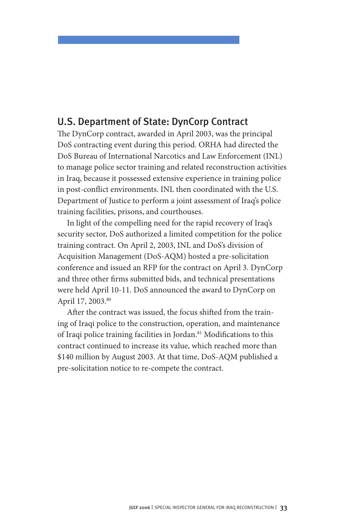#### U.S. Department of State: DynCorp Contract

The DynCorp contract, awarded in April 2003, was the principal DoS contracting event during this period. ORHA had directed the DoS Bureau of International Narcotics and Law Enforcement (INL) to manage police sector training and related reconstruction activities in Iraq, because it possessed extensive experience in training police in post-conflict environments. INL then coordinated with the U.S. Department of Justice to perform a joint assessment of Iraq's police training facilities, prisons, and courthouses.

In light of the compelling need for the rapid recovery of Iraq's security sector, DoS authorized a limited competition for the police training contract. On April 2, 2003, INL and DoS's division of Acquisition Management (DoS-AQM) hosted a pre-solicitation conference and issued an RFP for the contract on April 3. DynCorp and three other firms submitted bids, and technical presentations were held April 10-11. DoS announced the award to DynCorp on April 17, 2003.80

After the contract was issued, the focus shifted from the training of Iraqi police to the construction, operation, and maintenance of Iraqi police training facilities in Jordan.<sup>81</sup> Modifications to this contract continued to increase its value, which reached more than \$140 million by August 2003. At that time, DoS-AQM published a pre-solicitation notice to re-compete the contract.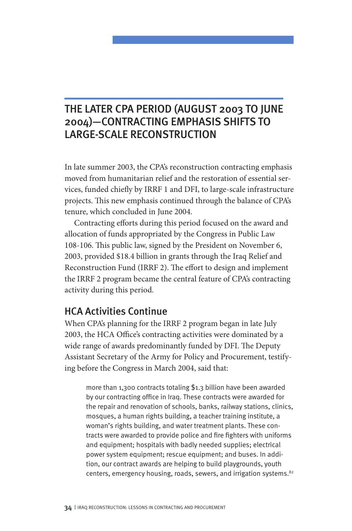## The later CPA Period (august 2003 to June 2004)—contracting Emphasis Shifts to Large-Scale Reconstruction

In late summer 2003, the CPA's reconstruction contracting emphasis moved from humanitarian relief and the restoration of essential services, funded chiefly by IRRF 1 and DFI, to large-scale infrastructure projects. This new emphasis continued through the balance of CPA's tenure, which concluded in June 2004.

Contracting efforts during this period focused on the award and allocation of funds appropriated by the Congress in Public Law 108-106. This public law, signed by the President on November 6, 2003, provided \$18.4 billion in grants through the Iraq Relief and Reconstruction Fund (IRRF 2). The effort to design and implement the IRRF 2 program became the central feature of CPA's contracting activity during this period.

#### HCA Activities Continue

When CPA's planning for the IRRF 2 program began in late July 2003, the HCA Office's contracting activities were dominated by a wide range of awards predominantly funded by DFI. The Deputy Assistant Secretary of the Army for Policy and Procurement, testifying before the Congress in March 2004, said that:

more than 1,300 contracts totaling \$1.3 billion have been awarded by our contracting office in Iraq. These contracts were awarded for the repair and renovation of schools, banks, railway stations, clinics, mosques, a human rights building, a teacher training institute, a woman's rights building, and water treatment plants. These contracts were awarded to provide police and fire fighters with uniforms and equipment; hospitals with badly needed supplies; electrical power system equipment; rescue equipment; and buses. In addition, our contract awards are helping to build playgrounds, youth centers, emergency housing, roads, sewers, and irrigation systems.<sup>82</sup>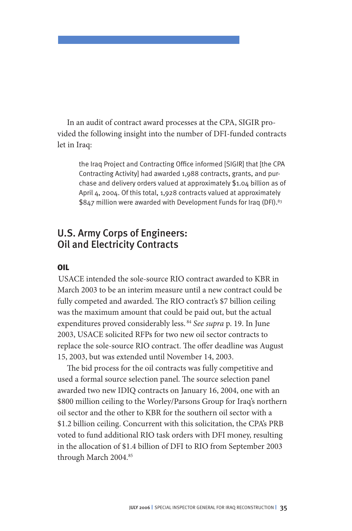In an audit of contract award processes at the CPA, SIGIR provided the following insight into the number of DFI-funded contracts let in Iraq:

the Iraq Project and Contracting Office informed [SIGIR] that [the CPA Contracting Activity] had awarded 1,988 contracts, grants, and purchase and delivery orders valued at approximately \$1.04 billion as of April 4, 2004. Of this total, 1,928 contracts valued at approximately \$847 million were awarded with Development Funds for Iraq (DFI).<sup>83</sup>

#### U.S. Army Corps of Engineers: Oil and Electricity Contracts

#### **OIL**

USACE intended the sole-source RIO contract awarded to KBR in March 2003 to be an interim measure until a new contract could be fully competed and awarded. The RIO contract's \$7 billion ceiling was the maximum amount that could be paid out, but the actual expenditures proved considerably less. <sup>84</sup> *See supra* p. 19. In June 2003, USACE solicited RFPs for two new oil sector contracts to replace the sole-source RIO contract. The offer deadline was August 15, 2003, but was extended until November 14, 2003.

The bid process for the oil contracts was fully competitive and used a formal source selection panel. The source selection panel awarded two new IDIQ contracts on January 16, 2004, one with an \$800 million ceiling to the Worley/Parsons Group for Iraq's northern oil sector and the other to KBR for the southern oil sector with a \$1.2 billion ceiling. Concurrent with this solicitation, the CPA's PRB voted to fund additional RIO task orders with DFI money, resulting in the allocation of \$1.4 billion of DFI to RIO from September 2003 through March 2004.<sup>85</sup>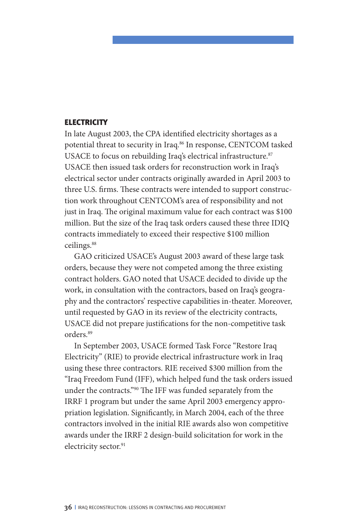#### **ELECTRICITY**

In late August 2003, the CPA identified electricity shortages as a potential threat to security in Iraq.<sup>86</sup> In response, CENTCOM tasked USACE to focus on rebuilding Iraq's electrical infrastructure.<sup>87</sup> USACE then issued task orders for reconstruction work in Iraq's electrical sector under contracts originally awarded in April 2003 to three U.S. firms. These contracts were intended to support construction work throughout CENTCOM's area of responsibility and not just in Iraq. The original maximum value for each contract was \$100 million. But the size of the Iraq task orders caused these three IDIQ contracts immediately to exceed their respective \$100 million ceilings.88

GAO criticized USACE's August 2003 award of these large task orders, because they were not competed among the three existing contract holders. GAO noted that USACE decided to divide up the work, in consultation with the contractors, based on Iraq's geography and the contractors' respective capabilities in-theater. Moreover, until requested by GAO in its review of the electricity contracts, USACE did not prepare justifications for the non-competitive task orders.89

In September 2003, USACE formed Task Force "Restore Iraq Electricity" (RIE) to provide electrical infrastructure work in Iraq using these three contractors. RIE received \$300 million from the "Iraq Freedom Fund (IFF), which helped fund the task orders issued under the contracts."90 The IFF was funded separately from the IRRF 1 program but under the same April 2003 emergency appropriation legislation. Significantly, in March 2004, each of the three contractors involved in the initial RIE awards also won competitive awards under the IRRF 2 design-build solicitation for work in the electricity sector.<sup>91</sup>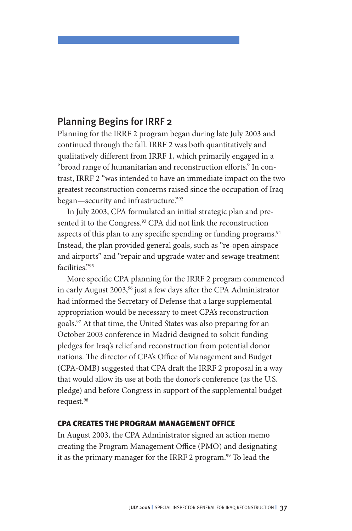# Planning Begins for IRRF 2

Planning for the IRRF 2 program began during late July 2003 and continued through the fall. IRRF 2 was both quantitatively and qualitatively different from IRRF 1, which primarily engaged in a "broad range of humanitarian and reconstruction efforts." In contrast, IRRF 2 "was intended to have an immediate impact on the two greatest reconstruction concerns raised since the occupation of Iraq began—security and infrastructure."92

In July 2003, CPA formulated an initial strategic plan and presented it to the Congress.<sup>93</sup> CPA did not link the reconstruction aspects of this plan to any specific spending or funding programs.<sup>94</sup> Instead, the plan provided general goals, such as "re-open airspace and airports" and "repair and upgrade water and sewage treatment facilities."95

More specific CPA planning for the IRRF 2 program commenced in early August  $2003<sup>96</sup>$  just a few days after the CPA Administrator had informed the Secretary of Defense that a large supplemental appropriation would be necessary to meet CPA's reconstruction goals.97 At that time, the United States was also preparing for an October 2003 conference in Madrid designed to solicit funding pledges for Iraq's relief and reconstruction from potential donor nations. The director of CPA's Office of Management and Budget (CPA-OMB) suggested that CPA draft the IRRF 2 proposal in a way that would allow its use at both the donor's conference (as the U.S. pledge) and before Congress in support of the supplemental budget request.<sup>98</sup>

#### CPA Creates the Program Management Office

In August 2003, the CPA Administrator signed an action memo creating the Program Management Office (PMO) and designating it as the primary manager for the IRRF 2 program.<sup>99</sup> To lead the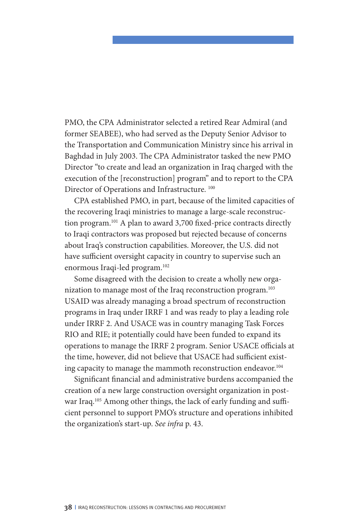PMO, the CPA Administrator selected a retired Rear Admiral (and former SEABEE), who had served as the Deputy Senior Advisor to the Transportation and Communication Ministry since his arrival in Baghdad in July 2003. The CPA Administrator tasked the new PMO Director "to create and lead an organization in Iraq charged with the execution of the [reconstruction] program" and to report to the CPA Director of Operations and Infrastructure.<sup>100</sup>

CPA established PMO, in part, because of the limited capacities of the recovering Iraqi ministries to manage a large-scale reconstruction program.101 A plan to award 3,700 fixed-price contracts directly to Iraqi contractors was proposed but rejected because of concerns about Iraq's construction capabilities. Moreover, the U.S. did not have sufficient oversight capacity in country to supervise such an enormous Iraqi-led program.<sup>102</sup>

Some disagreed with the decision to create a wholly new organization to manage most of the Iraq reconstruction program.<sup>103</sup> USAID was already managing a broad spectrum of reconstruction programs in Iraq under IRRF 1 and was ready to play a leading role under IRRF 2. And USACE was in country managing Task Forces RIO and RIE; it potentially could have been funded to expand its operations to manage the IRRF 2 program. Senior USACE officials at the time, however, did not believe that USACE had sufficient existing capacity to manage the mammoth reconstruction endeavor.<sup>104</sup>

Significant financial and administrative burdens accompanied the creation of a new large construction oversight organization in postwar Iraq.<sup>105</sup> Among other things, the lack of early funding and sufficient personnel to support PMO's structure and operations inhibited the organization's start-up. *See infra* p. 43.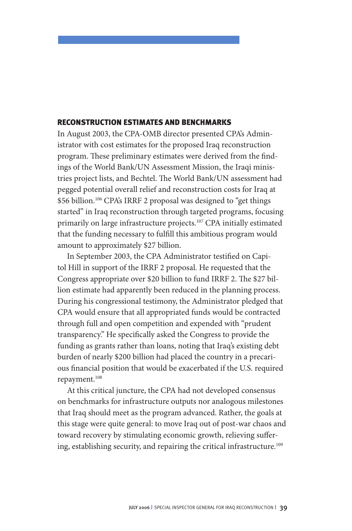#### Reconstruction Estimates and Benchmarks

In August 2003, the CPA-OMB director presented CPA's Administrator with cost estimates for the proposed Iraq reconstruction program. These preliminary estimates were derived from the findings of the World Bank/UN Assessment Mission, the Iraqi ministries project lists, and Bechtel. The World Bank/UN assessment had pegged potential overall relief and reconstruction costs for Iraq at \$56 billion.106 CPA's IRRF 2 proposal was designed to "get things started" in Iraq reconstruction through targeted programs, focusing primarily on large infrastructure projects.<sup>107</sup> CPA initially estimated that the funding necessary to fulfill this ambitious program would amount to approximately \$27 billion.

In September 2003, the CPA Administrator testified on Capitol Hill in support of the IRRF 2 proposal. He requested that the Congress appropriate over \$20 billion to fund IRRF 2. The \$27 billion estimate had apparently been reduced in the planning process. During his congressional testimony, the Administrator pledged that CPA would ensure that all appropriated funds would be contracted through full and open competition and expended with "prudent transparency." He specifically asked the Congress to provide the funding as grants rather than loans, noting that Iraq's existing debt burden of nearly \$200 billion had placed the country in a precarious financial position that would be exacerbated if the U.S. required repayment.108

At this critical juncture, the CPA had not developed consensus on benchmarks for infrastructure outputs nor analogous milestones that Iraq should meet as the program advanced. Rather, the goals at this stage were quite general: to move Iraq out of post-war chaos and toward recovery by stimulating economic growth, relieving suffering, establishing security, and repairing the critical infrastructure.<sup>109</sup>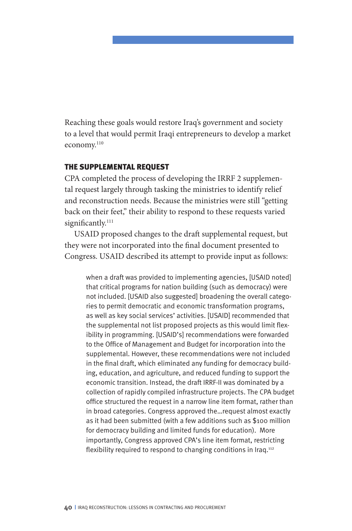Reaching these goals would restore Iraq's government and society to a level that would permit Iraqi entrepreneurs to develop a market economy.<sup>110</sup>

### The Supplemental Request

CPA completed the process of developing the IRRF 2 supplemental request largely through tasking the ministries to identify relief and reconstruction needs. Because the ministries were still "getting back on their feet," their ability to respond to these requests varied significantly.<sup>111</sup>

USAID proposed changes to the draft supplemental request, but they were not incorporated into the final document presented to Congress. USAID described its attempt to provide input as follows:

when a draft was provided to implementing agencies, [USAID noted] that critical programs for nation building (such as democracy) were not included. [USAID also suggested] broadening the overall categories to permit democratic and economic transformation programs, as well as key social services' activities. [USAID] recommended that the supplemental not list proposed projects as this would limit flexibility in programming. [USAID's] recommendations were forwarded to the Office of Management and Budget for incorporation into the supplemental. However, these recommendations were not included in the final draft, which eliminated any funding for democracy building, education, and agriculture, and reduced funding to support the economic transition. Instead, the draft IRRF-II was dominated by a collection of rapidly compiled infrastructure projects. The CPA budget office structured the request in a narrow line item format, rather than in broad categories. Congress approved the…request almost exactly as it had been submitted (with a few additions such as \$100 million for democracy building and limited funds for education). More importantly, Congress approved CPA's line item format, restricting flexibility required to respond to changing conditions in Iraq.<sup>112</sup>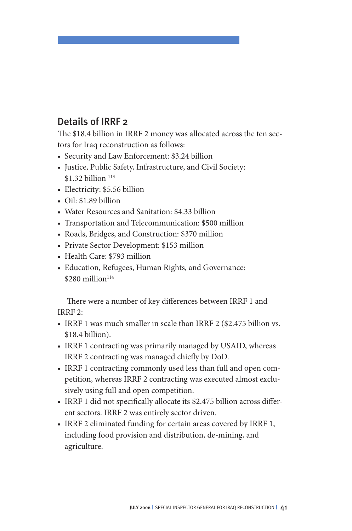# Details of IRRF 2

The \$18.4 billion in IRRF 2 money was allocated across the ten sectors for Iraq reconstruction as follows:

- Security and Law Enforcement: \$3.24 billion
- Justice, Public Safety, Infrastructure, and Civil Society: \$1.32 billion<sup>113</sup>
- Electricity: \$5.56 billion
- Oil: \$1.89 billion
- Water Resources and Sanitation: \$4.33 billion
- Transportation and Telecommunication: \$500 million
- Roads, Bridges, and Construction: \$370 million
- Private Sector Development: \$153 million
- Health Care: \$793 million
- Education, Refugees, Human Rights, and Governance:  $$280$  million<sup>114</sup>

There were a number of key differences between IRRF 1 and IRRF 2:

- IRRF 1 was much smaller in scale than IRRF 2 (\$2.475 billion vs. \$18.4 billion).
- IRRF 1 contracting was primarily managed by USAID, whereas IRRF 2 contracting was managed chiefly by DoD.
- IRRF 1 contracting commonly used less than full and open competition, whereas IRRF 2 contracting was executed almost exclusively using full and open competition.
- IRRF 1 did not specifically allocate its \$2.475 billion across different sectors. IRRF 2 was entirely sector driven.
- IRRF 2 eliminated funding for certain areas covered by IRRF 1, including food provision and distribution, de-mining, and agriculture.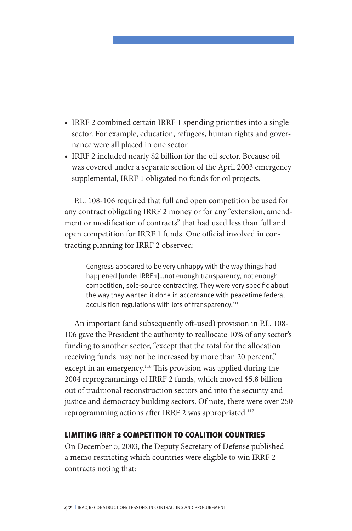- IRRF 2 combined certain IRRF 1 spending priorities into a single sector. For example, education, refugees, human rights and governance were all placed in one sector.
- IRRF 2 included nearly \$2 billion for the oil sector. Because oil was covered under a separate section of the April 2003 emergency supplemental, IRRF 1 obligated no funds for oil projects.

P.L. 108-106 required that full and open competition be used for any contract obligating IRRF 2 money or for any "extension, amendment or modification of contracts" that had used less than full and open competition for IRRF 1 funds. One official involved in contracting planning for IRRF 2 observed:

Congress appeared to be very unhappy with the way things had happened [under IRRF 1]…not enough transparency, not enough competition, sole-source contracting. They were very specific about the way they wanted it done in accordance with peacetime federal acquisition regulations with lots of transparency.<sup>115</sup>

An important (and subsequently oft-used) provision in P.L. 108- 106 gave the President the authority to reallocate 10% of any sector's funding to another sector, "except that the total for the allocation receiving funds may not be increased by more than 20 percent," except in an emergency.<sup>116</sup> This provision was applied during the 2004 reprogrammings of IRRF 2 funds, which moved \$5.8 billion out of traditional reconstruction sectors and into the security and justice and democracy building sectors. Of note, there were over 250 reprogramming actions after IRRF 2 was appropriated.117

### Limiting IRRF 2 Competition to Coalition Countries

On December 5, 2003, the Deputy Secretary of Defense published a memo restricting which countries were eligible to win IRRF 2 contracts noting that: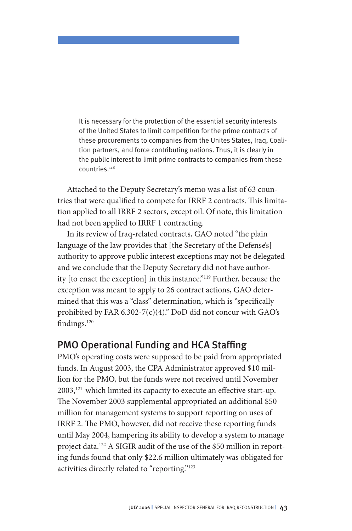It is necessary for the protection of the essential security interests of the United States to limit competition for the prime contracts of these procurements to companies from the Unites States, Iraq, Coalition partners, and force contributing nations. Thus, it is clearly in the public interest to limit prime contracts to companies from these countries.118

Attached to the Deputy Secretary's memo was a list of 63 countries that were qualified to compete for IRRF 2 contracts. This limitation applied to all IRRF 2 sectors, except oil. Of note, this limitation had not been applied to IRRF 1 contracting.

In its review of Iraq-related contracts, GAO noted "the plain language of the law provides that [the Secretary of the Defense's] authority to approve public interest exceptions may not be delegated and we conclude that the Deputy Secretary did not have authority [to enact the exception] in this instance."119 Further, because the exception was meant to apply to 26 contract actions, GAO determined that this was a "class" determination, which is "specifically prohibited by FAR 6.302-7(c)(4)." DoD did not concur with GAO's findings.<sup>120</sup>

# PMO Operational Funding and HCA Staffing

PMO's operating costs were supposed to be paid from appropriated funds. In August 2003, the CPA Administrator approved \$10 million for the PMO, but the funds were not received until November 2003,<sup>121</sup> which limited its capacity to execute an effective start-up. The November 2003 supplemental appropriated an additional \$50 million for management systems to support reporting on uses of IRRF 2. The PMO, however, did not receive these reporting funds until May 2004, hampering its ability to develop a system to manage project data.<sup>122</sup> A SIGIR audit of the use of the \$50 million in reporting funds found that only \$22.6 million ultimately was obligated for activities directly related to "reporting."123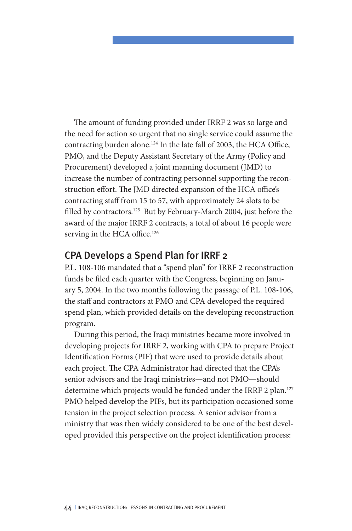The amount of funding provided under IRRF 2 was so large and the need for action so urgent that no single service could assume the contracting burden alone.<sup>124</sup> In the late fall of 2003, the HCA Office, PMO, and the Deputy Assistant Secretary of the Army (Policy and Procurement) developed a joint manning document (JMD) to increase the number of contracting personnel supporting the reconstruction effort. The JMD directed expansion of the HCA office's contracting staff from 15 to 57, with approximately 24 slots to be filled by contractors.<sup>125</sup> But by February-March 2004, just before the award of the major IRRF 2 contracts, a total of about 16 people were serving in the HCA office.<sup>126</sup>

# CPA Develops a Spend Plan for IRRF 2

P.L. 108-106 mandated that a "spend plan" for IRRF 2 reconstruction funds be filed each quarter with the Congress, beginning on January 5, 2004. In the two months following the passage of P.L. 108-106, the staff and contractors at PMO and CPA developed the required spend plan, which provided details on the developing reconstruction program.

During this period, the Iraqi ministries became more involved in developing projects for IRRF 2, working with CPA to prepare Project Identification Forms (PIF) that were used to provide details about each project. The CPA Administrator had directed that the CPA's senior advisors and the Iraqi ministries—and not PMO—should determine which projects would be funded under the IRRF 2 plan.<sup>127</sup> PMO helped develop the PIFs, but its participation occasioned some tension in the project selection process. A senior advisor from a ministry that was then widely considered to be one of the best developed provided this perspective on the project identification process: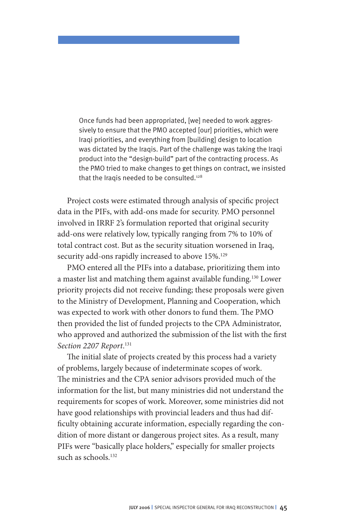Once funds had been appropriated, [we] needed to work aggressively to ensure that the PMO accepted [our] priorities, which were Iraqi priorities, and everything from [building] design to location was dictated by the Iraqis. Part of the challenge was taking the Iraqi product into the "design-build" part of the contracting process. As the PMO tried to make changes to get things on contract, we insisted that the Iraqis needed to be consulted.<sup>128</sup>

Project costs were estimated through analysis of specific project data in the PIFs, with add-ons made for security. PMO personnel involved in IRRF 2's formulation reported that original security add-ons were relatively low, typically ranging from 7% to 10% of total contract cost. But as the security situation worsened in Iraq, security add-ons rapidly increased to above 15%.<sup>129</sup>

PMO entered all the PIFs into a database, prioritizing them into a master list and matching them against available funding.<sup>130</sup> Lower priority projects did not receive funding; these proposals were given to the Ministry of Development, Planning and Cooperation, which was expected to work with other donors to fund them. The PMO then provided the list of funded projects to the CPA Administrator, who approved and authorized the submission of the list with the first *Section 2207 Report*. 131

The initial slate of projects created by this process had a variety of problems, largely because of indeterminate scopes of work. The ministries and the CPA senior advisors provided much of the information for the list, but many ministries did not understand the requirements for scopes of work. Moreover, some ministries did not have good relationships with provincial leaders and thus had difficulty obtaining accurate information, especially regarding the condition of more distant or dangerous project sites. As a result, many PIFs were "basically place holders," especially for smaller projects such as schools. $132$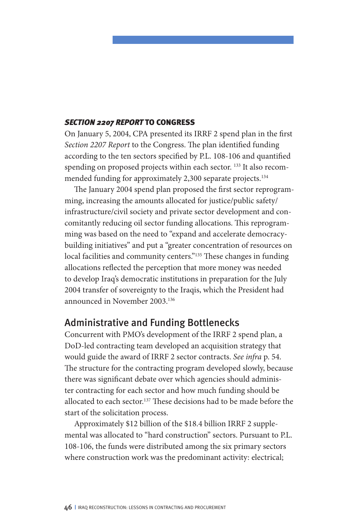#### *Section 2207 Report* to Congress

On January 5, 2004, CPA presented its IRRF 2 spend plan in the first *Section 2207 Report* to the Congress. The plan identified funding according to the ten sectors specified by P.L. 108-106 and quantified spending on proposed projects within each sector.<sup>133</sup> It also recommended funding for approximately 2,300 separate projects.<sup>134</sup>

The January 2004 spend plan proposed the first sector reprogramming, increasing the amounts allocated for justice/public safety/ infrastructure/civil society and private sector development and concomitantly reducing oil sector funding allocations. This reprogramming was based on the need to "expand and accelerate democracybuilding initiatives" and put a "greater concentration of resources on local facilities and community centers."<sup>135</sup> These changes in funding allocations reflected the perception that more money was needed to develop Iraq's democratic institutions in preparation for the July 2004 transfer of sovereignty to the Iraqis, which the President had announced in November 2003.136

## Administrative and Funding Bottlenecks

Concurrent with PMO's development of the IRRF 2 spend plan, a DoD-led contracting team developed an acquisition strategy that would guide the award of IRRF 2 sector contracts. *See infra* p. 54. The structure for the contracting program developed slowly, because there was significant debate over which agencies should administer contracting for each sector and how much funding should be allocated to each sector.137 These decisions had to be made before the start of the solicitation process.

Approximately \$12 billion of the \$18.4 billion IRRF 2 supplemental was allocated to "hard construction" sectors. Pursuant to P.L. 108-106, the funds were distributed among the six primary sectors where construction work was the predominant activity: electrical;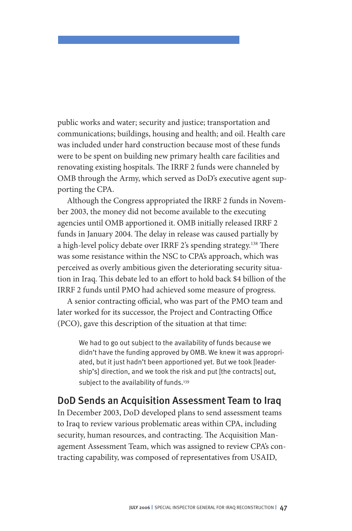public works and water; security and justice; transportation and communications; buildings, housing and health; and oil. Health care was included under hard construction because most of these funds were to be spent on building new primary health care facilities and renovating existing hospitals. The IRRF 2 funds were channeled by OMB through the Army, which served as DoD's executive agent supporting the CPA.

Although the Congress appropriated the IRRF 2 funds in November 2003, the money did not become available to the executing agencies until OMB apportioned it. OMB initially released IRRF 2 funds in January 2004. The delay in release was caused partially by a high-level policy debate over IRRF 2's spending strategy.138 There was some resistance within the NSC to CPA's approach, which was perceived as overly ambitious given the deteriorating security situation in Iraq. This debate led to an effort to hold back \$4 billion of the IRRF 2 funds until PMO had achieved some measure of progress.

A senior contracting official, who was part of the PMO team and later worked for its successor, the Project and Contracting Office (PCO), gave this description of the situation at that time:

We had to go out subject to the availability of funds because we didn't have the funding approved by OMB. We knew it was appropriated, but it just hadn't been apportioned yet. But we took [leadership's] direction, and we took the risk and put [the contracts] out, subject to the availability of funds.<sup>139</sup>

## DoD Sends an Acquisition Assessment Team to Iraq

In December 2003, DoD developed plans to send assessment teams to Iraq to review various problematic areas within CPA, including security, human resources, and contracting. The Acquisition Management Assessment Team, which was assigned to review CPA's contracting capability, was composed of representatives from USAID,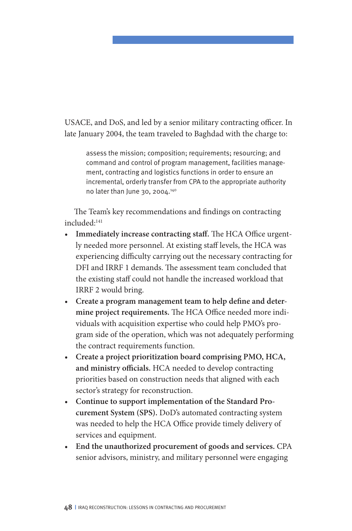USACE, and DoS, and led by a senior military contracting officer. In late January 2004, the team traveled to Baghdad with the charge to:

assess the mission; composition; requirements; resourcing; and command and control of program management, facilities management, contracting and logistics functions in order to ensure an incremental, orderly transfer from CPA to the appropriate authority no later than June 30, 2004.140

The Team's key recommendations and findings on contracting included:141

- **Immediately increase contracting staff.** The HCA Office urgently needed more personnel. At existing staff levels, the HCA was experiencing difficulty carrying out the necessary contracting for DFI and IRRF 1 demands. The assessment team concluded that the existing staff could not handle the increased workload that IRRF 2 would bring.
- **Create a program management team to help define and determine project requirements.** The HCA Office needed more individuals with acquisition expertise who could help PMO's program side of the operation, which was not adequately performing the contract requirements function.
- **Create a project prioritization board comprising PMO, HCA, and ministry officials.** HCA needed to develop contracting priorities based on construction needs that aligned with each sector's strategy for reconstruction.
- **Continue to support implementation of the Standard Procurement System (SPS).** DoD's automated contracting system was needed to help the HCA Office provide timely delivery of services and equipment.
- **End the unauthorized procurement of goods and services.** CPA senior advisors, ministry, and military personnel were engaging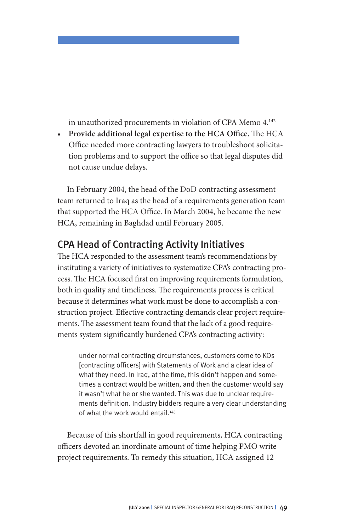in unauthorized procurements in violation of CPA Memo 4.142

• **Provide additional legal expertise to the HCA Office.** The HCA Office needed more contracting lawyers to troubleshoot solicitation problems and to support the office so that legal disputes did not cause undue delays.

In February 2004, the head of the DoD contracting assessment team returned to Iraq as the head of a requirements generation team that supported the HCA Office. In March 2004, he became the new HCA, remaining in Baghdad until February 2005.

# CPA Head of Contracting Activity Initiatives

The HCA responded to the assessment team's recommendations by instituting a variety of initiatives to systematize CPA's contracting process. The HCA focused first on improving requirements formulation, both in quality and timeliness. The requirements process is critical because it determines what work must be done to accomplish a construction project. Effective contracting demands clear project requirements. The assessment team found that the lack of a good requirements system significantly burdened CPA's contracting activity:

under normal contracting circumstances, customers come to KOs [contracting officers] with Statements of Work and a clear idea of what they need. In Iraq, at the time, this didn't happen and sometimes a contract would be written, and then the customer would say it wasn't what he or she wanted. This was due to unclear requirements definition. Industry bidders require a very clear understanding of what the work would entail.<sup>143</sup>

Because of this shortfall in good requirements, HCA contracting officers devoted an inordinate amount of time helping PMO write project requirements. To remedy this situation, HCA assigned 12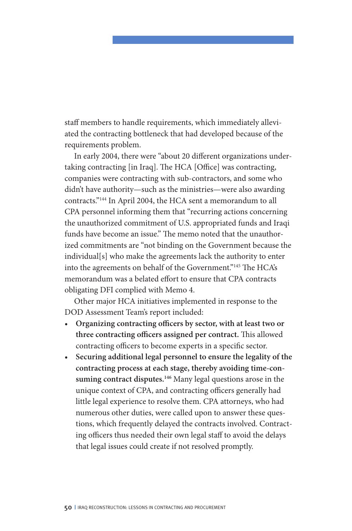staff members to handle requirements, which immediately alleviated the contracting bottleneck that had developed because of the requirements problem.

In early 2004, there were "about 20 different organizations undertaking contracting [in Iraq]. The HCA [Office] was contracting, companies were contracting with sub-contractors, and some who didn't have authority—such as the ministries—were also awarding contracts."144 In April 2004, the HCA sent a memorandum to all CPA personnel informing them that "recurring actions concerning the unauthorized commitment of U.S. appropriated funds and Iraqi funds have become an issue." The memo noted that the unauthorized commitments are "not binding on the Government because the individual[s] who make the agreements lack the authority to enter into the agreements on behalf of the Government."145 The HCA's memorandum was a belated effort to ensure that CPA contracts obligating DFI complied with Memo 4.

Other major HCA initiatives implemented in response to the DOD Assessment Team's report included:

- **Organizing contracting officers by sector, with at least two or three contracting officers assigned per contract.** This allowed contracting officers to become experts in a specific sector.
- **Securing additional legal personnel to ensure the legality of the contracting process at each stage, thereby avoiding time-consuming contract disputes.146** Many legal questions arose in the unique context of CPA, and contracting officers generally had little legal experience to resolve them. CPA attorneys, who had numerous other duties, were called upon to answer these questions, which frequently delayed the contracts involved. Contracting officers thus needed their own legal staff to avoid the delays that legal issues could create if not resolved promptly.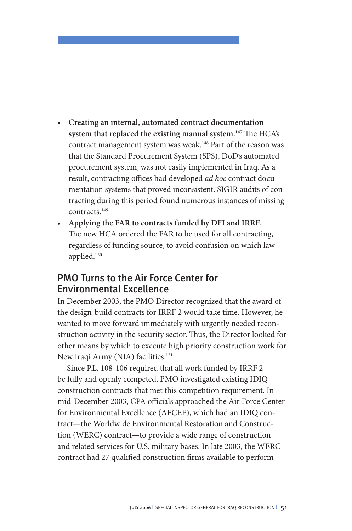- **Creating an internal, automated contract documentation system that replaced the existing manual system.147** The HCA's contract management system was weak.<sup>148</sup> Part of the reason was that the Standard Procurement System (SPS), DoD's automated procurement system, was not easily implemented in Iraq. As a result, contracting offices had developed *ad hoc* contract documentation systems that proved inconsistent. SIGIR audits of contracting during this period found numerous instances of missing contracts.<sup>149</sup>
- **Applying the FAR to contracts funded by DFI and IRRF.** The new HCA ordered the FAR to be used for all contracting, regardless of funding source, to avoid confusion on which law applied.150

### PMO Turns to the Air Force Center for Environmental Excellence

In December 2003, the PMO Director recognized that the award of the design-build contracts for IRRF 2 would take time. However, he wanted to move forward immediately with urgently needed reconstruction activity in the security sector. Thus, the Director looked for other means by which to execute high priority construction work for New Iraqi Army (NIA) facilities.<sup>151</sup>

Since P.L. 108-106 required that all work funded by IRRF 2 be fully and openly competed, PMO investigated existing IDIQ construction contracts that met this competition requirement. In mid-December 2003, CPA officials approached the Air Force Center for Environmental Excellence (AFCEE), which had an IDIQ contract—the Worldwide Environmental Restoration and Construction (WERC) contract—to provide a wide range of construction and related services for U.S. military bases. In late 2003, the WERC contract had 27 qualified construction firms available to perform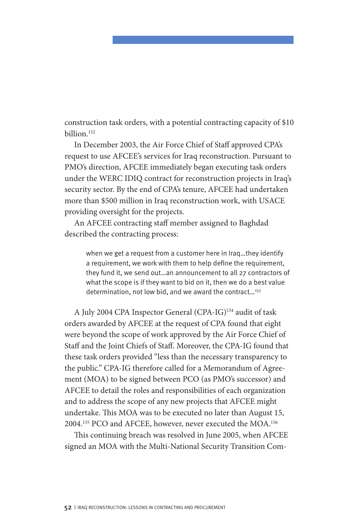construction task orders, with a potential contracting capacity of \$10 billion.152

In December 2003, the Air Force Chief of Staff approved CPA's request to use AFCEE's services for Iraq reconstruction. Pursuant to PMO's direction, AFCEE immediately began executing task orders under the WERC IDIQ contract for reconstruction projects in Iraq's security sector. By the end of CPA's tenure, AFCEE had undertaken more than \$500 million in Iraq reconstruction work, with USACE providing oversight for the projects.

An AFCEE contracting staff member assigned to Baghdad described the contracting process:

> when we get a request from a customer here in Iraq…they identify a requirement, we work with them to help define the requirement, they fund it, we send out…an announcement to all 27 contractors of what the scope is if they want to bid on it, then we do a best value determination, not low bid, and we award the contract…153

A July 2004 CPA Inspector General (CPA-IG)154 audit of task orders awarded by AFCEE at the request of CPA found that eight were beyond the scope of work approved by the Air Force Chief of Staff and the Joint Chiefs of Staff. Moreover, the CPA-IG found that these task orders provided "less than the necessary transparency to the public." CPA-IG therefore called for a Memorandum of Agreement (MOA) to be signed between PCO (as PMO's successor) and AFCEE to detail the roles and responsibilities of each organization and to address the scope of any new projects that AFCEE might undertake. This MOA was to be executed no later than August 15, 2004.155 PCO and AFCEE, however, never executed the MOA.156

This continuing breach was resolved in June 2005, when AFCEE signed an MOA with the Multi-National Security Transition Com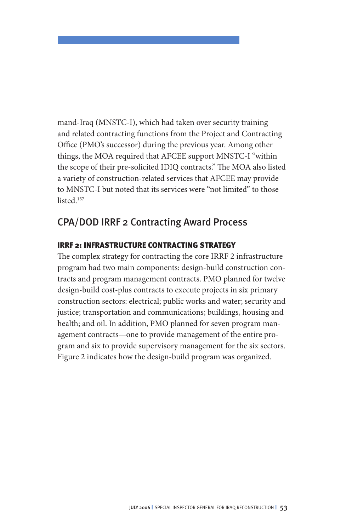mand-Iraq (MNSTC-I), which had taken over security training and related contracting functions from the Project and Contracting Office (PMO's successor) during the previous year. Among other things, the MOA required that AFCEE support MNSTC-I "within the scope of their pre-solicited IDIQ contracts." The MOA also listed a variety of construction-related services that AFCEE may provide to MNSTC-I but noted that its services were "not limited" to those listed $157$ 

# CPA/DOD IRRF 2 Contracting Award Process

### IRRF 2: Infrastructure Contracting Strategy

The complex strategy for contracting the core IRRF 2 infrastructure program had two main components: design-build construction contracts and program management contracts. PMO planned for twelve design-build cost-plus contracts to execute projects in six primary construction sectors: electrical; public works and water; security and justice; transportation and communications; buildings, housing and health; and oil. In addition, PMO planned for seven program management contracts—one to provide management of the entire program and six to provide supervisory management for the six sectors. Figure 2 indicates how the design-build program was organized.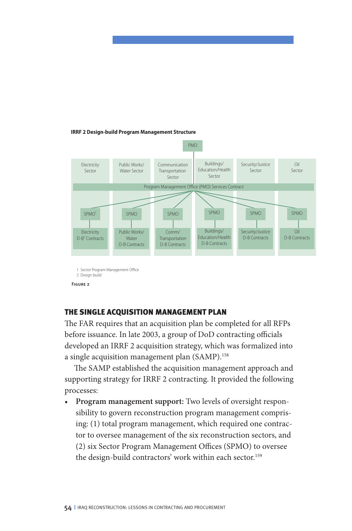

#### **IRRF 2 Design-build Program Management Structure**

1 Sector Program Management Office 2 Design-build

FIGURE 2

### The Single Acquisition Management Plan

The FAR requires that an acquisition plan be completed for all RFPs before issuance. In late 2003, a group of DoD contracting officials developed an IRRF 2 acquisition strategy, which was formalized into a single acquisition management plan (SAMP).<sup>158</sup>

The SAMP established the acquisition management approach and supporting strategy for IRRF 2 contracting. It provided the following processes:

• **Program management support:** Two levels of oversight responsibility to govern reconstruction program management comprising: (1) total program management, which required one contractor to oversee management of the six reconstruction sectors, and (2) six Sector Program Management Offices (SPMO) to oversee the design-build contractors' work within each sector.<sup>159</sup>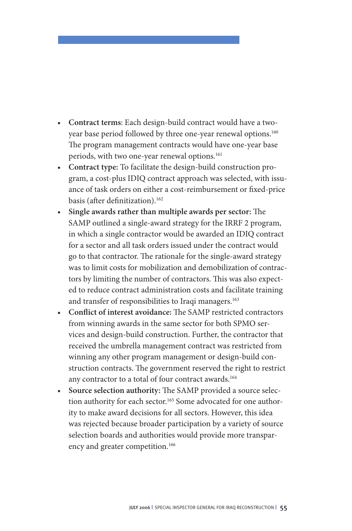- **Contract terms**: Each design-build contract would have a twoyear base period followed by three one-year renewal options.<sup>160</sup> The program management contracts would have one-year base periods, with two one-year renewal options.<sup>161</sup>
- **Contract type:** To facilitate the design-build construction program, a cost-plus IDIQ contract approach was selected, with issuance of task orders on either a cost-reimbursement or fixed-price basis (after definitization).<sup>162</sup>
- **Single awards rather than multiple awards per sector:** The SAMP outlined a single-award strategy for the IRRF 2 program, in which a single contractor would be awarded an IDIQ contract for a sector and all task orders issued under the contract would go to that contractor. The rationale for the single-award strategy was to limit costs for mobilization and demobilization of contractors by limiting the number of contractors. This was also expected to reduce contract administration costs and facilitate training and transfer of responsibilities to Iraqi managers.<sup>163</sup>
- **Conflict of interest avoidance:** The SAMP restricted contractors from winning awards in the same sector for both SPMO services and design-build construction. Further, the contractor that received the umbrella management contract was restricted from winning any other program management or design-build construction contracts. The government reserved the right to restrict any contractor to a total of four contract awards.<sup>164</sup>
- **Source selection authority:** The SAMP provided a source selection authority for each sector.<sup>165</sup> Some advocated for one authority to make award decisions for all sectors. However, this idea was rejected because broader participation by a variety of source selection boards and authorities would provide more transparency and greater competition.<sup>166</sup>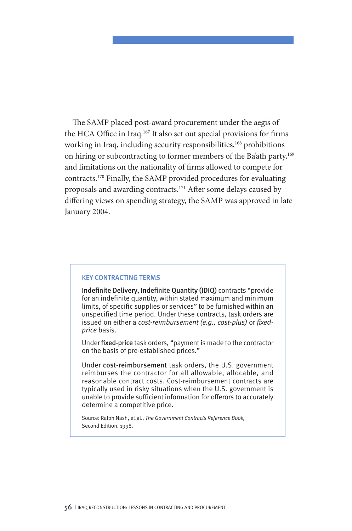The SAMP placed post-award procurement under the aegis of the HCA Office in Iraq.<sup>167</sup> It also set out special provisions for firms working in Iraq, including security responsibilities,<sup>168</sup> prohibitions on hiring or subcontracting to former members of the Ba'ath party,<sup>169</sup> and limitations on the nationality of firms allowed to compete for contracts.170 Finally, the SAMP provided procedures for evaluating proposals and awarding contracts.171 After some delays caused by differing views on spending strategy, the SAMP was approved in late January 2004.

#### Key Contracting Terms

Indefinite Delivery, Indefinite Quantity (IDIQ) contracts "provide for an indefinite quantity, within stated maximum and minimum limits, of specific supplies or services" to be furnished within an unspecified time period. Under these contracts, task orders are issued on either a *cost-reimbursement (e.g., cost-plus)* or *fixedprice* basis.

Under fixed-price task orders, "payment is made to the contractor on the basis of pre-established prices."

Under cost-reimbursement task orders, the U.S. government reimburses the contractor for all allowable, allocable, and reasonable contract costs. Cost-reimbursement contracts are typically used in risky situations when the U.S. government is unable to provide sufficient information for offerors to accurately determine a competitive price.

Source: Ralph Nash, et.al., *The Government Contracts Reference Book,*  Second Edition, 1998.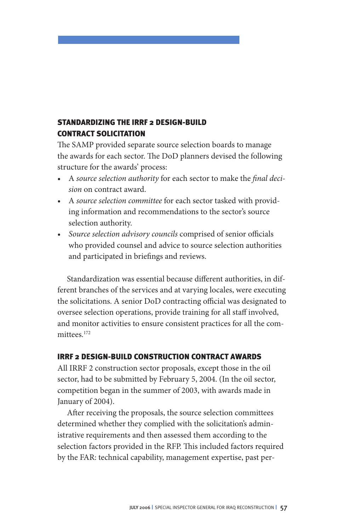### Standardizing the IRRF 2 Design-Build Contract Solicitation

The SAMP provided separate source selection boards to manage the awards for each sector. The DoD planners devised the following structure for the awards' process:

- A *source selection authority* for each sector to make the *final decision* on contract award.
- A *source selection committee* for each sector tasked with providing information and recommendations to the sector's source selection authority.
- *Source selection advisory councils* comprised of senior officials who provided counsel and advice to source selection authorities and participated in briefings and reviews.

Standardization was essential because different authorities, in different branches of the services and at varying locales, were executing the solicitations. A senior DoD contracting official was designated to oversee selection operations, provide training for all staff involved, and monitor activities to ensure consistent practices for all the committees.<sup>172</sup>

### IRRF 2 Design-Build Construction Contract Awards

All IRRF 2 construction sector proposals, except those in the oil sector, had to be submitted by February 5, 2004. (In the oil sector, competition began in the summer of 2003, with awards made in January of 2004).

After receiving the proposals, the source selection committees determined whether they complied with the solicitation's administrative requirements and then assessed them according to the selection factors provided in the RFP. This included factors required by the FAR: technical capability, management expertise, past per-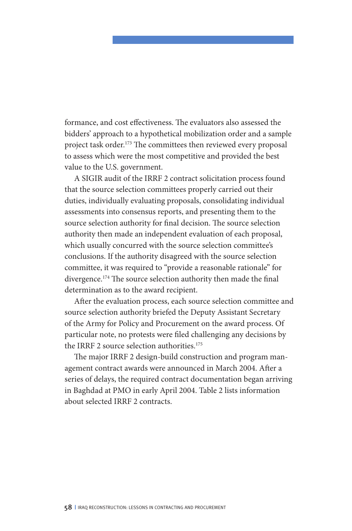formance, and cost effectiveness. The evaluators also assessed the bidders' approach to a hypothetical mobilization order and a sample project task order.<sup>173</sup> The committees then reviewed every proposal to assess which were the most competitive and provided the best value to the U.S. government.

A SIGIR audit of the IRRF 2 contract solicitation process found that the source selection committees properly carried out their duties, individually evaluating proposals, consolidating individual assessments into consensus reports, and presenting them to the source selection authority for final decision. The source selection authority then made an independent evaluation of each proposal, which usually concurred with the source selection committee's conclusions. If the authority disagreed with the source selection committee, it was required to "provide a reasonable rationale" for divergence.174 The source selection authority then made the final determination as to the award recipient.

After the evaluation process, each source selection committee and source selection authority briefed the Deputy Assistant Secretary of the Army for Policy and Procurement on the award process. Of particular note, no protests were filed challenging any decisions by the IRRF 2 source selection authorities.<sup>175</sup>

The major IRRF 2 design-build construction and program management contract awards were announced in March 2004. After a series of delays, the required contract documentation began arriving in Baghdad at PMO in early April 2004. Table 2 lists information about selected IRRF 2 contracts.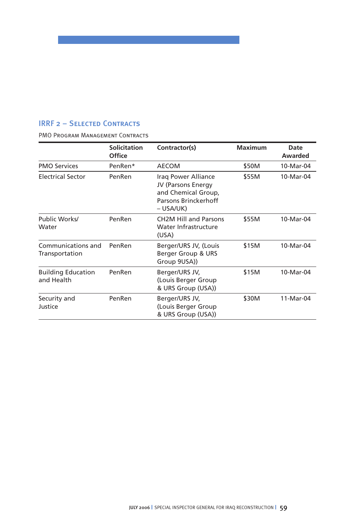### IRRF 2 – Selected Contracts

PMO Program Management Contracts

|                                         | <b>Solicitation</b><br>Office | Contractor(s)                                                                                         | <b>Maximum</b> | Date<br>Awarded |
|-----------------------------------------|-------------------------------|-------------------------------------------------------------------------------------------------------|----------------|-----------------|
| <b>PMO Services</b>                     | PenRen*                       | <b>AECOM</b>                                                                                          | \$50M          | 10-Mar-04       |
| <b>Electrical Sector</b>                | PenRen                        | Iraq Power Alliance<br>JV (Parsons Energy<br>and Chemical Group,<br>Parsons Brinckerhoff<br>– USA/UK) | \$55M          | 10-Mar-04       |
| Public Works/<br>Water                  | PenRen                        | <b>CH2M Hill and Parsons</b><br>Water Infrastructure<br>(USA)                                         | \$55M          | 10-Mar-04       |
| Communications and<br>Transportation    | PenRen                        | Berger/URS JV, (Louis<br>Berger Group & URS<br>Group 9USA))                                           | \$15M          | 10-Mar-04       |
| <b>Building Education</b><br>and Health | PenRen                        | Berger/URS JV,<br>(Louis Berger Group<br>& URS Group (USA))                                           | \$15M          | 10-Mar-04       |
| Security and<br>Justice                 | PenRen                        | Berger/URS JV,<br>(Louis Berger Group<br>& URS Group (USA))                                           | \$30M          | 11-Mar-04       |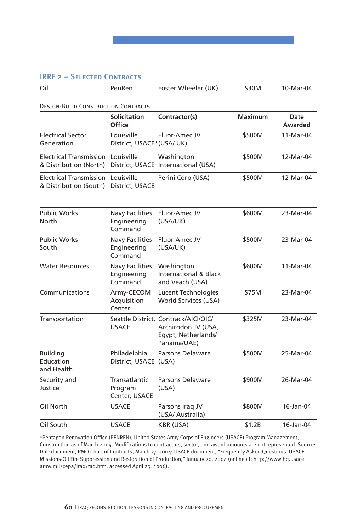#### IRRF 2 – Selected Contracts

| Oil                                                          | PenRen                                           | Foster Wheeler (UK)                                                                               | \$30M          | 10-Mar-04              |  |  |
|--------------------------------------------------------------|--------------------------------------------------|---------------------------------------------------------------------------------------------------|----------------|------------------------|--|--|
| <b>DESIGN-BUILD CONSTRUCTION CONTRACTS</b>                   |                                                  |                                                                                                   |                |                        |  |  |
|                                                              | <b>Solicitation</b><br><b>Office</b>             | Contractor(s)                                                                                     | <b>Maximum</b> | Date<br><b>Awarded</b> |  |  |
| <b>Electrical Sector</b><br>Generation                       | Louisville<br>District, USACE*(USA/ UK)          | Fluor-Amec JV                                                                                     | \$500M         | 11-Mar-04              |  |  |
| Electrical Transmission Louisville<br>& Distribution (North) |                                                  | Washington<br>District, USACE International (USA)                                                 | \$500M         | 12-Mar-04              |  |  |
| Electrical Transmission Louisville<br>& Distribution (South) | District, USACE                                  | Perini Corp (USA)                                                                                 | \$500M         | 12-Mar-04              |  |  |
| <b>Public Works</b><br>North                                 | <b>Navy Facilities</b><br>Engineering<br>Command | Fluor-Amec JV<br>(USA/UK)                                                                         | \$600M         | 23-Mar-04              |  |  |
| <b>Public Works</b><br>South                                 | <b>Navy Facilities</b><br>Engineering<br>Command | Fluor-Amec JV<br>(USA/UK)                                                                         | \$500M         | 23-Mar-04              |  |  |
| <b>Water Resources</b>                                       | <b>Navy Facilities</b><br>Engineering<br>Command | Washington<br>International & Black<br>and Veach (USA)                                            | \$600M         | 11-Mar-04              |  |  |
| Communications                                               | Army-CECOM<br>Acquisition<br>Center              | Lucent Technologies<br>World Services (USA)                                                       | \$75M          | 23-Mar-04              |  |  |
| Transportation                                               | <b>USACE</b>                                     | Seattle District, Contrack/AICI/OIC/<br>Archirodon JV (USA,<br>Eqypt, Netherlands/<br>Panama/UAE) | \$325M         | 23-Mar-04              |  |  |
| <b>Building</b><br>Education<br>and Health                   | Philadelphia<br>District, USACE (USA)            | <b>Parsons Delaware</b>                                                                           | \$500M         | 25-Mar-04              |  |  |
| Security and<br>Justice                                      | Transatlantic<br>Program<br>Center, USACE        | Parsons Delaware<br>(USA)                                                                         | \$900M         | 26-Mar-04              |  |  |
| Oil North                                                    | <b>USACE</b>                                     | Parsons Iraq JV<br>(USA/ Australia)                                                               | \$800M         | 16-Jan-04              |  |  |
| Oil South                                                    | <b>USACE</b>                                     | <b>KBR (USA)</b>                                                                                  | \$1.2B         | 16-Jan-04              |  |  |

\*Pentagon Renovation Office (PENREN), United States Army Corps of Engineers (USACE) Program Management, Construction as of March 2004. Modifications to contractors, sector, and award amounts are not represented. Source: DoD document, PMO Chart of Contracts, March 27, 2004; USACE document, "Frequently Asked Questions. USACE Missions-Oil Fire Suppression and Restoration of Production," January 20, 2004 (online at: http://www.hq.usace. army.mil/cepa/iraq/faq.htm, accessed April 25, 2006).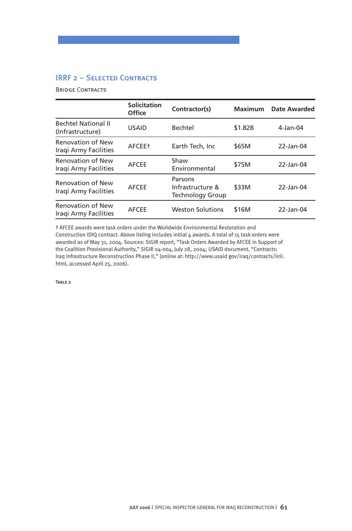### IRRF 2 – Selected Contracts

Bridge Contracts

|                                                   | Solicitation<br>Office | Contractor(s)                                   | <b>Maximum</b> | Date Awarded |
|---------------------------------------------------|------------------------|-------------------------------------------------|----------------|--------------|
| <b>Bechtel National II</b><br>(Infrastructure)    | <b>USAID</b>           | Bechtel                                         | \$1.82B        | $4$ -Jan-04  |
| <b>Renovation of New</b><br>Iragi Army Facilities | AFCEE <sup>+</sup>     | Earth Tech, Inc.                                | \$65M          | 22-Jan-04    |
| <b>Renovation of New</b><br>Iragi Army Facilities | <b>AFCEE</b>           | Shaw<br>Environmental                           | \$75M          | 22-Jan-04    |
| <b>Renovation of New</b><br>Iragi Army Facilities | <b>AFCEE</b>           | Parsons<br>Infrastructure &<br>Technology Group | \$33M          | 22-Jan-04    |
| <b>Renovation of New</b><br>Iragi Army Facilities | AFCEE                  | <b>Weston Solutions</b>                         | \$16M          | 22-Jan-04    |

† AFCEE awards were task orders under the Worldwide Environmental Restoration and Construction IDIQ contract. Above listing includes initial 4 awards. A total of 15 task orders were awarded as of May 31, 2004. Sources: SIGIR report, "Task Orders Awarded by AFCEE in Support of the Coalition Provisional Authority," SIGIR 04-004, July 28, 2004; USAID document, "Contracts: Iraq Infrastructure Reconstruction Phase II," (online at: http://www.usaid gov/iraq/contracts/iirii. html, accessed April 25, 2006).

TABLE<sub>2</sub>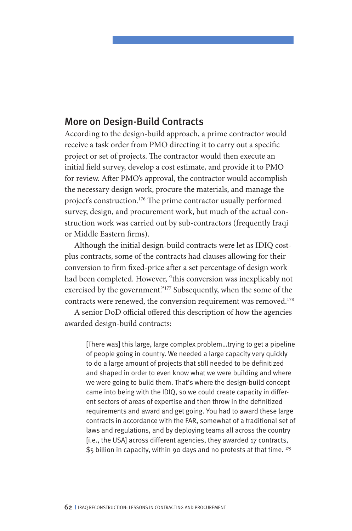## More on Design-Build Contracts

According to the design-build approach, a prime contractor would receive a task order from PMO directing it to carry out a specific project or set of projects. The contractor would then execute an initial field survey, develop a cost estimate, and provide it to PMO for review. After PMO's approval, the contractor would accomplish the necessary design work, procure the materials, and manage the project's construction.176 The prime contractor usually performed survey, design, and procurement work, but much of the actual construction work was carried out by sub-contractors (frequently Iraqi or Middle Eastern firms).

Although the initial design-build contracts were let as IDIQ costplus contracts, some of the contracts had clauses allowing for their conversion to firm fixed-price after a set percentage of design work had been completed. However, "this conversion was inexplicably not exercised by the government."<sup>177</sup> Subsequently, when the some of the contracts were renewed, the conversion requirement was removed.<sup>178</sup>

A senior DoD official offered this description of how the agencies awarded design-build contracts:

[There was] this large, large complex problem…trying to get a pipeline of people going in country. We needed a large capacity very quickly to do a large amount of projects that still needed to be definitized and shaped in order to even know what we were building and where we were going to build them. That's where the design-build concept came into being with the IDIQ, so we could create capacity in different sectors of areas of expertise and then throw in the definitized requirements and award and get going. You had to award these large contracts in accordance with the FAR, somewhat of a traditional set of laws and regulations, and by deploying teams all across the country [i.e., the USA] across different agencies, they awarded 17 contracts, \$5 billion in capacity, within 90 days and no protests at that time. 179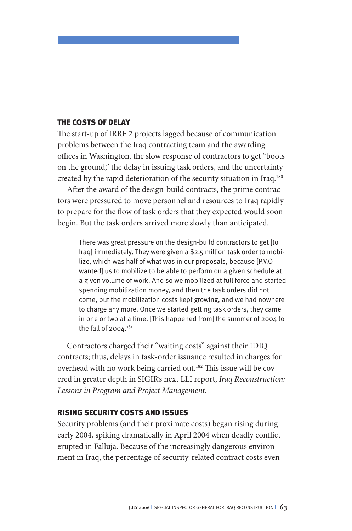#### The Costs of Delay

The start-up of IRRF 2 projects lagged because of communication problems between the Iraq contracting team and the awarding offices in Washington, the slow response of contractors to get "boots on the ground," the delay in issuing task orders, and the uncertainty created by the rapid deterioration of the security situation in Iraq.180

After the award of the design-build contracts, the prime contractors were pressured to move personnel and resources to Iraq rapidly to prepare for the flow of task orders that they expected would soon begin. But the task orders arrived more slowly than anticipated.

There was great pressure on the design-build contractors to get [to Iraq] immediately. They were given a \$2.5 million task order to mobilize, which was half of what was in our proposals, because [PMO wanted] us to mobilize to be able to perform on a given schedule at a given volume of work. And so we mobilized at full force and started spending mobilization money, and then the task orders did not come, but the mobilization costs kept growing, and we had nowhere to charge any more. Once we started getting task orders, they came in one or two at a time. [This happened from] the summer of 2004 to the fall of  $2004.<sup>181</sup>$ 

Contractors charged their "waiting costs" against their IDIQ contracts; thus, delays in task-order issuance resulted in charges for overhead with no work being carried out.<sup>182</sup> This issue will be covered in greater depth in SIGIR's next LLI report, *Iraq Reconstruction: Lessons in Program and Project Management*.

#### Rising Security Costs and Issues

Security problems (and their proximate costs) began rising during early 2004, spiking dramatically in April 2004 when deadly conflict erupted in Falluja. Because of the increasingly dangerous environment in Iraq, the percentage of security-related contract costs even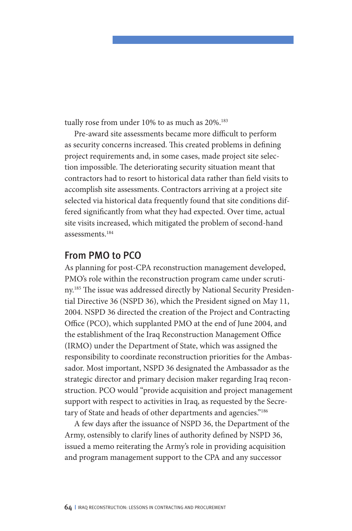tually rose from under  $10\%$  to as much as  $20\%$ .<sup>183</sup>

Pre-award site assessments became more difficult to perform as security concerns increased. This created problems in defining project requirements and, in some cases, made project site selection impossible. The deteriorating security situation meant that contractors had to resort to historical data rather than field visits to accomplish site assessments. Contractors arriving at a project site selected via historical data frequently found that site conditions differed significantly from what they had expected. Over time, actual site visits increased, which mitigated the problem of second-hand assessments.184

### From PMO to PCO

As planning for post-CPA reconstruction management developed, PMO's role within the reconstruction program came under scrutiny.185 The issue was addressed directly by National Security Presidential Directive 36 (NSPD 36), which the President signed on May 11, 2004. NSPD 36 directed the creation of the Project and Contracting Office (PCO), which supplanted PMO at the end of June 2004, and the establishment of the Iraq Reconstruction Management Office (IRMO) under the Department of State, which was assigned the responsibility to coordinate reconstruction priorities for the Ambassador. Most important, NSPD 36 designated the Ambassador as the strategic director and primary decision maker regarding Iraq reconstruction. PCO would "provide acquisition and project management support with respect to activities in Iraq, as requested by the Secretary of State and heads of other departments and agencies."<sup>186</sup>

A few days after the issuance of NSPD 36, the Department of the Army, ostensibly to clarify lines of authority defined by NSPD 36, issued a memo reiterating the Army's role in providing acquisition and program management support to the CPA and any successor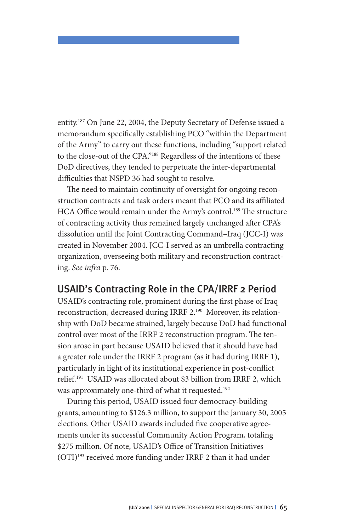entity.187 On June 22, 2004, the Deputy Secretary of Defense issued a memorandum specifically establishing PCO "within the Department of the Army" to carry out these functions, including "support related to the close-out of the CPA."188 Regardless of the intentions of these DoD directives, they tended to perpetuate the inter-departmental difficulties that NSPD 36 had sought to resolve.

The need to maintain continuity of oversight for ongoing reconstruction contracts and task orders meant that PCO and its affiliated HCA Office would remain under the Army's control.189 The structure of contracting activity thus remained largely unchanged after CPA's dissolution until the Joint Contracting Command–Iraq (JCC-I) was created in November 2004. JCC-I served as an umbrella contracting organization, overseeing both military and reconstruction contracting. *See infra* p. 76.

### USAID's Contracting Role in the CPA/IRRF 2 Period

USAID's contracting role, prominent during the first phase of Iraq reconstruction, decreased during IRRF 2.<sup>190</sup> Moreover, its relationship with DoD became strained, largely because DoD had functional control over most of the IRRF 2 reconstruction program. The tension arose in part because USAID believed that it should have had a greater role under the IRRF 2 program (as it had during IRRF 1), particularly in light of its institutional experience in post-conflict relief.191 USAID was allocated about \$3 billion from IRRF 2, which was approximately one-third of what it requested.<sup>192</sup>

During this period, USAID issued four democracy-building grants, amounting to \$126.3 million, to support the January 30, 2005 elections. Other USAID awards included five cooperative agreements under its successful Community Action Program, totaling \$275 million. Of note, USAID's Office of Transition Initiatives (OTI)<sup>193</sup> received more funding under IRRF 2 than it had under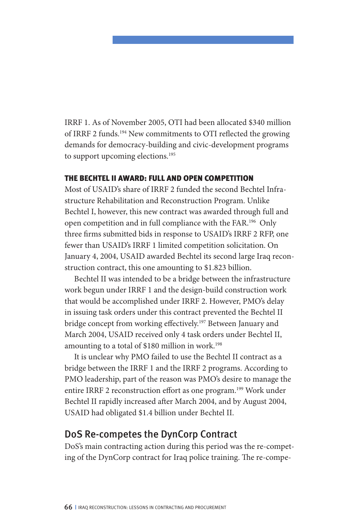IRRF 1. As of November 2005, OTI had been allocated \$340 million of IRRF 2 funds.<sup>194</sup> New commitments to OTI reflected the growing demands for democracy-building and civic-development programs to support upcoming elections.<sup>195</sup>

#### The Bechtel II Award: Full and Open Competition

Most of USAID's share of IRRF 2 funded the second Bechtel Infrastructure Rehabilitation and Reconstruction Program. Unlike Bechtel I, however, this new contract was awarded through full and open competition and in full compliance with the FAR.196 Only three firms submitted bids in response to USAID's IRRF 2 RFP, one fewer than USAID's IRRF 1 limited competition solicitation. On January 4, 2004, USAID awarded Bechtel its second large Iraq reconstruction contract, this one amounting to \$1.823 billion.

Bechtel II was intended to be a bridge between the infrastructure work begun under IRRF 1 and the design-build construction work that would be accomplished under IRRF 2. However, PMO's delay in issuing task orders under this contract prevented the Bechtel II bridge concept from working effectively.<sup>197</sup> Between January and March 2004, USAID received only 4 task orders under Bechtel II, amounting to a total of \$180 million in work.<sup>198</sup>

It is unclear why PMO failed to use the Bechtel II contract as a bridge between the IRRF 1 and the IRRF 2 programs. According to PMO leadership, part of the reason was PMO's desire to manage the entire IRRF 2 reconstruction effort as one program.<sup>199</sup> Work under Bechtel II rapidly increased after March 2004, and by August 2004, USAID had obligated \$1.4 billion under Bechtel II.

### DoS Re-competes the DynCorp Contract

DoS's main contracting action during this period was the re-competing of the DynCorp contract for Iraq police training. The re-compe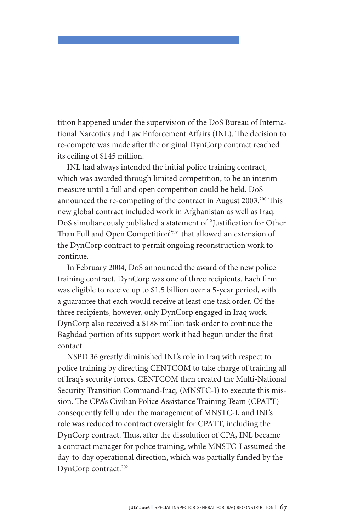tition happened under the supervision of the DoS Bureau of International Narcotics and Law Enforcement Affairs (INL). The decision to re-compete was made after the original DynCorp contract reached its ceiling of \$145 million.

INL had always intended the initial police training contract, which was awarded through limited competition, to be an interim measure until a full and open competition could be held. DoS announced the re-competing of the contract in August 2003.<sup>200</sup> This new global contract included work in Afghanistan as well as Iraq. DoS simultaneously published a statement of "Justification for Other Than Full and Open Competition"<sup>201</sup> that allowed an extension of the DynCorp contract to permit ongoing reconstruction work to continue.

In February 2004, DoS announced the award of the new police training contract. DynCorp was one of three recipients. Each firm was eligible to receive up to \$1.5 billion over a 5-year period, with a guarantee that each would receive at least one task order. Of the three recipients, however, only DynCorp engaged in Iraq work. DynCorp also received a \$188 million task order to continue the Baghdad portion of its support work it had begun under the first contact.

NSPD 36 greatly diminished INL's role in Iraq with respect to police training by directing CENTCOM to take charge of training all of Iraq's security forces. CENTCOM then created the Multi-National Security Transition Command-Iraq, (MNSTC-I) to execute this mission. The CPA's Civilian Police Assistance Training Team (CPATT) consequently fell under the management of MNSTC-I, and INL's role was reduced to contract oversight for CPATT, including the DynCorp contract. Thus, after the dissolution of CPA, INL became a contract manager for police training, while MNSTC-I assumed the day-to-day operational direction, which was partially funded by the DynCorp contract.202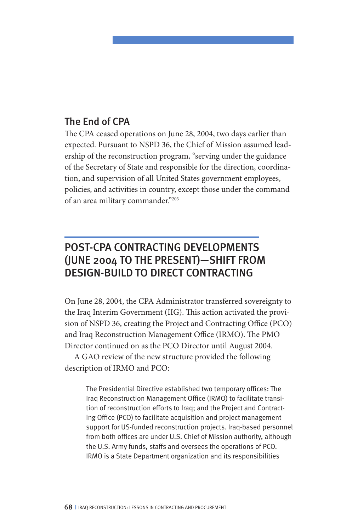# The End of CPA

The CPA ceased operations on June 28, 2004, two days earlier than expected. Pursuant to NSPD 36, the Chief of Mission assumed leadership of the reconstruction program, "serving under the guidance of the Secretary of State and responsible for the direction, coordination, and supervision of all United States government employees, policies, and activities in country, except those under the command of an area military commander."203

# Post-CPA Contracting Developments (June 2004 to the Present)—shift from design-build to direct contracting

On June 28, 2004, the CPA Administrator transferred sovereignty to the Iraq Interim Government (IIG). This action activated the provision of NSPD 36, creating the Project and Contracting Office (PCO) and Iraq Reconstruction Management Office (IRMO). The PMO Director continued on as the PCO Director until August 2004.

A GAO review of the new structure provided the following description of IRMO and PCO:

The Presidential Directive established two temporary offices: The Iraq Reconstruction Management Office (IRMO) to facilitate transition of reconstruction efforts to Iraq; and the Project and Contracting Office (PCO) to facilitate acquisition and project management support for US-funded reconstruction projects. Iraq-based personnel from both offices are under U.S. Chief of Mission authority, although the U.S. Army funds, staffs and oversees the operations of PCO. IRMO is a State Department organization and its responsibilities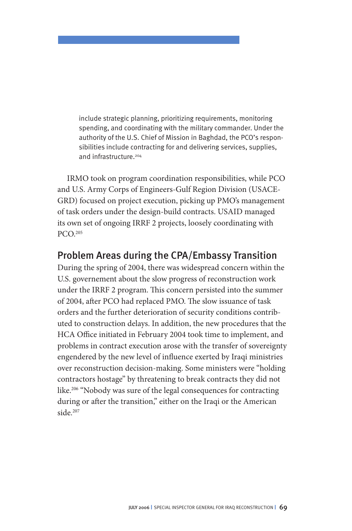include strategic planning, prioritizing requirements, monitoring spending, and coordinating with the military commander. Under the authority of the U.S. Chief of Mission in Baghdad, the PCO's responsibilities include contracting for and delivering services, supplies, and infrastructure<sup>204</sup>

IRMO took on program coordination responsibilities, while PCO and U.S. Army Corps of Engineers-Gulf Region Division (USACE-GRD) focused on project execution, picking up PMO's management of task orders under the design-build contracts. USAID managed its own set of ongoing IRRF 2 projects, loosely coordinating with PCO.205

### Problem Areas during the CPA/Embassy Transition

During the spring of 2004, there was widespread concern within the U.S. governement about the slow progress of reconstruction work under the IRRF 2 program. This concern persisted into the summer of 2004, after PCO had replaced PMO. The slow issuance of task orders and the further deterioration of security conditions contributed to construction delays. In addition, the new procedures that the HCA Office initiated in February 2004 took time to implement, and problems in contract execution arose with the transfer of sovereignty engendered by the new level of influence exerted by Iraqi ministries over reconstruction decision-making. Some ministers were "holding contractors hostage" by threatening to break contracts they did not like.<sup>206</sup> "Nobody was sure of the legal consequences for contracting during or after the transition," either on the Iraqi or the American side.<sup>207</sup>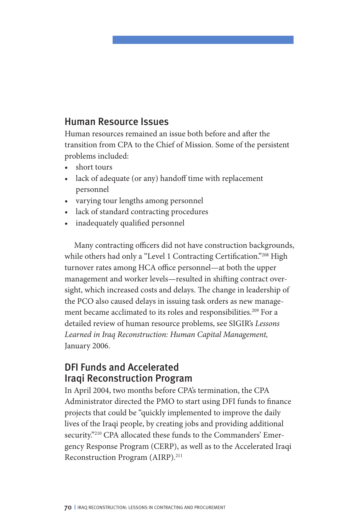# Human Resource Issues

Human resources remained an issue both before and after the transition from CPA to the Chief of Mission. Some of the persistent problems included:

- short tours
- lack of adequate (or any) handoff time with replacement personnel
- varying tour lengths among personnel
- lack of standard contracting procedures
- inadequately qualified personnel

Many contracting officers did not have construction backgrounds, while others had only a "Level 1 Contracting Certification."<sup>208</sup> High turnover rates among HCA office personnel—at both the upper management and worker levels—resulted in shifting contract oversight, which increased costs and delays. The change in leadership of the PCO also caused delays in issuing task orders as new management became acclimated to its roles and responsibilities.<sup>209</sup> For a detailed review of human resource problems, see SIGIR's *Lessons Learned in Iraq Reconstruction: Human Capital Management,* January 2006.

# DFI Funds and Accelerated Iraqi Reconstruction Program

In April 2004, two months before CPA's termination, the CPA Administrator directed the PMO to start using DFI funds to finance projects that could be "quickly implemented to improve the daily lives of the Iraqi people, by creating jobs and providing additional security."<sup>210</sup> CPA allocated these funds to the Commanders' Emergency Response Program (CERP), as well as to the Accelerated Iraqi Reconstruction Program (AIRP).<sup>211</sup>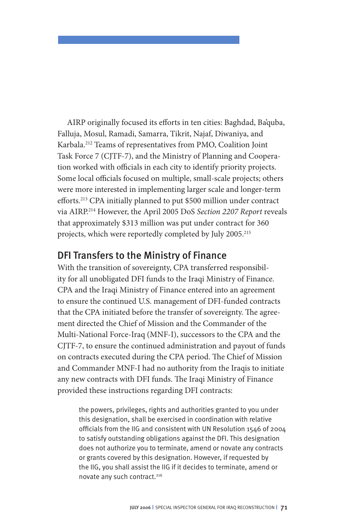AIRP originally focused its efforts in ten cities: Baghdad, Ba'quba, Falluja, Mosul, Ramadi, Samarra, Tikrit, Najaf, Diwaniya, and Karbala.212 Teams of representatives from PMO, Coalition Joint Task Force 7 (CJTF-7), and the Ministry of Planning and Cooperation worked with officials in each city to identify priority projects. Some local officials focused on multiple, small-scale projects; others were more interested in implementing larger scale and longer-term efforts.213 CPA initially planned to put \$500 million under contract via AIRP.214 However, the April 2005 DoS *Section 2207 Report* reveals that approximately \$313 million was put under contract for 360 projects, which were reportedly completed by July 2005.215

## DFI Transfers to the Ministry of Finance

With the transition of sovereignty, CPA transferred responsibility for all unobligated DFI funds to the Iraqi Ministry of Finance. CPA and the Iraqi Ministry of Finance entered into an agreement to ensure the continued U.S. management of DFI-funded contracts that the CPA initiated before the transfer of sovereignty. The agreement directed the Chief of Mission and the Commander of the Multi-National Force-Iraq (MNF-I), successors to the CPA and the CJTF-7, to ensure the continued administration and payout of funds on contracts executed during the CPA period. The Chief of Mission and Commander MNF-I had no authority from the Iraqis to initiate any new contracts with DFI funds. The Iraqi Ministry of Finance provided these instructions regarding DFI contracts:

the powers, privileges, rights and authorities granted to you under this designation, shall be exercised in coordination with relative officials from the IIG and consistent with UN Resolution 1546 of 2004 to satisfy outstanding obligations against the DFI. This designation does not authorize you to terminate, amend or novate any contracts or grants covered by this designation. However, if requested by the IIG, you shall assist the IIG if it decides to terminate, amend or novate any such contract.<sup>216</sup>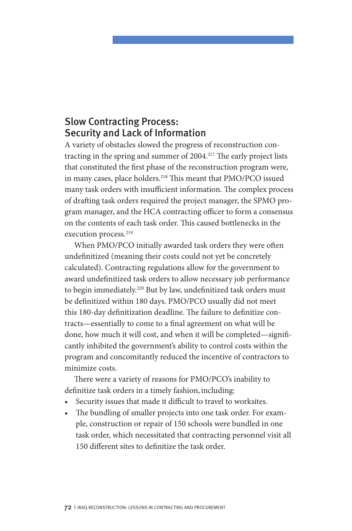# Slow Contracting Process: Security and Lack of Information

A variety of obstacles slowed the progress of reconstruction contracting in the spring and summer of 2004.<sup>217</sup> The early project lists that constituted the first phase of the reconstruction program were, in many cases, place holders.218 This meant that PMO/PCO issued many task orders with insufficient information. The complex process of drafting task orders required the project manager, the SPMO program manager, and the HCA contracting officer to form a consensus on the contents of each task order. This caused bottlenecks in the execution process.<sup>219</sup>

When PMO/PCO initially awarded task orders they were often undefinitized (meaning their costs could not yet be concretely calculated). Contracting regulations allow for the government to award undefinitized task orders to allow necessary job performance to begin immediately.<sup>220</sup> But by law, undefinitized task orders must be definitized within 180 days. PMO/PCO usually did not meet this 180-day definitization deadline. The failure to definitize contracts—essentially to come to a final agreement on what will be done, how much it will cost, and when it will be completed—significantly inhibited the government's ability to control costs within the program and concomitantly reduced the incentive of contractors to minimize costs.

There were a variety of reasons for PMO/PCO's inability to definitize task orders in a timely fashion, including:

- Security issues that made it difficult to travel to worksites.
- The bundling of smaller projects into one task order. For example, construction or repair of 150 schools were bundled in one task order, which necessitated that contracting personnel visit all 150 different sites to definitize the task order.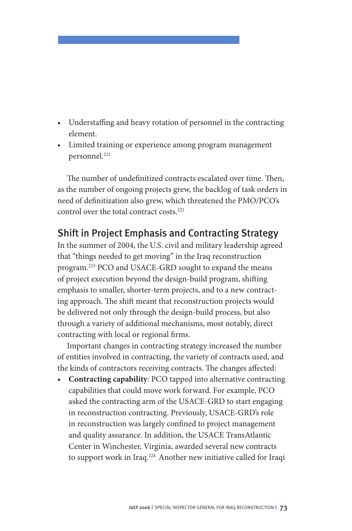- Understaffing and heavy rotation of personnel in the contracting element.
- Limited training or experience among program management personnel.<sup>221</sup>

The number of undefinitized contracts escalated over time. Then, as the number of ongoing projects grew, the backlog of task orders in need of definitization also grew, which threatened the PMO/PCO's control over the total contract costs.<sup>222</sup>

## Shift in Project Emphasis and Contracting Strategy

In the summer of 2004, the U.S. civil and military leadership agreed that "things needed to get moving" in the Iraq reconstruction program.223 PCO and USACE-GRD sought to expand the means of project execution beyond the design-build program, shifting emphasis to smaller, shorter-term projects, and to a new contracting approach. The shift meant that reconstruction projects would be delivered not only through the design-build process, but also through a variety of additional mechanisms, most notably, direct contracting with local or regional firms.

Important changes in contracting strategy increased the number of entities involved in contracting, the variety of contracts used, and the kinds of contractors receiving contracts. The changes affected:

• **Contracting capability**: PCO tapped into alternative contracting capabilities that could move work forward. For example, PCO asked the contracting arm of the USACE-GRD to start engaging in reconstruction contracting. Previously, USACE-GRD's role in reconstruction was largely confined to project management and quality assurance. In addition, the USACE TransAtlantic Center in Winchester, Virginia, awarded several new contracts to support work in Iraq.<sup>224</sup> Another new initiative called for Iraqi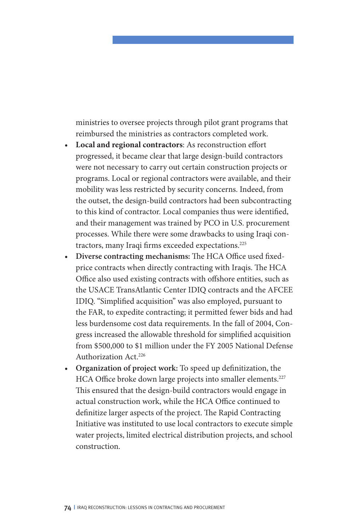ministries to oversee projects through pilot grant programs that reimbursed the ministries as contractors completed work.

- **Local and regional contractors**: As reconstruction effort progressed, it became clear that large design-build contractors were not necessary to carry out certain construction projects or programs. Local or regional contractors were available, and their mobility was less restricted by security concerns. Indeed, from the outset, the design-build contractors had been subcontracting to this kind of contractor. Local companies thus were identified, and their management was trained by PCO in U.S. procurement processes. While there were some drawbacks to using Iraqi contractors, many Iraqi firms exceeded expectations.<sup>225</sup>
- **Diverse contracting mechanisms:** The HCA Office used fixedprice contracts when directly contracting with Iraqis. The HCA Office also used existing contracts with offshore entities, such as the USACE TransAtlantic Center IDIQ contracts and the AFCEE IDIQ. "Simplified acquisition" was also employed, pursuant to the FAR, to expedite contracting; it permitted fewer bids and had less burdensome cost data requirements. In the fall of 2004, Congress increased the allowable threshold for simplified acquisition from \$500,000 to \$1 million under the FY 2005 National Defense Authorization Act.<sup>226</sup>
- **Organization of project work:** To speed up definitization, the HCA Office broke down large projects into smaller elements.<sup>227</sup> This ensured that the design-build contractors would engage in actual construction work, while the HCA Office continued to definitize larger aspects of the project. The Rapid Contracting Initiative was instituted to use local contractors to execute simple water projects, limited electrical distribution projects, and school construction.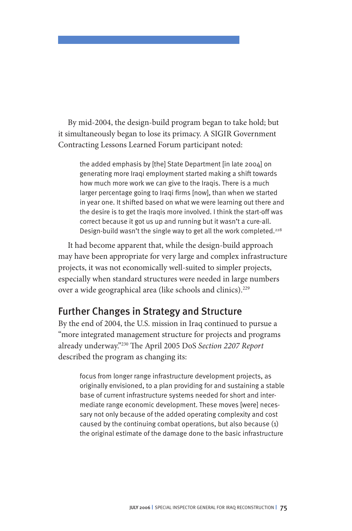By mid-2004, the design-build program began to take hold; but it simultaneously began to lose its primacy. A SIGIR Government Contracting Lessons Learned Forum participant noted:

the added emphasis by [the] State Department [in late 2004] on generating more Iraqi employment started making a shift towards how much more work we can give to the Iraqis. There is a much larger percentage going to Iraqi firms [now], than when we started in year one. It shifted based on what we were learning out there and the desire is to get the Iraqis more involved. I think the start-off was correct because it got us up and running but it wasn't a cure-all. Design-build wasn't the single way to get all the work completed.<sup>228</sup>

It had become apparent that, while the design-build approach may have been appropriate for very large and complex infrastructure projects, it was not economically well-suited to simpler projects, especially when standard structures were needed in large numbers over a wide geographical area (like schools and clinics).<sup>229</sup>

## Further Changes in Strategy and Structure

By the end of 2004, the U.S. mission in Iraq continued to pursue a "more integrated management structure for projects and programs already underway."230 The April 2005 DoS *Section 2207 Report* described the program as changing its:

focus from longer range infrastructure development projects, as originally envisioned, to a plan providing for and sustaining a stable base of current infrastructure systems needed for short and intermediate range economic development. These moves [were] necessary not only because of the added operating complexity and cost caused by the continuing combat operations, but also because (1) the original estimate of the damage done to the basic infrastructure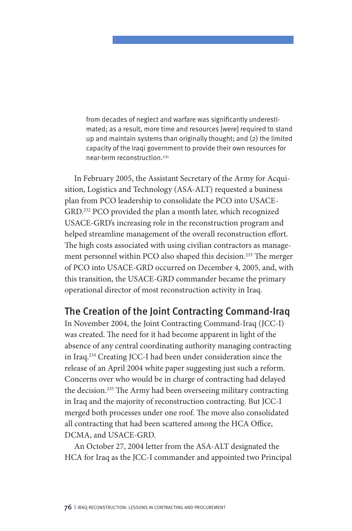from decades of neglect and warfare was significantly underestimated; as a result, more time and resources [were] required to stand up and maintain systems than originally thought; and (2) the limited capacity of the Iraqi government to provide their own resources for near-term reconstruction.231

In February 2005, the Assistant Secretary of the Army for Acquisition, Logistics and Technology (ASA-ALT) requested a business plan from PCO leadership to consolidate the PCO into USACE-GRD.232 PCO provided the plan a month later, which recognized USACE-GRD's increasing role in the reconstruction program and helped streamline management of the overall reconstruction effort. The high costs associated with using civilian contractors as management personnel within PCO also shaped this decision.<sup>233</sup> The merger of PCO into USACE-GRD occurred on December 4, 2005, and, with this transition, the USACE-GRD commander became the primary operational director of most reconstruction activity in Iraq.

## The Creation of the Joint Contracting Command-Iraq

In November 2004, the Joint Contracting Command-Iraq (JCC-I) was created. The need for it had become apparent in light of the absence of any central coordinating authority managing contracting in Iraq.234 Creating JCC-I had been under consideration since the release of an April 2004 white paper suggesting just such a reform. Concerns over who would be in charge of contracting had delayed the decision.235 The Army had been overseeing military contracting in Iraq and the majority of reconstruction contracting. But JCC-I merged both processes under one roof. The move also consolidated all contracting that had been scattered among the HCA Office, DCMA, and USACE-GRD.

 An October 27, 2004 letter from the ASA-ALT designated the HCA for Iraq as the JCC-I commander and appointed two Principal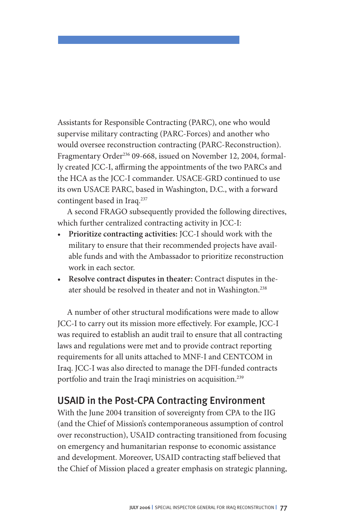Assistants for Responsible Contracting (PARC), one who would supervise military contracting (PARC-Forces) and another who would oversee reconstruction contracting (PARC-Reconstruction). Fragmentary Order<sup>236</sup> 09-668, issued on November 12, 2004, formally created JCC-I, affirming the appointments of the two PARCs and the HCA as the JCC-I commander. USACE-GRD continued to use its own USACE PARC, based in Washington, D.C., with a forward contingent based in Iraq.237

A second FRAGO subsequently provided the following directives, which further centralized contracting activity in JCC-I:

- **Prioritize contracting activities:** JCC-I should work with the military to ensure that their recommended projects have available funds and with the Ambassador to prioritize reconstruction work in each sector.
- **Resolve contract disputes in theater:** Contract disputes in theater should be resolved in theater and not in Washington.<sup>238</sup>

A number of other structural modifications were made to allow JCC-I to carry out its mission more effectively. For example, JCC-I was required to establish an audit trail to ensure that all contracting laws and regulations were met and to provide contract reporting requirements for all units attached to MNF-I and CENTCOM in Iraq. JCC-I was also directed to manage the DFI-funded contracts portfolio and train the Iraqi ministries on acquisition.<sup>239</sup>

## USAID in the Post-CPA Contracting Environment

With the June 2004 transition of sovereignty from CPA to the IIG (and the Chief of Mission's contemporaneous assumption of control over reconstruction), USAID contracting transitioned from focusing on emergency and humanitarian response to economic assistance and development. Moreover, USAID contracting staff believed that the Chief of Mission placed a greater emphasis on strategic planning,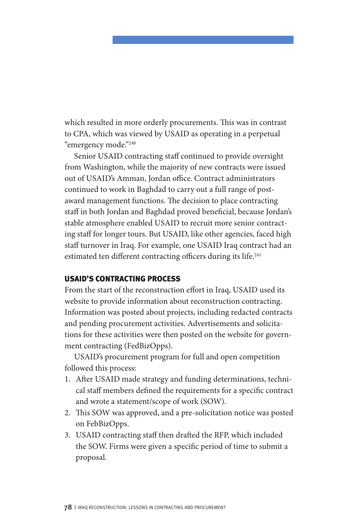which resulted in more orderly procurements. This was in contrast to CPA, which was viewed by USAID as operating in a perpetual "emergency mode."240

Senior USAID contracting staff continued to provide oversight from Washington, while the majority of new contracts were issued out of USAID's Amman, Jordan office. Contract administrators continued to work in Baghdad to carry out a full range of postaward management functions. The decision to place contracting staff in both Jordan and Baghdad proved beneficial, because Jordan's stable atmosphere enabled USAID to recruit more senior contracting staff for longer tours. But USAID, like other agencies, faced high staff turnover in Iraq. For example, one USAID Iraq contract had an estimated ten different contracting officers during its life.<sup>241</sup>

#### USAID's Contracting Process

From the start of the reconstruction effort in Iraq, USAID used its website to provide information about reconstruction contracting. Information was posted about projects, including redacted contracts and pending procurement activities. Advertisements and solicitations for these activities were then posted on the website for government contracting (FedBizOpps).

USAID's procurement program for full and open competition followed this process:

- 1. After USAID made strategy and funding determinations, technical staff members defined the requirements for a specific contract and wrote a statement/scope of work (SOW).
- 2. This SOW was approved, and a pre-solicitation notice was posted on FebBizOpps.
- 3. USAID contracting staff then drafted the RFP, which included the SOW. Firms were given a specific period of time to submit a proposal.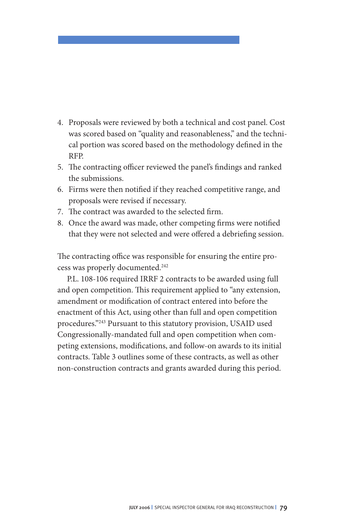- 4. Proposals were reviewed by both a technical and cost panel. Cost was scored based on "quality and reasonableness," and the technical portion was scored based on the methodology defined in the RFP.
- 5. The contracting officer reviewed the panel's findings and ranked the submissions.
- 6. Firms were then notified if they reached competitive range, and proposals were revised if necessary.
- 7. The contract was awarded to the selected firm.
- 8. Once the award was made, other competing firms were notified that they were not selected and were offered a debriefing session.

The contracting office was responsible for ensuring the entire process was properly documented.242

P.L. 108-106 required IRRF 2 contracts to be awarded using full and open competition. This requirement applied to "any extension, amendment or modification of contract entered into before the enactment of this Act, using other than full and open competition procedures."243 Pursuant to this statutory provision, USAID used Congressionally-mandated full and open competition when competing extensions, modifications, and follow-on awards to its initial contracts. Table 3 outlines some of these contracts, as well as other non-construction contracts and grants awarded during this period.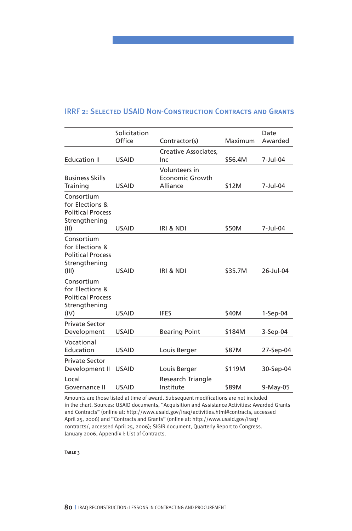|                                                                                     | Solicitation<br>Office | Contractor(s)                                | Maximum | Date<br>Awarded |
|-------------------------------------------------------------------------------------|------------------------|----------------------------------------------|---------|-----------------|
| <b>Education II</b>                                                                 | <b>USAID</b>           | Creative Associates.<br><b>Inc</b>           | \$56.4M | 7-Jul-04        |
| <b>Business Skills</b><br>Training                                                  | <b>USAID</b>           | Volunteers in<br>Economic Growth<br>Alliance | \$12M   | 7-Jul-04        |
| Consortium<br>for Elections &<br><b>Political Process</b><br>Strengthening<br>(II)  | <b>USAID</b>           | IRI & NDI                                    | \$50M   | 7-Jul-04        |
| Consortium<br>for Elections &<br><b>Political Process</b><br>Strengthening<br>(III) | <b>USAID</b>           | IRI & NDI                                    | \$35.7M | 26-Jul-04       |
| Consortium<br>for Elections &<br><b>Political Process</b><br>Strengthening<br>(IV)  | <b>USAID</b>           | <b>IFES</b>                                  | \$40M   | $1-Sep-04$      |
| <b>Private Sector</b><br>Development                                                | <b>USAID</b>           | <b>Bearing Point</b>                         | \$184M  | $3-$ Sep $-04$  |
| Vocational<br>Education                                                             | <b>USAID</b>           | Louis Berger                                 | \$87M   | 27-Sep-04       |
| <b>Private Sector</b><br>Development II                                             | <b>USAID</b>           | Louis Berger                                 | \$119M  | 30-Sep-04       |
| Local<br>Governance II                                                              | <b>USAID</b>           | Research Triangle<br>Institute               | \$89M   | $9-May-05$      |

#### IRRF 2: Selected USAID Non-Construction Contracts and Grants

Amounts are those listed at time of award. Subsequent modifications are not included in the chart. Sources: USAID documents, "Acquisition and Assistance Activities: Awarded Grants and Contracts" (online at: http://www.usaid.gov/iraq/activities.html#contracts, accessed April 25, 2006) and "Contracts and Grants" (online at: http://www.usaid.gov/iraq/ contracts/, accessed April 25, 2006); SIGIR document, Quarterly Report to Congress. January 2006, Appendix I: List of Contracts.

TABLE<sub>3</sub>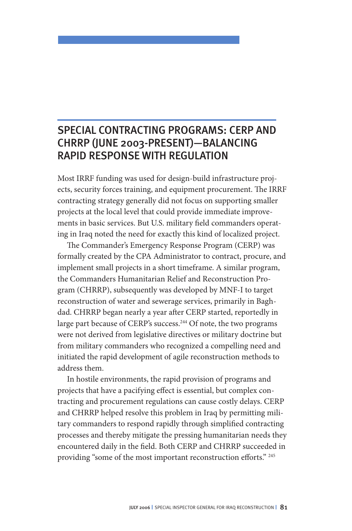## special Contracting Programs: CERP and CHRRP (June 2003-Present)—Balancing Rapid Response with Regulation

Most IRRF funding was used for design-build infrastructure projects, security forces training, and equipment procurement. The IRRF contracting strategy generally did not focus on supporting smaller projects at the local level that could provide immediate improvements in basic services. But U.S. military field commanders operating in Iraq noted the need for exactly this kind of localized project.

The Commander's Emergency Response Program (CERP) was formally created by the CPA Administrator to contract, procure, and implement small projects in a short timeframe. A similar program, the Commanders Humanitarian Relief and Reconstruction Program (CHRRP), subsequently was developed by MNF-I to target reconstruction of water and sewerage services, primarily in Baghdad. CHRRP began nearly a year after CERP started, reportedly in large part because of CERP's success.<sup>244</sup> Of note, the two programs were not derived from legislative directives or military doctrine but from military commanders who recognized a compelling need and initiated the rapid development of agile reconstruction methods to address them.

In hostile environments, the rapid provision of programs and projects that have a pacifying effect is essential, but complex contracting and procurement regulations can cause costly delays. CERP and CHRRP helped resolve this problem in Iraq by permitting military commanders to respond rapidly through simplified contracting processes and thereby mitigate the pressing humanitarian needs they encountered daily in the field. Both CERP and CHRRP succeeded in providing "some of the most important reconstruction efforts." 245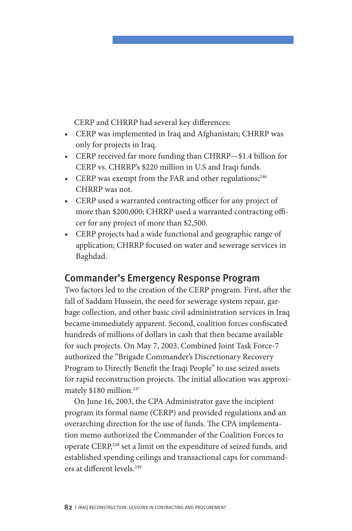CERP and CHRRP had several key differences:

- CERP was implemented in Iraq and Afghanistan; CHRRP was only for projects in Iraq.
- CERP received far more funding than CHRRP—\$1.4 billion for CERP vs. CHRRP's \$220 million in U.S and Iraqi funds.
- CERP was exempt from the FAR and other regulations; $^{246}$ CHRRP was not.
- CERP used a warranted contracting officer for any project of more than \$200,000; CHRRP used a warranted contracting officer for any project of more than \$2,500.
- CERP projects had a wide functional and geographic range of application; CHRRP focused on water and sewerage services in Baghdad.

### Commander's Emergency Response Program

Two factors led to the creation of the CERP program. First, after the fall of Saddam Hussein, the need for sewerage system repair, garbage collection, and other basic civil administration services in Iraq became immediately apparent. Second, coalition forces confiscated hundreds of millions of dollars in cash that then became available for such projects. On May 7, 2003, Combined Joint Task Force-7 authorized the "Brigade Commander's Discretionary Recovery Program to Directly Benefit the Iraqi People" to use seized assets for rapid reconstruction projects. The initial allocation was approximately \$180 million.<sup>247</sup>

On June 16, 2003, the CPA Administrator gave the incipient program its formal name (CERP) and provided regulations and an overarching direction for the use of funds. The CPA implementation memo authorized the Commander of the Coalition Forces to operate CERP,<sup>248</sup> set a limit on the expenditure of seized funds, and established spending ceilings and transactional caps for commanders at different levels.<sup>249</sup>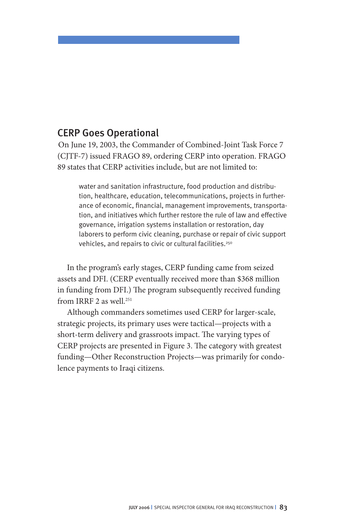## CERP Goes Operational

On June 19, 2003, the Commander of Combined-Joint Task Force 7 (CJTF-7) issued FRAGO 89, ordering CERP into operation. FRAGO 89 states that CERP activities include, but are not limited to:

water and sanitation infrastructure, food production and distribution, healthcare, education, telecommunications, projects in furtherance of economic, financial, management improvements, transportation, and initiatives which further restore the rule of law and effective governance, irrigation systems installation or restoration, day laborers to perform civic cleaning, purchase or repair of civic support vehicles, and repairs to civic or cultural facilities.<sup>250</sup>

In the program's early stages, CERP funding came from seized assets and DFI. (CERP eventually received more than \$368 million in funding from DFI.) The program subsequently received funding from IRRF 2 as well.<sup>251</sup>

Although commanders sometimes used CERP for larger-scale, strategic projects, its primary uses were tactical—projects with a short-term delivery and grassroots impact. The varying types of CERP projects are presented in Figure 3. The category with greatest funding—Other Reconstruction Projects—was primarily for condolence payments to Iraqi citizens.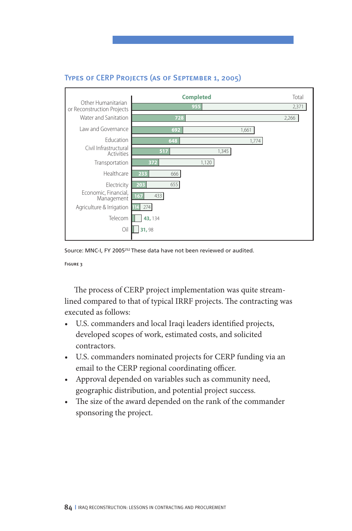

### Types of CERP Projects (as of September 1, 2005)

Source: MNC-I, FY 2005<sup>252</sup> These data have not been reviewed or audited.

Figure 3

The process of CERP project implementation was quite streamlined compared to that of typical IRRF projects. The contracting was executed as follows:

- U.S. commanders and local Iraqi leaders identified projects, developed scopes of work, estimated costs, and solicited contractors.
- U.S. commanders nominated projects for CERP funding via an email to the CERP regional coordinating officer.
- Approval depended on variables such as community need, geographic distribution, and potential project success.
- The size of the award depended on the rank of the commander sponsoring the project.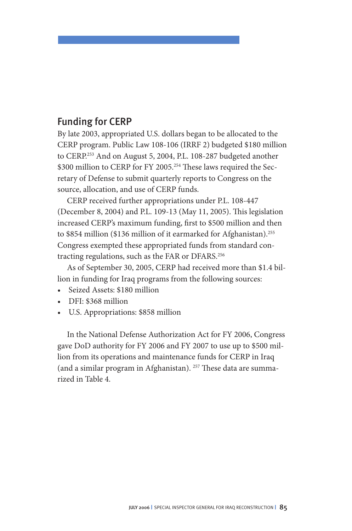## Funding for CERP

By late 2003, appropriated U.S. dollars began to be allocated to the CERP program. Public Law 108-106 (IRRF 2) budgeted \$180 million to CERP.253 And on August 5, 2004, P.L. 108-287 budgeted another \$300 million to CERP for FY 2005.<sup>254</sup> These laws required the Secretary of Defense to submit quarterly reports to Congress on the source, allocation, and use of CERP funds.

CERP received further appropriations under P.L. 108-447 (December 8, 2004) and P.L. 109-13 (May 11, 2005). This legislation increased CERP's maximum funding, first to \$500 million and then to \$854 million (\$136 million of it earmarked for Afghanistan).<sup>255</sup> Congress exempted these appropriated funds from standard contracting regulations, such as the FAR or DFARS.<sup>256</sup>

As of September 30, 2005, CERP had received more than \$1.4 billion in funding for Iraq programs from the following sources:

- Seized Assets: \$180 million
- DFI: \$368 million
- U.S. Appropriations: \$858 million

In the National Defense Authorization Act for FY 2006, Congress gave DoD authority for FY 2006 and FY 2007 to use up to \$500 million from its operations and maintenance funds for CERP in Iraq (and a similar program in Afghanistan). 257 These data are summarized in Table 4.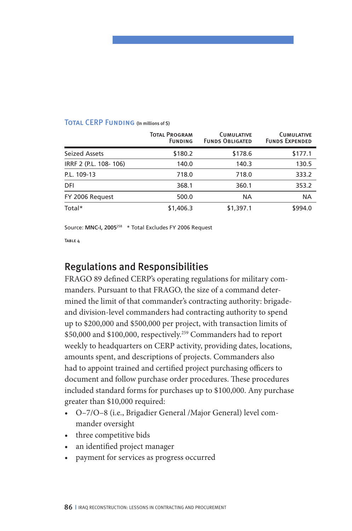|                       | <b>TOTAL PROGRAM</b><br><b>FUNDING</b> | CUMULATIVE<br><b>FUNDS OBLIGATED</b> | <b>CUMULATIVE</b><br><b>FUNDS EXPENDED</b> |
|-----------------------|----------------------------------------|--------------------------------------|--------------------------------------------|
| Seized Assets         | \$180.2                                | \$178.6                              | \$177.1                                    |
| IRRF 2 (P.L. 108-106) | 140.0                                  | 140.3                                | 130.5                                      |
| P.L. 109-13           | 718.0                                  | 718.0                                | 333.2                                      |
| DFI                   | 368.1                                  | 360.1                                | 353.2                                      |
| FY 2006 Request       | 500.0                                  | <b>NA</b>                            | <b>NA</b>                                  |
| Total*                | \$1,406.3                              | \$1,397.1                            | \$994.0                                    |

#### TOTAL CERP FUNDING (In millions of S)

Source: MNC-I, 2005<sup>258</sup> \* Total Excludes FY 2006 Request

TABLE<sub>4</sub>

### Regulations and Responsibilities

FRAGO 89 defined CERP's operating regulations for military commanders. Pursuant to that FRAGO, the size of a command determined the limit of that commander's contracting authority: brigadeand division-level commanders had contracting authority to spend up to \$200,000 and \$500,000 per project, with transaction limits of \$50,000 and \$100,000, respectively.<sup>259</sup> Commanders had to report weekly to headquarters on CERP activity, providing dates, locations, amounts spent, and descriptions of projects. Commanders also had to appoint trained and certified project purchasing officers to document and follow purchase order procedures. These procedures included standard forms for purchases up to \$100,000. Any purchase greater than \$10,000 required:

- O–7/O–8 (i.e., Brigadier General /Major General) level commander oversight
- three competitive bids
- an identified project manager
- payment for services as progress occurred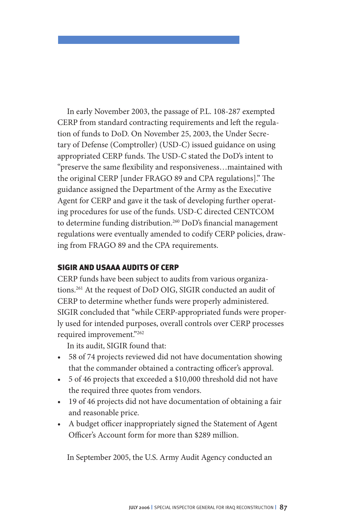In early November 2003, the passage of P.L. 108-287 exempted CERP from standard contracting requirements and left the regulation of funds to DoD. On November 25, 2003, the Under Secretary of Defense (Comptroller) (USD-C) issued guidance on using appropriated CERP funds. The USD-C stated the DoD's intent to "preserve the same flexibility and responsiveness…maintained with the original CERP [under FRAGO 89 and CPA regulations]." The guidance assigned the Department of the Army as the Executive Agent for CERP and gave it the task of developing further operating procedures for use of the funds. USD-C directed CENTCOM to determine funding distribution.<sup>260</sup> DoD's financial management regulations were eventually amended to codify CERP policies, drawing from FRAGO 89 and the CPA requirements.

#### SIGIR and USAAA Audits of CERP

CERP funds have been subject to audits from various organizations.261 At the request of DoD OIG, SIGIR conducted an audit of CERP to determine whether funds were properly administered. SIGIR concluded that "while CERP-appropriated funds were properly used for intended purposes, overall controls over CERP processes required improvement."262

In its audit, SIGIR found that:

- 58 of 74 projects reviewed did not have documentation showing that the commander obtained a contracting officer's approval.
- 5 of 46 projects that exceeded a \$10,000 threshold did not have the required three quotes from vendors.
- 19 of 46 projects did not have documentation of obtaining a fair and reasonable price.
- A budget officer inappropriately signed the Statement of Agent Officer's Account form for more than \$289 million.

In September 2005, the U.S. Army Audit Agency conducted an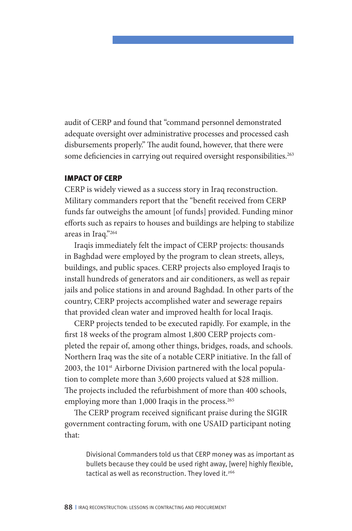audit of CERP and found that "command personnel demonstrated adequate oversight over administrative processes and processed cash disbursements properly." The audit found, however, that there were some deficiencies in carrying out required oversight responsibilities.<sup>263</sup>

#### Impact of CERP

CERP is widely viewed as a success story in Iraq reconstruction. Military commanders report that the "benefit received from CERP funds far outweighs the amount [of funds] provided. Funding minor efforts such as repairs to houses and buildings are helping to stabilize areas in Iraq."264

Iraqis immediately felt the impact of CERP projects: thousands in Baghdad were employed by the program to clean streets, alleys, buildings, and public spaces. CERP projects also employed Iraqis to install hundreds of generators and air conditioners, as well as repair jails and police stations in and around Baghdad. In other parts of the country, CERP projects accomplished water and sewerage repairs that provided clean water and improved health for local Iraqis.

CERP projects tended to be executed rapidly. For example, in the first 18 weeks of the program almost 1,800 CERP projects completed the repair of, among other things, bridges, roads, and schools. Northern Iraq was the site of a notable CERP initiative. In the fall of 2003, the 101<sup>st</sup> Airborne Division partnered with the local population to complete more than 3,600 projects valued at \$28 million. The projects included the refurbishment of more than 400 schools, employing more than 1,000 Iraqis in the process.<sup>265</sup>

The CERP program received significant praise during the SIGIR government contracting forum, with one USAID participant noting that:

Divisional Commanders told us that CERP money was as important as bullets because they could be used right away, [were] highly flexible, tactical as well as reconstruction. They loved it.<sup>266</sup>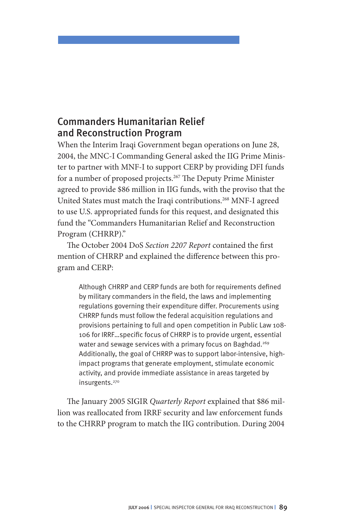## Commanders Humanitarian Relief and Reconstruction Program

When the Interim Iraqi Government began operations on June 28, 2004, the MNC-I Commanding General asked the IIG Prime Minister to partner with MNF-I to support CERP by providing DFI funds for a number of proposed projects.<sup>267</sup> The Deputy Prime Minister agreed to provide \$86 million in IIG funds, with the proviso that the United States must match the Iraqi contributions.268 MNF-I agreed to use U.S. appropriated funds for this request, and designated this fund the "Commanders Humanitarian Relief and Reconstruction Program (CHRRP)."

The October 2004 DoS *Section 2207 Report* contained the first mention of CHRRP and explained the difference between this program and CERP:

Although CHRRP and CERP funds are both for requirements defined by military commanders in the field, the laws and implementing regulations governing their expenditure differ. Procurements using CHRRP funds must follow the federal acquisition regulations and provisions pertaining to full and open competition in Public Law 108- 106 for IRRF…specific focus of CHRRP is to provide urgent, essential water and sewage services with a primary focus on Baghdad.<sup>269</sup> Additionally, the goal of CHRRP was to support labor-intensive, highimpact programs that generate employment, stimulate economic activity, and provide immediate assistance in areas targeted by insurgents.<sup>270</sup>

The January 2005 SIGIR *Quarterly Report* explained that \$86 million was reallocated from IRRF security and law enforcement funds to the CHRRP program to match the IIG contribution. During 2004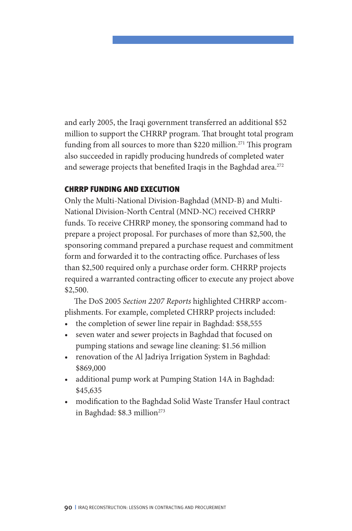and early 2005, the Iraqi government transferred an additional \$52 million to support the CHRRP program. That brought total program funding from all sources to more than \$220 million.<sup>271</sup> This program also succeeded in rapidly producing hundreds of completed water and sewerage projects that benefited Iraqis in the Baghdad area.<sup>272</sup>

### CHRRP Funding and Execution

Only the Multi-National Division-Baghdad (MND-B) and Multi-National Division-North Central (MND-NC) received CHRRP funds. To receive CHRRP money, the sponsoring command had to prepare a project proposal. For purchases of more than \$2,500, the sponsoring command prepared a purchase request and commitment form and forwarded it to the contracting office. Purchases of less than \$2,500 required only a purchase order form. CHRRP projects required a warranted contracting officer to execute any project above \$2,500.

The DoS 2005 *Section 2207 Reports* highlighted CHRRP accomplishments. For example, completed CHRRP projects included:

- the completion of sewer line repair in Baghdad: \$58,555
- seven water and sewer projects in Baghdad that focused on pumping stations and sewage line cleaning: \$1.56 million
- renovation of the Al Jadriya Irrigation System in Baghdad: \$869,000
- additional pump work at Pumping Station 14A in Baghdad: \$45,635
- modification to the Baghdad Solid Waste Transfer Haul contract in Baghdad:  $$8.3$  million<sup>273</sup>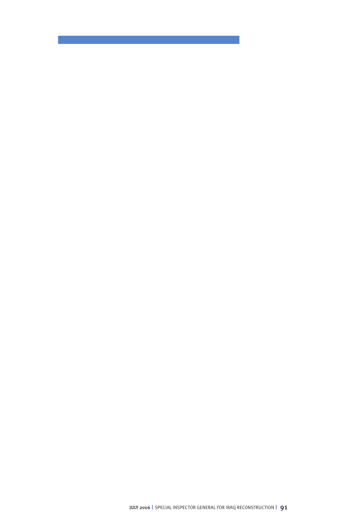JULY 2006 | SPECIAL INSPECTOR GENERAL FOR IRAQ RECONSTRUCTION | 91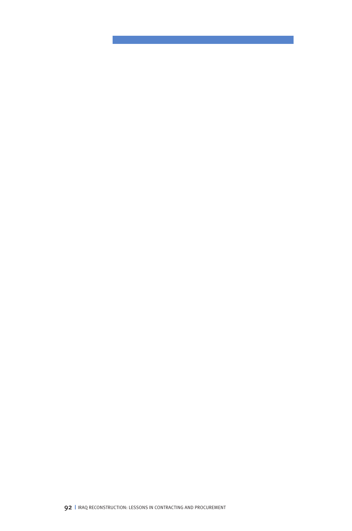92 | IRAQ RECONSTRUCTION: LESSONS IN CONTRACTING AND PROCUREMENT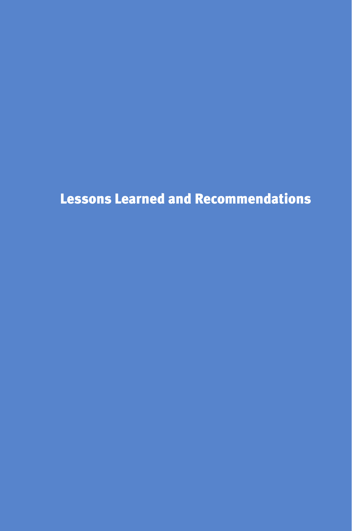Lessons Learned and Recommendations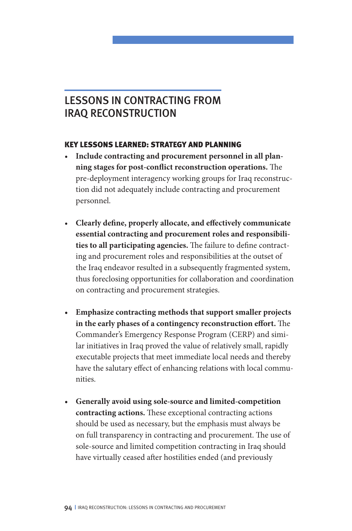## Lessons in Contracting from Iraq Reconstruction

### Key Lessons Learned: Strategy and Planning

- Include contracting and procurement personnel in all plan**ning stages for post-conflict reconstruction operations.** The pre-deployment interagency working groups for Iraq reconstruction did not adequately include contracting and procurement personnel.
- **Clearly define, properly allocate, and effectively communicate essential contracting and procurement roles and responsibilities to all participating agencies.** The failure to define contracting and procurement roles and responsibilities at the outset of the Iraq endeavor resulted in a subsequently fragmented system, thus foreclosing opportunities for collaboration and coordination on contracting and procurement strategies.
- **• Emphasize contracting methods that support smaller projects in the early phases of a contingency reconstruction effort.** The Commander's Emergency Response Program (CERP) and similar initiatives in Iraq proved the value of relatively small, rapidly executable projects that meet immediate local needs and thereby have the salutary effect of enhancing relations with local communities.
- **• Generally avoid using sole-source and limited-competition contracting actions.** These exceptional contracting actions should be used as necessary, but the emphasis must always be on full transparency in contracting and procurement. The use of sole-source and limited competition contracting in Iraq should have virtually ceased after hostilities ended (and previously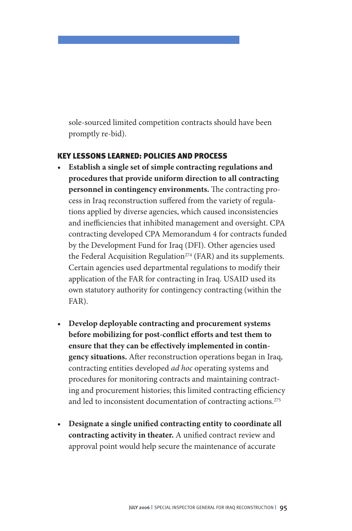sole-sourced limited competition contracts should have been promptly re-bid).

### Key Lessons Learned: Policies and Process

- **• Establish a single set of simple contracting regulations and procedures that provide uniform direction to all contracting personnel in contingency environments.** The contracting process in Iraq reconstruction suffered from the variety of regulations applied by diverse agencies, which caused inconsistencies and inefficiencies that inhibited management and oversight. CPA contracting developed CPA Memorandum 4 for contracts funded by the Development Fund for Iraq (DFI). Other agencies used the Federal Acquisition Regulation<sup>274</sup> (FAR) and its supplements. Certain agencies used departmental regulations to modify their application of the FAR for contracting in Iraq. USAID used its own statutory authority for contingency contracting (within the FAR).
- **• Develop deployable contracting and procurement systems before mobilizing for post-conflict efforts and test them to ensure that they can be effectively implemented in contingency situations.** After reconstruction operations began in Iraq, contracting entities developed *ad hoc* operating systems and procedures for monitoring contracts and maintaining contracting and procurement histories; this limited contracting efficiency and led to inconsistent documentation of contracting actions.<sup>275</sup>
- **• Designate a single unified contracting entity to coordinate all contracting activity in theater.** A unified contract review and approval point would help secure the maintenance of accurate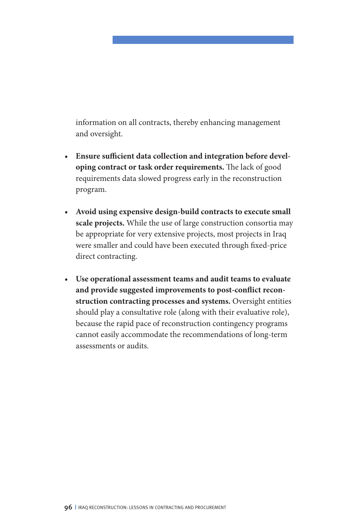information on all contracts, thereby enhancing management and oversight.

- **• Ensure sufficient data collection and integration before developing contract or task order requirements.** The lack of good requirements data slowed progress early in the reconstruction program.
- **• Avoid using expensive design-build contracts to execute small scale projects.** While the use of large construction consortia may be appropriate for very extensive projects, most projects in Iraq were smaller and could have been executed through fixed-price direct contracting.
- **• Use operational assessment teams and audit teams to evaluate and provide suggested improvements to post-conflict reconstruction contracting processes and systems.** Oversight entities should play a consultative role (along with their evaluative role), because the rapid pace of reconstruction contingency programs cannot easily accommodate the recommendations of long-term assessments or audits.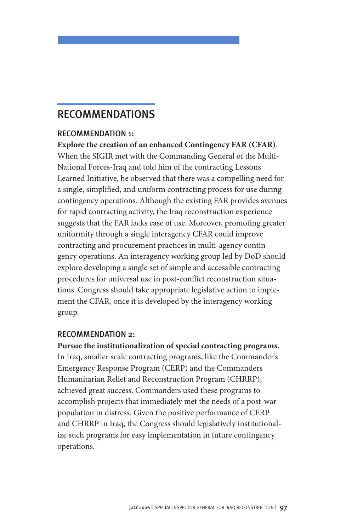## Recommendations

### Recommendation 1:

**Explore the creation of an enhanced Contingency FAR (CFAR)**. When the SIGIR met with the Commanding General of the Multi-National Forces-Iraq and told him of the contracting Lessons

Learned Initiative, he observed that there was a compelling need for a single, simplified, and uniform contracting process for use during contingency operations. Although the existing FAR provides avenues for rapid contracting activity, the Iraq reconstruction experience suggests that the FAR lacks ease of use. Moreover, promoting greater uniformity through a single interagency CFAR could improve contracting and procurement practices in multi-agency contingency operations. An interagency working group led by DoD should explore developing a single set of simple and accessible contracting procedures for universal use in post-conflict reconstruction situations. Congress should take appropriate legislative action to implement the CFAR, once it is developed by the interagency working group.

### Recommendation 2:

**Pursue the institutionalization of special contracting programs.**  In Iraq, smaller scale contracting programs, like the Commander's Emergency Response Program (CERP) and the Commanders Humanitarian Relief and Reconstruction Program (CHRRP), achieved great success. Commanders used these programs to accomplish projects that immediately met the needs of a post-war population in distress. Given the positive performance of CERP and CHRRP in Iraq, the Congress should legislatively institutionalize such programs for easy implementation in future contingency operations.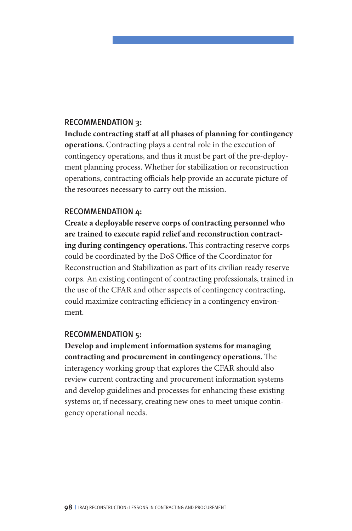### RECOMMENDATION 3:

**Include contracting staff at all phases of planning for contingency operations.** Contracting plays a central role in the execution of contingency operations, and thus it must be part of the pre-deployment planning process. Whether for stabilization or reconstruction operations, contracting officials help provide an accurate picture of the resources necessary to carry out the mission.

### Recommendation 4:

**Create a deployable reserve corps of contracting personnel who are trained to execute rapid relief and reconstruction contracting during contingency operations.** This contracting reserve corps could be coordinated by the DoS Office of the Coordinator for Reconstruction and Stabilization as part of its civilian ready reserve corps. An existing contingent of contracting professionals, trained in the use of the CFAR and other aspects of contingency contracting, could maximize contracting efficiency in a contingency environment.

### RECOMMENDATION 5:

**Develop and implement information systems for managing contracting and procurement in contingency operations.** The interagency working group that explores the CFAR should also review current contracting and procurement information systems and develop guidelines and processes for enhancing these existing systems or, if necessary, creating new ones to meet unique contingency operational needs.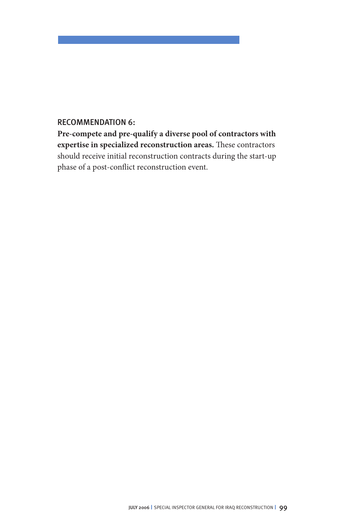### Recommendation 6:

**Pre-compete and pre-qualify a diverse pool of contractors with expertise in specialized reconstruction areas.** These contractors should receive initial reconstruction contracts during the start-up phase of a post-conflict reconstruction event.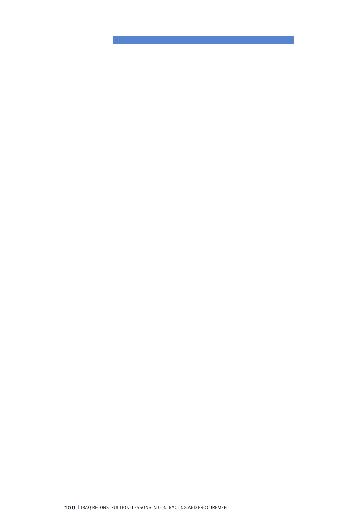100 | IRAQ RECONSTRUCTION: LESSONS IN CONTRACTING AND PROCUREMENT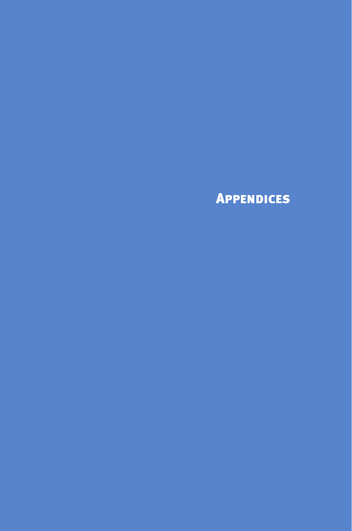# **APPENDICES**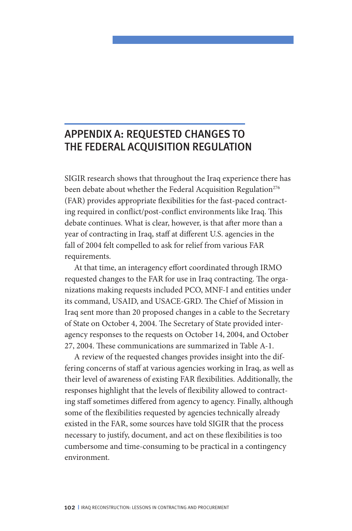## Appendix A: Requested Changes to the Federal Acquisition Regulation

SIGIR research shows that throughout the Iraq experience there has been debate about whether the Federal Acquisition Regulation<sup>276</sup> (FAR) provides appropriate flexibilities for the fast-paced contracting required in conflict/post-conflict environments like Iraq. This debate continues. What is clear, however, is that after more than a year of contracting in Iraq, staff at different U.S. agencies in the fall of 2004 felt compelled to ask for relief from various FAR requirements.

At that time, an interagency effort coordinated through IRMO requested changes to the FAR for use in Iraq contracting. The organizations making requests included PCO, MNF-I and entities under its command, USAID, and USACE-GRD. The Chief of Mission in Iraq sent more than 20 proposed changes in a cable to the Secretary of State on October 4, 2004. The Secretary of State provided interagency responses to the requests on October 14, 2004, and October 27, 2004. These communications are summarized in Table A-1.

A review of the requested changes provides insight into the differing concerns of staff at various agencies working in Iraq, as well as their level of awareness of existing FAR flexibilities. Additionally, the responses highlight that the levels of flexibility allowed to contracting staff sometimes differed from agency to agency. Finally, although some of the flexibilities requested by agencies technically already existed in the FAR, some sources have told SIGIR that the process necessary to justify, document, and act on these flexibilities is too cumbersome and time-consuming to be practical in a contingency environment.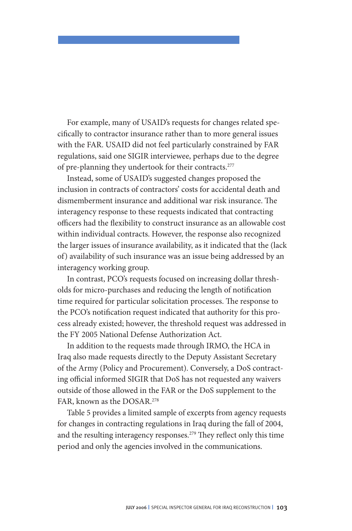For example, many of USAID's requests for changes related specifically to contractor insurance rather than to more general issues with the FAR. USAID did not feel particularly constrained by FAR regulations, said one SIGIR interviewee, perhaps due to the degree of pre-planning they undertook for their contracts.277

Instead, some of USAID's suggested changes proposed the inclusion in contracts of contractors' costs for accidental death and dismemberment insurance and additional war risk insurance. The interagency response to these requests indicated that contracting officers had the flexibility to construct insurance as an allowable cost within individual contracts. However, the response also recognized the larger issues of insurance availability, as it indicated that the (lack of) availability of such insurance was an issue being addressed by an interagency working group.

In contrast, PCO's requests focused on increasing dollar thresholds for micro-purchases and reducing the length of notification time required for particular solicitation processes. The response to the PCO's notification request indicated that authority for this process already existed; however, the threshold request was addressed in the FY 2005 National Defense Authorization Act.

In addition to the requests made through IRMO, the HCA in Iraq also made requests directly to the Deputy Assistant Secretary of the Army (Policy and Procurement). Conversely, a DoS contracting official informed SIGIR that DoS has not requested any waivers outside of those allowed in the FAR or the DoS supplement to the FAR, known as the DOSAR.278

Table 5 provides a limited sample of excerpts from agency requests for changes in contracting regulations in Iraq during the fall of 2004, and the resulting interagency responses.<sup>279</sup> They reflect only this time period and only the agencies involved in the communications.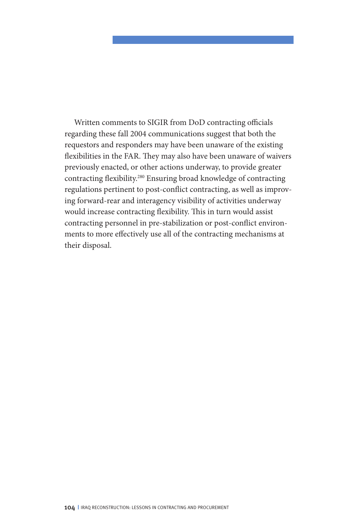Written comments to SIGIR from DoD contracting officials regarding these fall 2004 communications suggest that both the requestors and responders may have been unaware of the existing flexibilities in the FAR. They may also have been unaware of waivers previously enacted, or other actions underway, to provide greater contracting flexibility.280 Ensuring broad knowledge of contracting regulations pertinent to post-conflict contracting, as well as improving forward-rear and interagency visibility of activities underway would increase contracting flexibility. This in turn would assist contracting personnel in pre-stabilization or post-conflict environments to more effectively use all of the contracting mechanisms at their disposal.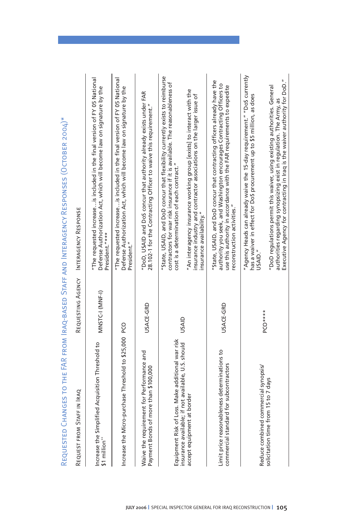|                                                                                        |                   | REQUESTED CHANGES TO THE FAR FROM IRAQ-BASED STAFF AND INTERAGENCY RESPONSES (OCTOBER 2004)*                                                                                                                                                              |
|----------------------------------------------------------------------------------------|-------------------|-----------------------------------------------------------------------------------------------------------------------------------------------------------------------------------------------------------------------------------------------------------|
| REQUEST FROM STAFF IN IRAQ                                                             | REQUESTING AGENCY | <b>INTERAGENCY RESPONSE</b>                                                                                                                                                                                                                               |
| Increase the Simplified Acquisition Threshold to<br>$$1$ million $^*$                  | MNSTC-I (MNF-I)   | "The requested increase is included in the final version of FY 05 National<br>Defense Authorization Act, which will become law on signature by the<br>President."***                                                                                      |
| Increase the Micro-purchase Threshold to \$25,000 PCO                                  |                   | "The requested increaseis included in the final version of FY 05 National<br>Defense Authorization Act, which will become law on signature by the<br>President."                                                                                          |
| Waive the requirement for Performance and<br>Payment Bonds of more than \$100,000      | USACE-GRD         | "DoD, USAID and DoS concur that authority already exists under FAR<br>28.102-1 for the Contracting Officer to waive this requirement."                                                                                                                    |
| Equipment Risk of Loss. Make additional war risk                                       | USAID             | 'State, USAID, and DoD concur that flexibility currently exists to reimburse<br>contractors for war risk insurance if it is available. The reasonableness of<br>cost is a determination of each contract."                                                |
| insurance available; if not available, U.S. should<br>accept equipment at border       |                   | "An interagency insurance working group [exists] to interact with the<br>insurance industry and contractor associations on the larger issue of<br>insurance availability."                                                                                |
| Limit price reasonableness determinations to<br>commercial standard for subcontractors | USACE-GRD         | state, USAID, and DoD concur that contracting officers already have the<br>authority you seek, and Washington encourages Contracting Officers to<br>use this authority in accordance with the FAR requirements to expedite<br>reconstruction activities." |
| Reduce combined commercial synopsis/                                                   | PCO****           | "Agency Heads can already waive the 15-day requirement." "DoS currently<br>has a waiver in effect for DoS procurement up to \$5 million, as does<br>USAID."                                                                                               |
| solicitation time from 15 to 7 days                                                    |                   | Executive Agency for contracting in Iraq is the waiver authority for DoD."<br>"DoD regulations permit this waiver, using existing authorities. General<br>authorities regarding synopsizing exist in regulation. The Army, as                             |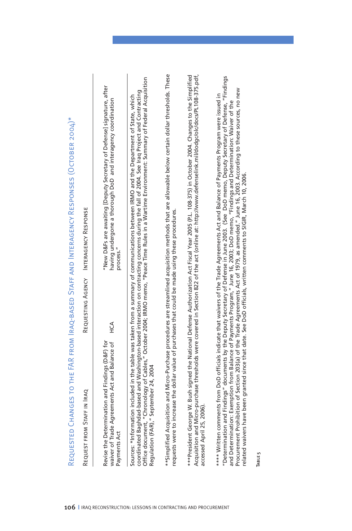| $\overline{\phantom{a}}$                                                                                                                                                                                                      |
|-------------------------------------------------------------------------------------------------------------------------------------------------------------------------------------------------------------------------------|
|                                                                                                                                                                                                                               |
| l                                                                                                                                                                                                                             |
|                                                                                                                                                                                                                               |
|                                                                                                                                                                                                                               |
|                                                                                                                                                                                                                               |
|                                                                                                                                                                                                                               |
|                                                                                                                                                                                                                               |
|                                                                                                                                                                                                                               |
|                                                                                                                                                                                                                               |
|                                                                                                                                                                                                                               |
|                                                                                                                                                                                                                               |
|                                                                                                                                                                                                                               |
|                                                                                                                                                                                                                               |
|                                                                                                                                                                                                                               |
| ֚֚֚֬                                                                                                                                                                                                                          |
|                                                                                                                                                                                                                               |
|                                                                                                                                                                                                                               |
|                                                                                                                                                                                                                               |
| ֧֖֖֖֖֧֪֪֪֪֚֚֚֚֚֚֚֚֚֚֚֚֚֚֚֚֝֝֓֕֓֕֓֞֓֝֓֩׀<br>֧֪֪֪֖֖֖֖֧֧֖֧֖֧֦֧֚֚֚֚֚֚֘֘֘֘֩֩֩֩֓֘֘֩֩֩֓֘֘֩֩֩֓֩֩֩֓֞֩֩֩֩֓֞                                                                                                                             |
|                                                                                                                                                                                                                               |
|                                                                                                                                                                                                                               |
|                                                                                                                                                                                                                               |
|                                                                                                                                                                                                                               |
|                                                                                                                                                                                                                               |
|                                                                                                                                                                                                                               |
|                                                                                                                                                                                                                               |
|                                                                                                                                                                                                                               |
|                                                                                                                                                                                                                               |
|                                                                                                                                                                                                                               |
| i di secolul di secolul di secolul di secolul di secolul di secolul di secolul di secolul di secolul di secolul di secolul di secolul di secolul di secolul di secolul di secolul di secolul di secolul di secolul di secolul |
|                                                                                                                                                                                                                               |
|                                                                                                                                                                                                                               |
|                                                                                                                                                                                                                               |
|                                                                                                                                                                                                                               |
|                                                                                                                                                                                                                               |
|                                                                                                                                                                                                                               |
|                                                                                                                                                                                                                               |
|                                                                                                                                                                                                                               |
| $\begin{array}{c} \hline \end{array}$                                                                                                                                                                                         |
|                                                                                                                                                                                                                               |
| ֧֖֖֖֖֚֚֚֚֚֚֚֚֚֝׀<br>֧֖֢ׅ֖֖֧֖֦֧֧֦֧֧֧֧֧֧֧֧֧֧֧֚֘֩֩֩֩֩֩֩֩֓֘֘֩֩֩֩֓֓֬֘֓֩֩֓֓֬֓֬֩֩֩֓֬֓֩֩֩֩֓֩֩֩֩֩֩֩֓֩֬֩֩֩֬֓֩֩֬֩֩֩֩֓֩֩֩֩֩֩֩֩֩֩֩֩֩֩                                                                                                      |
|                                                                                                                                                                                                                               |
|                                                                                                                                                                                                                               |
|                                                                                                                                                                                                                               |
| - 1<br>  1<br>  1<br>  1<br>  1                                                                                                                                                                                               |
|                                                                                                                                                                                                                               |
|                                                                                                                                                                                                                               |
|                                                                                                                                                                                                                               |
|                                                                                                                                                                                                                               |
|                                                                                                                                                                                                                               |
|                                                                                                                                                                                                                               |
|                                                                                                                                                                                                                               |
|                                                                                                                                                                                                                               |
|                                                                                                                                                                                                                               |
|                                                                                                                                                                                                                               |
|                                                                                                                                                                                                                               |
|                                                                                                                                                                                                                               |
|                                                                                                                                                                                                                               |
|                                                                                                                                                                                                                               |
|                                                                                                                                                                                                                               |
|                                                                                                                                                                                                                               |
|                                                                                                                                                                                                                               |
|                                                                                                                                                                                                                               |
|                                                                                                                                                                                                                               |
|                                                                                                                                                                                                                               |
|                                                                                                                                                                                                                               |
|                                                                                                                                                                                                                               |
|                                                                                                                                                                                                                               |
|                                                                                                                                                                                                                               |
|                                                                                                                                                                                                                               |
|                                                                                                                                                                                                                               |
|                                                                                                                                                                                                                               |
|                                                                                                                                                                                                                               |
|                                                                                                                                                                                                                               |
| リンパー けいけい                                                                                                                                                                                                                     |
|                                                                                                                                                                                                                               |
|                                                                                                                                                                                                                               |
|                                                                                                                                                                                                                               |
|                                                                                                                                                                                                                               |
|                                                                                                                                                                                                                               |
|                                                                                                                                                                                                                               |
|                                                                                                                                                                                                                               |
| ֖֖֖֖ׅ֛ׅ֛֪ׅ֪ׅ֪ׅ֖֚֚֚֚֚֚֚֚֚֚֚֚֚֚֚֚֚֚֚֚֚֚֚֚֡֡֡֡֡֡֓֞                                                                                                                                                                               |
|                                                                                                                                                                                                                               |
|                                                                                                                                                                                                                               |
|                                                                                                                                                                                                                               |
|                                                                                                                                                                                                                               |
|                                                                                                                                                                                                                               |
| j                                                                                                                                                                                                                             |
| į<br>I                                                                                                                                                                                                                        |

**b.**<br>
Request reporting that Mike SETOTHE FAR FROM IRAC-BASED STAFF AND INTERAGENCY RESPONSES (OCTOBER 2004)\*<br>
Request means your manual findings (086) for Microscopic Microscopic Interaction Response<br>
Request the operati

Procurement Prohibition of Section 203(a) of the Trade Agreements Act of 1979, as amended." June 16, 2003. According to these sources, no new related waivers have been granted since that date. See DoD officials, written comments to SIGIR, March 10, 2006.

TABLE<sub>5</sub>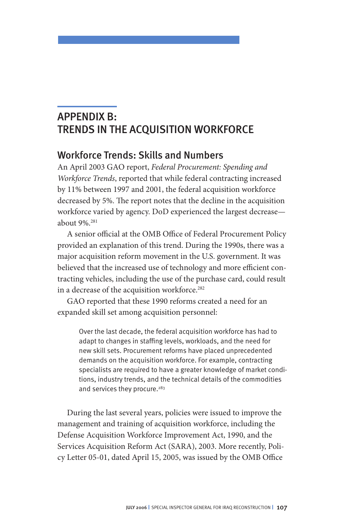## Appendix B: Trends in the Acquisition Workforce

## Workforce Trends: Skills and Numbers

An April 2003 GAO report, *Federal Procurement: Spending and Workforce Trends*, reported that while federal contracting increased by 11% between 1997 and 2001, the federal acquisition workforce decreased by 5%. The report notes that the decline in the acquisition workforce varied by agency. DoD experienced the largest decrease about 9%.281

A senior official at the OMB Office of Federal Procurement Policy provided an explanation of this trend. During the 1990s, there was a major acquisition reform movement in the U.S. government. It was believed that the increased use of technology and more efficient contracting vehicles, including the use of the purchase card, could result in a decrease of the acquisition workforce.<sup>282</sup>

GAO reported that these 1990 reforms created a need for an expanded skill set among acquisition personnel:

Over the last decade, the federal acquisition workforce has had to adapt to changes in staffing levels, workloads, and the need for new skill sets. Procurement reforms have placed unprecedented demands on the acquisition workforce. For example, contracting specialists are required to have a greater knowledge of market conditions, industry trends, and the technical details of the commodities and services they procure.<sup>283</sup>

During the last several years, policies were issued to improve the management and training of acquisition workforce, including the Defense Acquisition Workforce Improvement Act, 1990, and the Services Acquisition Reform Act (SARA), 2003. More recently, Policy Letter 05-01, dated April 15, 2005, was issued by the OMB Office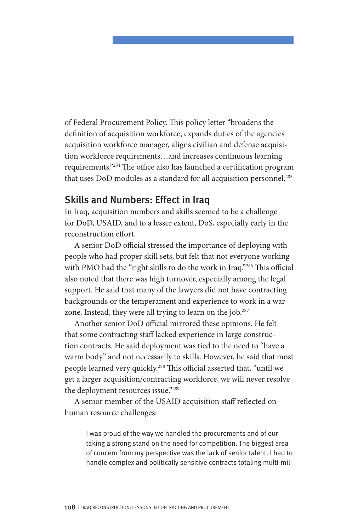of Federal Procurement Policy. This policy letter "broadens the definition of acquisition workforce, expands duties of the agencies acquisition workforce manager, aligns civilian and defense acquisition workforce requirements…and increases continuous learning requirements."284 The office also has launched a certification program that uses DoD modules as a standard for all acquisition personnel.<sup>285</sup>

### Skills and Numbers: Effect in Iraq

In Iraq, acquisition numbers and skills seemed to be a challenge for DoD, USAID, and to a lesser extent, DoS, especially early in the reconstruction effort.

A senior DoD official stressed the importance of deploying with people who had proper skill sets, but felt that not everyone working with PMO had the "right skills to do the work in Iraq."286 This official also noted that there was high turnover, especially among the legal support. He said that many of the lawyers did not have contracting backgrounds or the temperament and experience to work in a war zone. Instead, they were all trying to learn on the job.<sup>287</sup>

Another senior DoD official mirrored these opinions. He felt that some contracting staff lacked experience in large construction contracts. He said deployment was tied to the need to "have a warm body" and not necessarily to skills. However, he said that most people learned very quickly.288 This official asserted that, "until we get a larger acquisition/contracting workforce, we will never resolve the deployment resources issue."289

A senior member of the USAID acquisition staff reflected on human resource challenges:

I was proud of the way we handled the procurements and of our taking a strong stand on the need for competition. The biggest area of concern from my perspective was the lack of senior talent. I had to handle complex and politically sensitive contracts totaling multi-mil-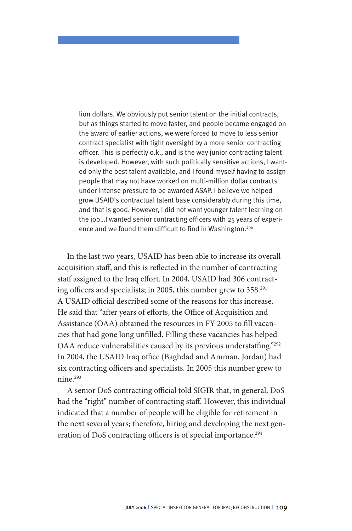lion dollars. We obviously put senior talent on the initial contracts, but as things started to move faster, and people became engaged on the award of earlier actions, we were forced to move to less senior contract specialist with tight oversight by a more senior contracting officer. This is perfectly o.k., and is the way junior contracting talent is developed. However, with such politically sensitive actions, I wanted only the best talent available, and I found myself having to assign people that may not have worked on multi-million dollar contracts under intense pressure to be awarded ASAP. I believe we helped grow USAID's contractual talent base considerably during this time, and that is good. However, I did not want younger talent learning on the job…I wanted senior contracting officers with 25 years of experience and we found them difficult to find in Washington.<sup>290</sup>

In the last two years, USAID has been able to increase its overall acquisition staff, and this is reflected in the number of contracting staff assigned to the Iraq effort. In 2004, USAID had 306 contracting officers and specialists; in 2005, this number grew to 358.291 A USAID official described some of the reasons for this increase. He said that "after years of efforts, the Office of Acquisition and Assistance (OAA) obtained the resources in FY 2005 to fill vacancies that had gone long unfilled. Filling these vacancies has helped OAA reduce vulnerabilities caused by its previous understaffing."292 In 2004, the USAID Iraq office (Baghdad and Amman, Jordan) had six contracting officers and specialists. In 2005 this number grew to nine.293

A senior DoS contracting official told SIGIR that, in general, DoS had the "right" number of contracting staff. However, this individual indicated that a number of people will be eligible for retirement in the next several years; therefore, hiring and developing the next generation of DoS contracting officers is of special importance.<sup>294</sup>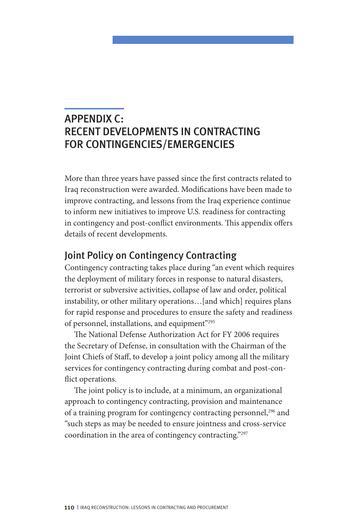## Appendix C: Recent Developments in Contracting for Contingencies/Emergencies

More than three years have passed since the first contracts related to Iraq reconstruction were awarded. Modifications have been made to improve contracting, and lessons from the Iraq experience continue to inform new initiatives to improve U.S. readiness for contracting in contingency and post-conflict environments. This appendix offers details of recent developments.

### Joint Policy on Contingency Contracting

Contingency contracting takes place during "an event which requires the deployment of military forces in response to natural disasters, terrorist or subversive activities, collapse of law and order, political instability, or other military operations…[and which] requires plans for rapid response and procedures to ensure the safety and readiness of personnel, installations, and equipment"295

The National Defense Authorization Act for FY 2006 requires the Secretary of Defense, in consultation with the Chairman of the Joint Chiefs of Staff, to develop a joint policy among all the military services for contingency contracting during combat and post-conflict operations.

The joint policy is to include, at a minimum, an organizational approach to contingency contracting, provision and maintenance of a training program for contingency contracting personnel,<sup>296</sup> and "such steps as may be needed to ensure jointness and cross-service coordination in the area of contingency contracting."297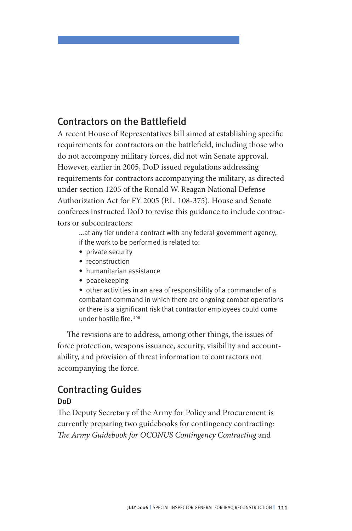### Contractors on the Battlefield

A recent House of Representatives bill aimed at establishing specific requirements for contractors on the battlefield, including those who do not accompany military forces, did not win Senate approval. However, earlier in 2005, DoD issued regulations addressing requirements for contractors accompanying the military, as directed under section 1205 of the Ronald W. Reagan National Defense Authorization Act for FY 2005 (P.L. 108-375). House and Senate conferees instructed DoD to revise this guidance to include contractors or subcontractors:

…at any tier under a contract with any federal government agency, if the work to be performed is related to:

- private security
- reconstruction
- humanitarian assistance
- peacekeeping

• other activities in an area of responsibility of a commander of a combatant command in which there are ongoing combat operations or there is a significant risk that contractor employees could come under hostile fire. <sup>298</sup>

The revisions are to address, among other things, the issues of force protection, weapons issuance, security, visibility and accountability, and provision of threat information to contractors not accompanying the force.

# Contracting Guides

#### DoD

The Deputy Secretary of the Army for Policy and Procurement is currently preparing two guidebooks for contingency contracting: *The Army Guidebook for OCONUS Contingency Contracting* and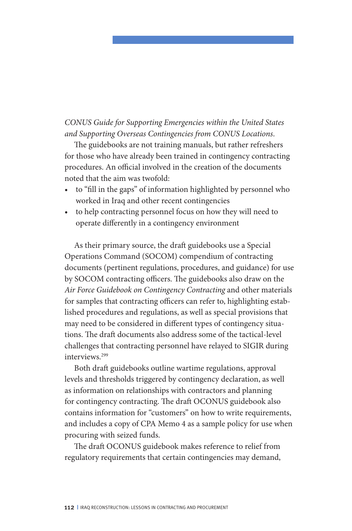#### *CONUS Guide for Supporting Emergencies within the United States and Supporting Overseas Contingencies from CONUS Locations*.

The guidebooks are not training manuals, but rather refreshers for those who have already been trained in contingency contracting procedures. An official involved in the creation of the documents noted that the aim was twofold:

- to "fill in the gaps" of information highlighted by personnel who worked in Iraq and other recent contingencies
- to help contracting personnel focus on how they will need to operate differently in a contingency environment

As their primary source, the draft guidebooks use a Special Operations Command (SOCOM) compendium of contracting documents (pertinent regulations, procedures, and guidance) for use by SOCOM contracting officers. The guidebooks also draw on the *Air Force Guidebook on Contingency Contracting* and other materials for samples that contracting officers can refer to, highlighting established procedures and regulations, as well as special provisions that may need to be considered in different types of contingency situations. The draft documents also address some of the tactical-level challenges that contracting personnel have relayed to SIGIR during interviews<sup>299</sup>

Both draft guidebooks outline wartime regulations, approval levels and thresholds triggered by contingency declaration, as well as information on relationships with contractors and planning for contingency contracting. The draft OCONUS guidebook also contains information for "customers" on how to write requirements, and includes a copy of CPA Memo 4 as a sample policy for use when procuring with seized funds.

The draft OCONUS guidebook makes reference to relief from regulatory requirements that certain contingencies may demand,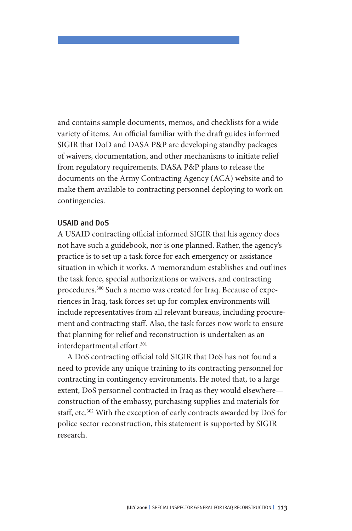and contains sample documents, memos, and checklists for a wide variety of items. An official familiar with the draft guides informed SIGIR that DoD and DASA P&P are developing standby packages of waivers, documentation, and other mechanisms to initiate relief from regulatory requirements. DASA P&P plans to release the documents on the Army Contracting Agency (ACA) website and to make them available to contracting personnel deploying to work on contingencies.

#### USAID and DoS

A USAID contracting official informed SIGIR that his agency does not have such a guidebook, nor is one planned. Rather, the agency's practice is to set up a task force for each emergency or assistance situation in which it works. A memorandum establishes and outlines the task force, special authorizations or waivers, and contracting procedures.300 Such a memo was created for Iraq. Because of experiences in Iraq, task forces set up for complex environments will include representatives from all relevant bureaus, including procurement and contracting staff. Also, the task forces now work to ensure that planning for relief and reconstruction is undertaken as an interdepartmental effort.301

A DoS contracting official told SIGIR that DoS has not found a need to provide any unique training to its contracting personnel for contracting in contingency environments. He noted that, to a large extent, DoS personnel contracted in Iraq as they would elsewhere construction of the embassy, purchasing supplies and materials for staff, etc.<sup>302</sup> With the exception of early contracts awarded by DoS for police sector reconstruction, this statement is supported by SIGIR research.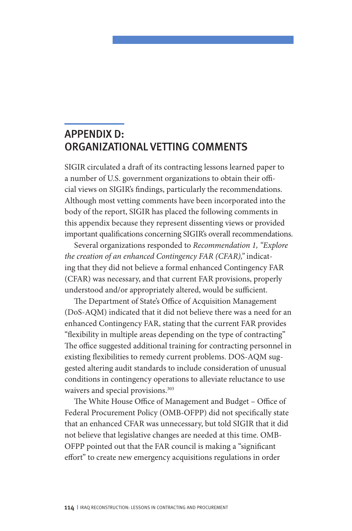## Appendix D: Organizational Vetting Comments

SIGIR circulated a draft of its contracting lessons learned paper to a number of U.S. government organizations to obtain their official views on SIGIR's findings, particularly the recommendations. Although most vetting comments have been incorporated into the body of the report, SIGIR has placed the following comments in this appendix because they represent dissenting views or provided important qualifications concerning SIGIR's overall recommendations.

Several organizations responded to *Recommendation 1, "Explore the creation of an enhanced Contingency FAR (CFAR),"* indicating that they did not believe a formal enhanced Contingency FAR (CFAR) was necessary, and that current FAR provisions, properly understood and/or appropriately altered, would be sufficient.

The Department of State's Office of Acquisition Management (DoS-AQM) indicated that it did not believe there was a need for an enhanced Contingency FAR, stating that the current FAR provides "flexibility in multiple areas depending on the type of contracting" The office suggested additional training for contracting personnel in existing flexibilities to remedy current problems. DOS-AQM suggested altering audit standards to include consideration of unusual conditions in contingency operations to alleviate reluctance to use waivers and special provisions.<sup>303</sup>

The White House Office of Management and Budget – Office of Federal Procurement Policy (OMB-OFPP) did not specifically state that an enhanced CFAR was unnecessary, but told SIGIR that it did not believe that legislative changes are needed at this time. OMB-OFPP pointed out that the FAR council is making a "significant effort" to create new emergency acquisitions regulations in order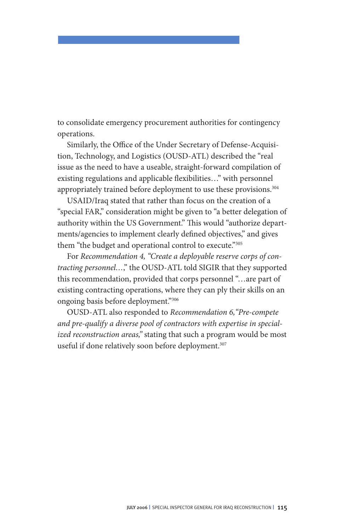to consolidate emergency procurement authorities for contingency operations.

Similarly, the Office of the Under Secretary of Defense-Acquisition, Technology, and Logistics (OUSD-ATL) described the "real issue as the need to have a useable, straight-forward compilation of existing regulations and applicable flexibilities…" with personnel appropriately trained before deployment to use these provisions.<sup>304</sup>

USAID/Iraq stated that rather than focus on the creation of a "special FAR," consideration might be given to "a better delegation of authority within the US Government." This would "authorize departments/agencies to implement clearly defined objectives," and gives them "the budget and operational control to execute."305

For *Recommendation 4, "Create a deployable reserve corps of contracting personnel…*," the OUSD-ATL told SIGIR that they supported this recommendation, provided that corps personnel "…are part of existing contracting operations, where they can ply their skills on an ongoing basis before deployment."306

OUSD-ATL also responded to *Recommendation 6,"Pre-compete and pre-qualify a diverse pool of contractors with expertise in specialized reconstruction areas,"* stating that such a program would be most useful if done relatively soon before deployment.<sup>307</sup>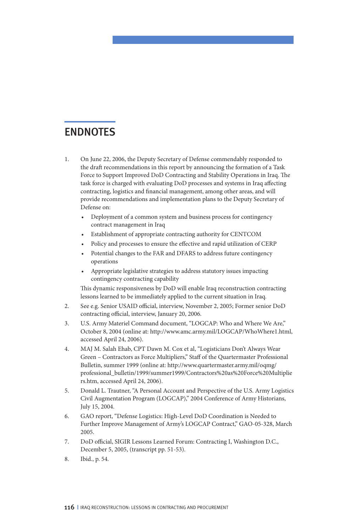## **ENDNOTES**

- 1. On June 22, 2006, the Deputy Secretary of Defense commendably responded to the draft recommendations in this report by announcing the formation of a Task Force to Support Improved DoD Contracting and Stability Operations in Iraq. The task force is charged with evaluating DoD processes and systems in Iraq affecting contracting, logistics and financial management, among other areas, and will provide recommendations and implementation plans to the Deputy Secretary of Defense on:
	- Deployment of a common system and business process for contingency contract management in Iraq
	- Establishment of appropriate contracting authority for CENTCOM
	- Policy and processes to ensure the effective and rapid utilization of CERP
	- Potential changes to the FAR and DFARS to address future contingency operations
	- Appropriate legislative strategies to address statutory issues impacting contingency contracting capability

This dynamic responsiveness by DoD will enable Iraq reconstruction contracting lessons learned to be immediately applied to the current situation in Iraq.

- 2. See e.g. Senior USAID official, interview, November 2, 2005; Former senior DoD contracting official, interview, January 20, 2006.
- 3. U.S. Army Materiel Command document, "LOGCAP: Who and Where We Are," October 8, 2004 (online at: http://www.amc.army.mil/LOGCAP/WhoWhere1.html, accessed April 24, 2006).
- 4. MAJ M. Salah Ehab, CPT Dawn M. Cox et al, "Logisticians Don't Always Wear Green – Contractors as Force Multipliers," Staff of the Quartermaster Professional Bulletin, summer 1999 (online at: http://www.quartermaster.army.mil/oqmg/ professional\_bulletin/1999/summer1999/Contractors%20as%20Force%20Multiplie rs.htm, accessed April 24, 2006).
- 5. Donald L. Trautner, "A Personal Account and Perspective of the U.S. Army Logistics Civil Augmentation Program (LOGCAP)," 2004 Conference of Army Historians, July 15, 2004.
- 6. GAO report, "Defense Logistics: High-Level DoD Coordination is Needed to Further Improve Management of Army's LOGCAP Contract," GAO-05-328, March 2005.
- 7. DoD official, SIGIR Lessons Learned Forum: Contracting I, Washington D.C., December 5, 2005, (transcript pp. 51-53).
- 8. Ibid., p. 54.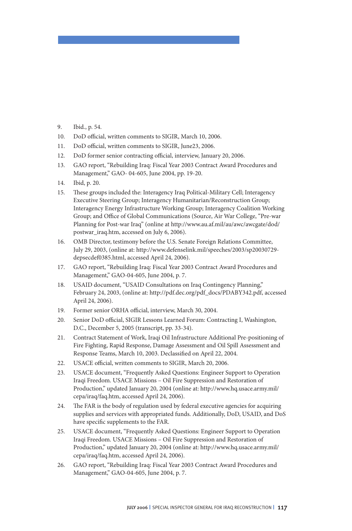- 9. Ibid., p. 54.
- 10. DoD official, written comments to SIGIR, March 10, 2006.
- 11. DoD official, written comments to SIGIR, June23, 2006.
- 12. DoD former senior contracting official, interview, January 20, 2006.
- 13. GAO report, "Rebuilding Iraq: Fiscal Year 2003 Contract Award Procedures and Management," GAO- 04-605, June 2004, pp. 19-20.
- 14. Ibid, p. 20.
- 15. These groups included the: Interagency Iraq Political-Military Cell; Interagency Executive Steering Group; Interagency Humanitarian/Reconstruction Group; Interagency Energy Infrastructure Working Group; Interagency Coalition Working Group; and Office of Global Communications (Source, Air War College, "Pre-war Planning for Post-war Iraq" (online at http://www.au.af.mil/au/awc/awcgate/dod/ postwar\_iraq.htm, accessed on July 6, 2006).
- 16. OMB Director, testimony before the U.S. Senate Foreign Relations Committee, July 29, 2003, (online at: http://www.defenselink.mil/speeches/2003/sp20030729 depsecdef0385.html, accessed April 24, 2006).
- 17. GAO report, "Rebuilding Iraq: Fiscal Year 2003 Contract Award Procedures and Management," GAO-04-605, June 2004, p. 7.
- 18. USAID document, "USAID Consultations on Iraq Contingency Planning," February 24, 2003, (online at: http://pdf.dec.org/pdf\_docs/PDABY342.pdf, accessed April 24, 2006).
- 19. Former senior ORHA official, interview, March 30, 2004.
- 20. Senior DoD official, SIGIR Lessons Learned Forum: Contracting I, Washington, D.C., December 5, 2005 (transcript, pp. 33-34).
- 21. Contract Statement of Work, Iraqi Oil Infrastructure Additional Pre-positioning of Fire Fighting, Rapid Response, Damage Assessment and Oil Spill Assessment and Response Teams, March 10, 2003. Declassified on April 22, 2004.
- 22. USACE official, written comments to SIGIR, March 20, 2006.
- 23. USACE document, "Frequently Asked Questions: Engineer Support to Operation Iraqi Freedom. USACE Missions – Oil Fire Suppression and Restoration of Production," updated January 20, 2004 (online at: http://www.hq.usace.army.mil/ cepa/iraq/faq.htm, accessed April 24, 2006).
- 24. The FAR is the body of regulation used by federal executive agencies for acquiring supplies and services with appropriated funds. Additionally, DoD, USAID, and DoS have specific supplements to the FAR.
- 25. USACE document, "Frequently Asked Questions: Engineer Support to Operation Iraqi Freedom. USACE Missions – Oil Fire Suppression and Restoration of Production," updated January 20, 2004 (online at: http://www.hq.usace.army.mil/ cepa/iraq/faq.htm, accessed April 24, 2006).
- 26. GAO report, "Rebuilding Iraq: Fiscal Year 2003 Contract Award Procedures and Management," GAO-04-605, June 2004, p. 7.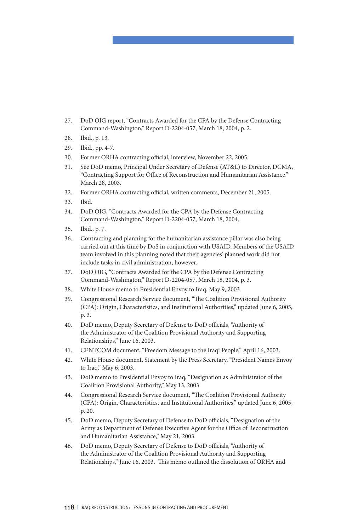- 27. DoD OIG report, "Contracts Awarded for the CPA by the Defense Contracting Command-Washington," Report D-2204-057, March 18, 2004, p. 2.
- 28. Ibid., p. 13.
- 29. Ibid., pp. 4-7.
- 30. Former ORHA contracting official, interview, November 22, 2005.
- 31. See DoD memo, Principal Under Secretary of Defense (AT&L) to Director, DCMA, "Contracting Support for Office of Reconstruction and Humanitarian Assistance," March 28, 2003.
- 32. Former ORHA contracting official, written comments, December 21, 2005.
- 33. Ibid.
- 34. DoD OIG, "Contracts Awarded for the CPA by the Defense Contracting Command-Washington," Report D-2204-057, March 18, 2004.
- 35. Ibid., p. 7.
- 36. Contracting and planning for the humanitarian assistance pillar was also being carried out at this time by DoS in conjunction with USAID. Members of the USAID team involved in this planning noted that their agencies' planned work did not include tasks in civil administration, however.
- 37. DoD OIG, "Contracts Awarded for the CPA by the Defense Contracting Command-Washington," Report D-2204-057, March 18, 2004, p. 3.
- 38. White House memo to Presidential Envoy to Iraq, May 9, 2003.
- 39. Congressional Research Service document, "The Coalition Provisional Authority (CPA): Origin, Characteristics, and Institutional Authorities," updated June 6, 2005, p. 3.
- 40. DoD memo, Deputy Secretary of Defense to DoD officials, "Authority of the Administrator of the Coalition Provisional Authority and Supporting Relationships," June 16, 2003.
- 41. CENTCOM document, "Freedom Message to the Iraqi People," April 16, 2003.
- 42. White House document, Statement by the Press Secretary, "President Names Envoy to Iraq," May 6, 2003.
- 43. DoD memo to Presidential Envoy to Iraq, "Designation as Administrator of the Coalition Provisional Authority," May 13, 2003.
- 44. Congressional Research Service document, "The Coalition Provisional Authority (CPA): Origin, Characteristics, and Institutional Authorities," updated June 6, 2005, p. 20.
- 45. DoD memo, Deputy Secretary of Defense to DoD officials, "Designation of the Army as Department of Defense Executive Agent for the Office of Reconstruction and Humanitarian Assistance," May 21, 2003.
- 46. DoD memo, Deputy Secretary of Defense to DoD officials, "Authority of the Administrator of the Coalition Provisional Authority and Supporting Relationships," June 16, 2003. This memo outlined the dissolution of ORHA and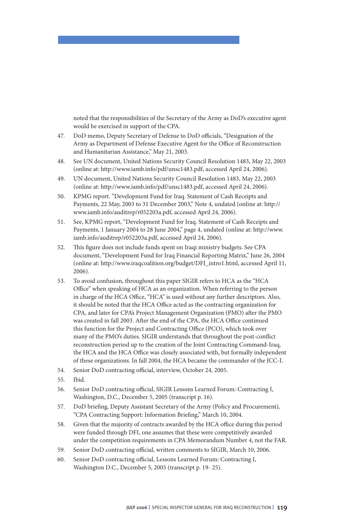noted that the responsibilities of the Secretary of the Army as DoD's executive agent would be exercised in support of the CPA.

- 47. DoD memo, Deputy Secretary of Defense to DoD officials, "Designation of the Army as Department of Defense Executive Agent for the Office of Reconstruction and Humanitarian Assistance," May 21, 2003.
- 48. See UN document, United Nations Security Council Resolution 1483, May 22, 2003 (online at: http://www.iamb.info/pdf/unsc1483.pdf, accessed April 24, 2006).
- 49. UN document, United Nations Security Council Resolution 1483, May 22, 2003 (online at: http://www.iamb.info/pdf/unsc1483.pdf, accessed April 24, 2006).
- 50. KPMG report. "Development Fund for Iraq. Statement of Cash Receipts and Payments, 22 May, 2003 to 31 December 2003," Note 4, undated (online at: http:// www.iamb.info/auditrep/r052203a.pdf, accessed April 24, 2006).
- 51. See, KPMG report, "Development Fund for Iraq. Statement of Cash Receipts and Payments, 1 January 2004 to 28 June 2004," page 4, undated (online at: http://www. iamb.info/auditrep/r052203a.pdf, accessed April 24, 2006).
- 52. This figure does not include funds spent on Iraqi ministry budgets. See CPA document, "Development Fund for Iraq Financial Reporting Matrix," June 26, 2004 (online at: http://www.iraqcoalition.org/budget/DFI\_intro1.html, accessed April 11, 2006).
- 53. To avoid confusion, throughout this paper SIGIR refers to HCA as the "HCA Office" when speaking of HCA as an organization. When referring to the person in charge of the HCA Office, "HCA" is used without any further descriptors. Also, it should be noted that the HCA Office acted as the contracting organization for CPA, and later for CPA's Project Management Organization (PMO) after the PMO was created in fall 2003. After the end of the CPA, the HCA Office continued this function for the Project and Contracting Office (PCO), which took over many of the PMO's duties. SIGIR understands that throughout the post-conflict reconstruction period up to the creation of the Joint Contracting Command-Iraq, the HCA and the HCA Office was closely associated with, but formally independent of these organizations. In fall 2004, the HCA became the commander of the JCC-I.
- 54. Senior DoD contracting official, interview, October 24, 2005.
- 55. Ibid.
- 56. Senior DoD contracting official, SIGIR Lessons Learned Forum: Contracting I, Washington, D.C., December 5, 2005 (transcript p. 16).
- 57. DoD briefing, Deputy Assistant Secretary of the Army (Policy and Procurement), "CPA Contracting Support: Information Briefing," March 10, 2004.
- 58. Given that the majority of contracts awarded by the HCA office during this period were funded through DFI, one assumes that these were competitively awarded under the competition requirements in CPA Memorandum Number 4, not the FAR.
- 59. Senior DoD contracting official, written comments to SIGIR, March 10, 2006.
- 60. Senior DoD contracting official, Lessons Learned Forum: Contracting I, Washington D.C., December 5, 2005 (transcript p. 19- 25).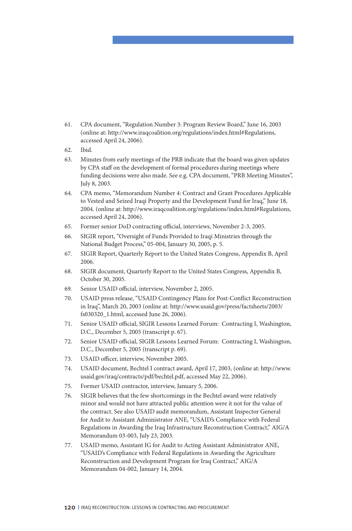- 61. CPA document, "Regulation Number 3: Program Review Board," June 16, 2003 (online at: http://www.iraqcoalition.org/regulations/index.html#Regulations, accessed April 24, 2006).
- 62. Ibid.
- 63. Minutes from early meetings of the PRB indicate that the board was given updates by CPA staff on the development of formal procedures during meetings where funding decisions were also made. See e.g. CPA document, "PRB Meeting Minutes", July 8, 2003.
- 64. CPA memo, "Memorandum Number 4: Contract and Grant Procedures Applicable to Vested and Seized Iraqi Property and the Development Fund for Iraq," June 18, 2004. (online at: http://www.iraqcoalition.org/regulations/index.html#Regulations, accessed April 24, 2006).
- 65. Former senior DoD contracting official, interviews, November 2-3, 2005.
- 66. SIGIR report, "Oversight of Funds Provided to Iraqi Ministries through the National Budget Process," 05-004, January 30, 2005, p. 5.
- 67. SIGIR Report, Quarterly Report to the United States Congress, Appendix B, April 2006.
- 68. SIGIR document, Quarterly Report to the United States Congress, Appendix B, October 30, 2005.
- 69. Senior USAID official, interview, November 2, 2005.
- 70. USAID press release, "USAID Contingency Plans for Post-Conflict Reconstruction in Iraq", March 20, 2003 (online at: http://www.usaid.gov/press/factsheets/2003/ fs030320\_1.html, accessed June 26, 2006).
- 71. Senior USAID official, SIGIR Lessons Learned Forum: Contracting I, Washington, D.C., December 5, 2005 (transcript p. 67).
- 72. Senior USAID official, SIGIR Lessons Learned Forum: Contracting I, Washington, D.C., December 5, 2005 (transcript p. 69).
- 73. USAID officer, interview, November 2005.
- 74. USAID document, Bechtel I contract award, April 17, 2003, (online at: http://www. usaid.gov/iraq/contracts/pdf/bechtel.pdf, accessed May 22, 2006).
- 75. Former USAID contractor, interview, January 5, 2006.
- 76. SIGIR believes that the few shortcomings in the Bechtel award were relatively minor and would not have attracted public attention were it not for the value of the contract. See also USAID audit memorandum, Assistant Inspector General for Audit to Assistant Administrator ANE, "USAID's Compliance with Federal Regulations in Awarding the Iraq Infrastructure Reconstruction Contract," AIG/A Memorandum 03-003, July 23, 2003.
- 77. USAID memo, Assistant IG for Audit to Acting Assistant Administrator ANE, "USAID's Compliance with Federal Regulations in Awarding the Agriculture Reconstruction and Development Program for Iraq Contract," AIG/A Memorandum 04-002, January 14, 2004.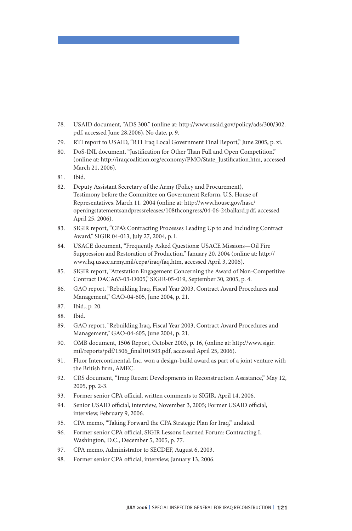- 78. USAID document, "ADS 300," (online at: http://www.usaid.gov/policy/ads/300/302. pdf, accessed June 28,2006), No date, p. 9.
- 79. RTI report to USAID, "RTI Iraq Local Government Final Report," June 2005, p. xi.
- 80. DoS-INL document, "Justification for Other Than Full and Open Competition," (online at: http://iraqcoalition.org/economy/PMO/State\_Justification.htm, accessed March 21, 2006).
- 81. Ibid.
- 82. Deputy Assistant Secretary of the Army (Policy and Procurement), Testimony before the Committee on Government Reform, U.S. House of Representatives, March 11, 2004 (online at: http://www.house.gov/hasc/ openingstatementsandpressreleases/108thcongress/04-06-24ballard.pdf, accessed April 25, 2006).
- 83. SIGIR report, "CPA's Contracting Processes Leading Up to and Including Contract Award," SIGIR 04-013, July 27, 2004, p. i.
- 84. USACE document, "Frequently Asked Questions: USACE Missions—Oil Fire Suppression and Restoration of Production." January 20, 2004 (online at: http:// www.hq.usace.army.mil/cepa/iraq/faq.htm, accessed April 3, 2006).
- 85. SIGIR report, "Attestation Engagement Concerning the Award of Non-Competitive Contract DACA63-03-D005," SIGIR-05-019, September 30, 2005, p. 4.
- 86. GAO report, "Rebuilding Iraq, Fiscal Year 2003, Contract Award Procedures and Management," GAO-04-605, June 2004, p. 21.
- 87. Ibid., p. 20.
- 88. Ibid.
- 89. GAO report, "Rebuilding Iraq, Fiscal Year 2003, Contract Award Procedures and Management," GAO-04-605, June 2004, p. 21.
- 90. OMB document, 1506 Report, October 2003, p. 16, (online at: http://www.sigir. mil/reports/pdf/1506\_final101503.pdf, accessed April 25, 2006).
- 91. Fluor Intercontinental, Inc. won a design-build award as part of a joint venture with the British firm, AMEC.
- 92. CRS document, "Iraq: Recent Developments in Reconstruction Assistance," May 12, 2005, pp. 2-3.
- 93. Former senior CPA official, written comments to SIGIR, April 14, 2006.
- 94. Senior USAID official, interview, November 3, 2005; Former USAID official, interview, February 9, 2006.
- 95. CPA memo, "Taking Forward the CPA Strategic Plan for Iraq," undated.
- 96. Former senior CPA official, SIGIR Lessons Learned Forum: Contracting I, Washington, D.C., December 5, 2005, p. 77.
- 97. CPA memo, Administrator to SECDEF, August 6, 2003.
- 98. Former senior CPA official, interview, January 13, 2006.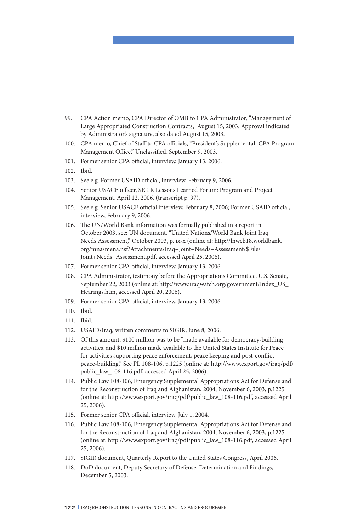- 99. CPA Action memo, CPA Director of OMB to CPA Administrator, "Management of Large Appropriated Construction Contracts," August 15, 2003. Approval indicated by Administrator's signature, also dated August 15, 2003.
- 100. CPA memo, Chief of Staff to CPA officials, "President's Supplemental–CPA Program Management Office," Unclassified, September 9, 2003.
- 101. Former senior CPA official, interview, January 13, 2006.
- 102. Ibid.
- 103. See e.g. Former USAID official, interview, February 9, 2006.
- 104. Senior USACE officer, SIGIR Lessons Learned Forum: Program and Project Management, April 12, 2006, (transcript p. 97).
- 105. See e.g. Senior USACE official interview, February 8, 2006; Former USAID official, interview, February 9, 2006.
- 106. The UN/World Bank information was formally published in a report in October 2003, see: UN document, "United Nations/World Bank Joint Iraq Needs Assessment," October 2003, p. ix-x (online at: http://lnweb18.worldbank. org/mna/mena.nsf/Attachments/Iraq+Joint+Needs+Assessment/\$File/ Joint+Needs+Assessment.pdf, accessed April 25, 2006).
- 107. Former senior CPA official, interview, January 13, 2006.
- 108. CPA Administrator, testimony before the Appropriations Committee, U.S. Senate, September 22, 2003 (online at: http://www.iraqwatch.org/government/Index\_US\_ Hearings.htm, accessed April 20, 2006).
- 109. Former senior CPA official, interview, January 13, 2006.
- 110. Ibid.
- 111. Ibid.
- 112. USAID/Iraq, written comments to SIGIR, June 8, 2006.
- 113. Of this amount, \$100 million was to be "made available for democracy-building activities, and \$10 million made available to the United States Institute for Peace for activities supporting peace enforcement, peace keeping and post-conflict peace-building." See PL 108-106, p.1225 (online at: http://www.export.gov/iraq/pdf/ public\_law\_108-116.pdf, accessed April 25, 2006).
- 114. Public Law 108-106, Emergency Supplemental Appropriations Act for Defense and for the Reconstruction of Iraq and Afghanistan, 2004, November 6, 2003, p.1225 (online at: http://www.export.gov/iraq/pdf/public\_law\_108-116.pdf, accessed April 25, 2006).
- 115. Former senior CPA official, interview, July 1, 2004.
- 116. Public Law 108-106, Emergency Supplemental Appropriations Act for Defense and for the Reconstruction of Iraq and Afghanistan, 2004, November 6, 2003, p.1225 (online at: http://www.export.gov/iraq/pdf/public\_law\_108-116.pdf, accessed April 25, 2006).
- 117. SIGIR document, Quarterly Report to the United States Congress, April 2006.
- 118. DoD document, Deputy Secretary of Defense, Determination and Findings, December 5, 2003.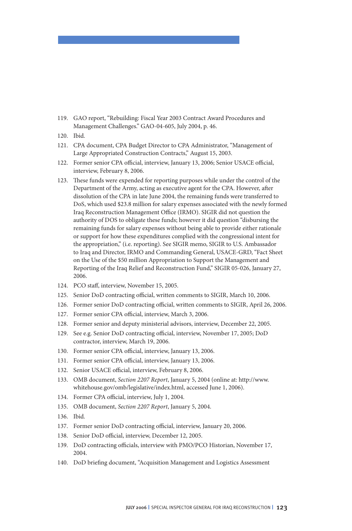- 119. GAO report, "Rebuilding: Fiscal Year 2003 Contract Award Procedures and Management Challenges." GAO-04-605, July 2004, p. 46.
- 120. Ibid.
- 121. CPA document, CPA Budget Director to CPA Administrator, "Management of Large Appropriated Construction Contracts," August 15, 2003.
- 122. Former senior CPA official, interview, January 13, 2006; Senior USACE official, interview, February 8, 2006.
- 123. These funds were expended for reporting purposes while under the control of the Department of the Army, acting as executive agent for the CPA. However, after dissolution of the CPA in late June 2004, the remaining funds were transferred to DoS, which used \$23.8 million for salary expenses associated with the newly formed Iraq Reconstruction Management Office (IRMO). SIGIR did not question the authority of DOS to obligate these funds; however it did question "disbursing the remaining funds for salary expenses without being able to provide either rationale or support for how these expenditures complied with the congressional intent for the appropriation," (i.e. reporting). See SIGIR memo, SIGIR to U.S. Ambassador to Iraq and Director, IRMO and Commanding General, USACE-GRD, "Fact Sheet on the Use of the \$50 million Appropriation to Support the Management and Reporting of the Iraq Relief and Reconstruction Fund," SIGIR 05-026, January 27, 2006.
- 124. PCO staff, interview, November 15, 2005.
- 125. Senior DoD contracting official, written comments to SIGIR, March 10, 2006.
- 126. Former senior DoD contracting official, written comments to SIGIR, April 26, 2006.
- 127. Former senior CPA official, interview, March 3, 2006.
- 128. Former senior and deputy ministerial advisors, interview, December 22, 2005.
- 129. See e.g. Senior DoD contracting official, interview, November 17, 2005; DoD contractor, interview, March 19, 2006.
- 130. Former senior CPA official, interview, January 13, 2006.
- 131. Former senior CPA official, interview, January 13, 2006.
- 132. Senior USACE official, interview, February 8, 2006.
- 133. OMB document, *Section 2207 Report*, January 5, 2004 (online at: http://www. whitehouse.gov/omb/legislative/index.html, accessed June 1, 2006).
- 134. Former CPA official, interview, July 1, 2004.
- 135. OMB document, *Section 2207 Report*, January 5, 2004.
- 136. Ibid.
- 137. Former senior DoD contracting official, interview, January 20, 2006.
- 138. Senior DoD official, interview, December 12, 2005.
- 139. DoD contracting officials, interview with PMO/PCO Historian, November 17, 2004.
- 140. DoD briefing document, "Acquisition Management and Logistics Assessment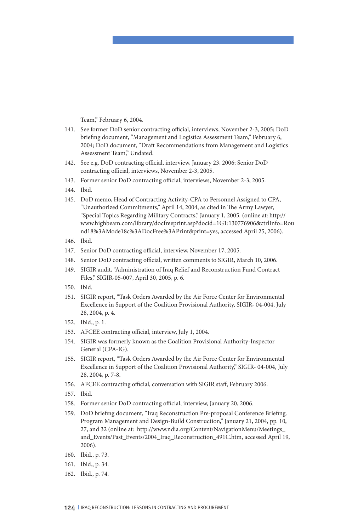Team," February 6, 2004.

- 141. See former DoD senior contracting official, interviews, November 2-3, 2005; DoD briefing document, "Management and Logistics Assessment Team," February 6, 2004; DoD document, "Draft Recommendations from Management and Logistics Assessment Team," Undated.
- 142. See e.g. DoD contracting official, interview, January 23, 2006; Senior DoD contracting official, interviews, November 2-3, 2005.
- 143. Former senior DoD contracting official, interviews, November 2-3, 2005.
- 144. Ibid.
- 145. DoD memo, Head of Contracting Activity-CPA to Personnel Assigned to CPA, "Unauthorized Commitments," April 14, 2004, as cited in The Army Lawyer, "Special Topics Regarding Military Contracts," January 1, 2005. (online at: http:// www.highbeam.com/library/docfreeprint.asp?docid=1G1:130776906&ctrlInfo=Rou nd18%3AMode18c%3ADocFree%3APrint&print=yes, accessed April 25, 2006).
- 146. Ibid.
- 147. Senior DoD contracting official, interview, November 17, 2005.
- 148. Senior DoD contracting official, written comments to SIGIR, March 10, 2006.
- 149. SIGIR audit, "Administration of Iraq Relief and Reconstruction Fund Contract Files," SIGIR-05-007, April 30, 2005, p. 6.
- 150. Ibid.
- 151. SIGIR report, "Task Orders Awarded by the Air Force Center for Environmental Excellence in Support of the Coalition Provisional Authority, SIGIR- 04-004, July 28, 2004, p. 4.
- 152. Ibid., p. 1.
- 153. AFCEE contracting official, interview, July 1, 2004.
- 154. SIGIR was formerly known as the Coalition Provisional Authority-Inspector General (CPA-IG).
- 155. SIGIR report, "Task Orders Awarded by the Air Force Center for Environmental Excellence in Support of the Coalition Provisional Authority," SIGIR- 04-004, July 28, 2004, p. 7-8.
- 156. AFCEE contracting official, conversation with SIGIR staff, February 2006.
- 157. Ibid.
- 158. Former senior DoD contracting official, interview, January 20, 2006.
- 159. DoD briefing document, "Iraq Reconstruction Pre-proposal Conference Briefing. Program Management and Design-Build Construction," January 21, 2004, pp. 10, 27, and 32 (online at: http://www.ndia.org/Content/NavigationMenu/Meetings\_ and Events/Past Events/2004 Iraq Reconstruction 491C.htm, accessed April 19, 2006).
- 160. Ibid., p. 73.
- 161. Ibid., p. 34.
- 162. Ibid., p. 74.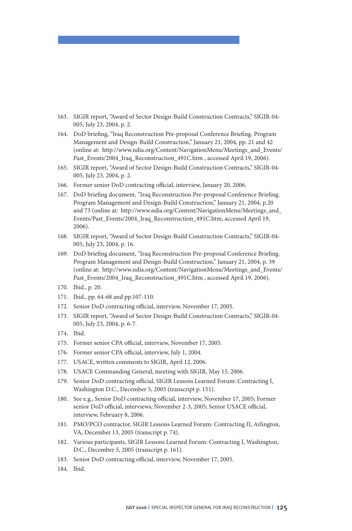- 163. SIGIR report, "Award of Sector Design-Build Construction Contracts," SIGIR-04- 005, July 23, 2004, p. 2.
- 164. DoD briefing, "Iraq Reconstruction Pre-proposal Conference Briefing. Program Management and Design-Build Construction," January 21, 2004, pp. 21 and 42 (online at: http://www.ndia.org/Content/NavigationMenu/Meetings\_and\_Events/ Past\_Events/2004\_Iraq\_Reconstruction\_491C.htm , accessed April 19, 2006).
- 165. SIGIR report, "Award of Sector Design-Build Construction Contracts," SIGIR-04- 005, July 23, 2004, p. 2.
- 166. Former senior DoD contracting official, interview, January 20, 2006.
- 167. DoD briefing document, "Iraq Reconstruction Pre-proposal Conference Briefing. Program Management and Design-Build Construction," January 21, 2004, p.20 and 73 (online at: http://www.ndia.org/Content/NavigationMenu/Meetings\_and\_ Events/Past\_Events/2004\_Iraq\_Reconstruction\_491C.htm, accessed April 19, 2006).
- 168. SIGIR report, "Award of Sector Design-Build Construction Contracts," SIGIR-04- 005, July 23, 2004, p. 16.
- 169. DoD briefing document, "Iraq Reconstruction Pre-proposal Conference Briefing. Program Management and Design-Build Construction," January 21, 2004, p. 39 (online at: http://www.ndia.org/Content/NavigationMenu/Meetings\_and\_Events/ Past\_Events/2004\_Iraq\_Reconstruction\_491C.htm , accessed April 19, 2006).
- 170. Ibid., p. 20.
- 171. Ibid., pp. 64-68 and pp.107-110.
- 172. Senior DoD contracting official, interview, November 17, 2005.
- 173. SIGIR report, "Award of Sector Design-Build Construction Contracts," SIGIR-04- 005, July 23, 2004, p. 6-7.
- 174. Ibid.
- 175. Former senior CPA official, interview, November 17, 2005.
- 176. Former senior CPA official, interview, July 1, 2004.
- 177. USACE, written comments to SIGIR, April 12, 2006.
- 178. USACE Commanding General, meeting with SIGIR, May 15, 2006.
- 179. Senior DoD contracting official, SIGIR Lessons Learned Forum: Contracting I, Washington D.C., December 5, 2005 (transcript p. 151).
- 180. See e.g., Senior DoD contracting official, interview, November 17, 2005; Former senior DoD official, interviews, November 2-3, 2005; Senior USACE official, interview, February 8, 2006.
- 181. PMO/PCO contractor, SIGIR Lessons Learned Forum: Contracting II, Arlington, VA, December 13, 2005 (transcript p. 74).
- 182. Various participants, SIGIR Lessons Learned Forum: Contracting I, Washington, D.C., December 5, 2005 (transcript p. 161).
- 183. Senior DoD contracting official, interview, November 17, 2005.
- 184. Ibid.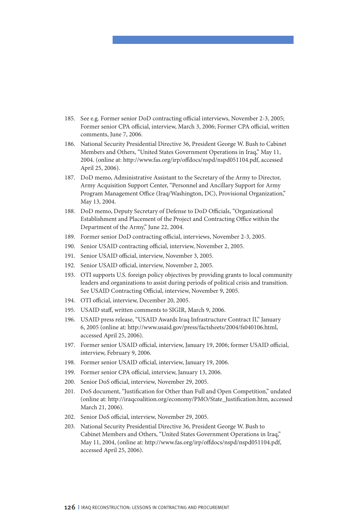- 185. See e.g. Former senior DoD contracting official interviews, November 2-3, 2005; Former senior CPA official, interview, March 3, 2006; Former CPA official, written comments, June 7, 2006.
- 186. National Security Presidential Directive 36, President George W. Bush to Cabinet Members and Others, "United States Government Operations in Iraq," May 11, 2004. (online at: http://www.fas.org/irp/offdocs/nspd/nspd051104.pdf, accessed April 25, 2006).
- 187. DoD memo, Administrative Assistant to the Secretary of the Army to Director, Army Acquisition Support Center, "Personnel and Ancillary Support for Army Program Management Office (Iraq/Washington, DC), Provisional Organization," May 13, 2004.
- 188. DoD memo, Deputy Secretary of Defense to DoD Officials, "Organizational Establishment and Placement of the Project and Contracting Office within the Department of the Army," June 22, 2004.
- 189. Former senior DoD contracting official, interviews, November 2-3, 2005.
- 190. Senior USAID contracting official, interview, November 2, 2005.
- 191. Senior USAID official, interview, November 3, 2005.
- 192. Senior USAID official, interview, November 2, 2005.
- 193. OTI supports U.S. foreign policy objectives by providing grants to local community leaders and organizations to assist during periods of political crisis and transition. See USAID Contracting Official, interview, November 9, 2005.
- 194. OTI official, interview, December 20, 2005.
- 195. USAID staff, written comments to SIGIR, March 9, 2006.
- 196. USAID press release, "USAID Awards Iraq Infrastructure Contract II," January 6, 2005 (online at: http://www.usaid.gov/press/factsheets/2004/fs040106.html, accessed April 25, 2006).
- 197. Former senior USAID official, interview, January 19, 2006; former USAID official, interview, February 9, 2006.
- 198. Former senior USAID official, interview, January 19, 2006.
- 199. Former senior CPA official, interview, January 13, 2006.
- 200. Senior DoS official, interview, November 29, 2005.
- 201. DoS document, "Justification for Other than Full and Open Competition," undated (online at: http://iraqcoalition.org/economy/PMO/State\_Justification.htm, accessed March 21, 2006).
- 202. Senior DoS official, interview, November 29, 2005.
- 203. National Security Presidential Directive 36, President George W. Bush to Cabinet Members and Others, "United States Government Operations in Iraq," May 11, 2004, (online at: http://www.fas.org/irp/offdocs/nspd/nspd051104.pdf, accessed April 25, 2006).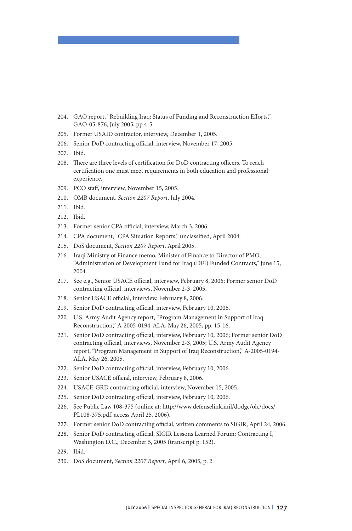- 204. GAO report, "Rebuilding Iraq: Status of Funding and Reconstruction Efforts," GAO-05-876, July 2005, pp.4-5.
- 205. Former USAID contractor, interview, December 1, 2005.
- 206. Senior DoD contracting official, interview, November 17, 2005.
- 207. Ibid.
- 208. There are three levels of certification for DoD contracting officers. To reach certification one must meet requirements in both education and professional experience.
- 209. PCO staff, interview, November 15, 2005.
- 210. OMB document, *Section 2207 Report*, July 2004.
- 211. Ibid.
- 212. Ibid.
- 213. Former senior CPA official, interview, March 3, 2006.
- 214. CPA document, "CPA Situation Reports," unclassified, April 2004.
- 215. DoS document, *Section 2207 Report*, April 2005.
- 216. Iraqi Ministry of Finance memo, Minister of Finance to Director of PMO, "Administration of Development Fund for Iraq (DFI) Funded Contracts," June 15, 2004.
- 217. See e.g., Senior USACE official, interview, February 8, 2006; Former senior DoD contracting official, interviews, November 2-3, 2005.
- 218. Senior USACE official, interview, February 8, 2006.
- 219. Senior DoD contracting official, interview, February 10, 2006.
- 220. U.S. Army Audit Agency report, "Program Management in Support of Iraq Reconstruction," A-2005-0194-ALA, May 26, 2005, pp. 15-16.
- 221. Senior DoD contracting official, interview, February 10, 2006; Former senior DoD contracting official, interviews, November 2-3, 2005; U.S. Army Audit Agency report, "Program Management in Support of Iraq Reconstruction," A-2005-0194- ALA, May 26, 2005.
- 222. Senior DoD contracting official, interview, February 10, 2006.
- 223. Senior USACE official, interview, February 8, 2006.
- 224. USACE-GRD contracting official, interview, November 15, 2005.
- 225. Senior DoD contracting official, interview, February 10, 2006.
- 226. See Public Law 108-375 (online at: http://www.defenselink.mil/dodgc/olc/docs/ PL108-375.pdf, access April 25, 2006).
- 227. Former senior DoD contracting official, written comments to SIGIR, April 24, 2006.
- 228. Senior DoD contracting official, SIGIR Lessons Learned Forum: Contracting I, Washington D.C., December 5, 2005 (transcript p. 152).
- 229. Ibid.
- 230. DoS document, *Section 2207 Report*, April 6, 2005, p. 2.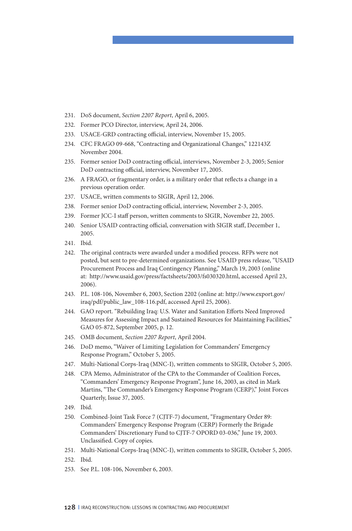- 231. DoS document, *Section 2207 Report*, April 6, 2005.
- 232. Former PCO Director, interview, April 24, 2006.
- 233. USACE-GRD contracting official, interview, November 15, 2005.
- 234. CFC FRAGO 09-668, "Contracting and Organizational Changes," 122143Z November 2004.
- 235. Former senior DoD contracting official, interviews, November 2-3, 2005; Senior DoD contracting official, interview, November 17, 2005.
- 236. A FRAGO, or fragmentary order, is a military order that reflects a change in a previous operation order.
- 237. USACE, written comments to SIGIR, April 12, 2006.
- 238. Former senior DoD contracting official, interview, November 2-3, 2005.
- 239. Former JCC-I staff person, written comments to SIGIR, November 22, 2005.
- 240. Senior USAID contracting official, conversation with SIGIR staff, December 1, 2005.
- 241. Ibid.
- 242. The original contracts were awarded under a modified process. RFPs were not posted, but sent to pre-determined organizations. See USAID press release, "USAID Procurement Process and Iraq Contingency Planning," March 19, 2003 (online at: http://www.usaid.gov/press/factsheets/2003/fs030320.html, accessed April 23, 2006).
- 243. P.L. 108-106, November 6, 2003, Section 2202 (online at: http://www.export.gov/ iraq/pdf/public\_law\_108-116.pdf, accessed April 25, 2006).
- 244. GAO report. "Rebuilding Iraq: U.S. Water and Sanitation Efforts Need Improved Measures for Assessing Impact and Sustained Resources for Maintaining Facilities," GAO 05-872, September 2005, p. 12.
- 245. OMB document, *Section 2207 Report*, April 2004.
- 246. DoD memo, "Waiver of Limiting Legislation for Commanders' Emergency Response Program," October 5, 2005.
- 247. Multi-National Corps-Iraq (MNC-I), written comments to SIGIR, October 5, 2005.
- 248. CPA Memo, Administrator of the CPA to the Commander of Coalition Forces, "Commanders' Emergency Response Program", June 16, 2003, as cited in Mark Martins, "The Commander's Emergency Response Program (CERP)," Joint Forces Quarterly, Issue 37, 2005.
- 249. Ibid.
- 250. Combined-Joint Task Force 7 (CJTF-7) document, "Fragmentary Order 89: Commanders' Emergency Response Program (CERP) Formerly the Brigade Commanders' Discretionary Fund to CJTF-7 OPORD 03-036," June 19, 2003. Unclassified. Copy of copies.
- 251. Multi-National Corps-Iraq (MNC-I), written comments to SIGIR, October 5, 2005.
- 252. Ibid.
- 253. See P.L. 108-106, November 6, 2003.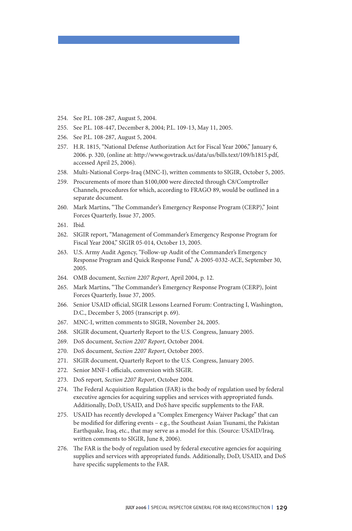- 254. See P.L. 108-287, August 5, 2004.
- 255. See P.L. 108-447, December 8, 2004; P.L. 109-13, May 11, 2005.
- 256. See P.L. 108-287, August 5, 2004.
- 257. H.R. 1815, "National Defense Authorization Act for Fiscal Year 2006," January 6, 2006. p. 320, (online at: http://www.govtrack.us/data/us/bills.text/109/h1815.pdf, accessed April 25, 2006).
- 258. Multi-National Corps-Iraq (MNC-I), written comments to SIGIR, October 5, 2005.
- 259. Procurements of more than \$100,000 were directed through C8/Comptroller Channels, procedures for which, according to FRAGO 89, would be outlined in a separate document.
- 260. Mark Martins, "The Commander's Emergency Response Program (CERP)," Joint Forces Quarterly, Issue 37, 2005.
- 261. Ibid.
- 262. SIGIR report, "Management of Commander's Emergency Response Program for Fiscal Year 2004," SIGIR 05-014, October 13, 2005.
- 263. U.S. Army Audit Agency, "Follow-up Audit of the Commander's Emergency Response Program and Quick Response Fund," A-2005-0332-ACE, September 30, 2005.
- 264. OMB document, *Section 2207 Report*, April 2004, p. 12.
- 265. Mark Martins, "The Commander's Emergency Response Program (CERP), Joint Forces Quarterly, Issue 37, 2005.
- 266. Senior USAID official, SIGIR Lessons Learned Forum: Contracting I, Washington, D.C., December 5, 2005 (transcript p. 69).
- 267. MNC-I, written comments to SIGIR, November 24, 2005.
- 268. SIGIR document, Quarterly Report to the U.S. Congress, January 2005.
- 269. DoS document, *Section 2207 Report*, October 2004.
- 270. DoS document, *Section 2207 Report*, October 2005.
- 271. SIGIR document, Quarterly Report to the U.S. Congress, January 2005.
- 272. Senior MNF-I officials, conversion with SIGIR.
- 273. DoS report, *Section 2207 Report*, October 2004.
- 274. The Federal Acquisition Regulation (FAR) is the body of regulation used by federal executive agencies for acquiring supplies and services with appropriated funds. Additionally, DoD, USAID, and DoS have specific supplements to the FAR.
- 275. USAID has recently developed a "Complex Emergency Waiver Package" that can be modified for differing events – e.g., the Southeast Asian Tsunami, the Pakistan Earthquake, Iraq, etc., that may serve as a model for this. (Source: USAID/Iraq, written comments to SIGIR, June 8, 2006).
- 276. The FAR is the body of regulation used by federal executive agencies for acquiring supplies and services with appropriated funds. Additionally, DoD, USAID, and DoS have specific supplements to the FAR.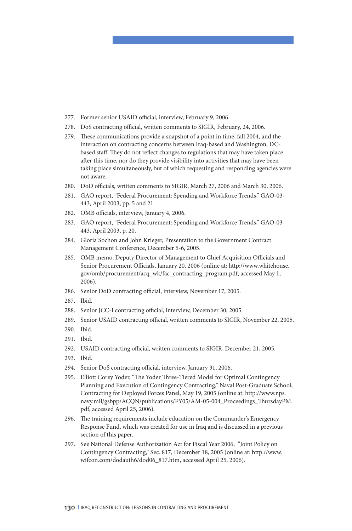- 277. Former senior USAID official, interview, February 9, 2006.
- 278. DoS contracting official, written comments to SIGIR, February, 24, 2006.
- 279. These communications provide a snapshot of a point in time, fall 2004, and the interaction on contracting concerns between Iraq-based and Washington, DCbased staff. They do not reflect changes to regulations that may have taken place after this time, nor do they provide visibility into activities that may have been taking place simultaneously, but of which requesting and responding agencies were not aware.
- 280. DoD officials, written comments to SIGIR, March 27, 2006 and March 30, 2006.
- 281. GAO report, "Federal Procurement: Spending and Workforce Trends," GAO-03- 443, April 2003, pp. 5 and 21.
- 282. OMB officials, interview, January 4, 2006.
- 283. GAO report, "Federal Procurement: Spending and Workforce Trends," GAO-03- 443, April 2003, p. 20.
- 284. Gloria Sochon and John Krieger, Presentation to the Government Contract Management Conference, December 5-6, 2005.
- 285. OMB memo, Deputy Director of Management to Chief Acquisition Officials and Senior Procurement Officials, January 20, 2006 (online at: http://www.whitehouse. gov/omb/procurement/acq\_wk/fac\_contracting\_program.pdf, accessed May 1, 2006).
- 286. Senior DoD contracting official, interview, November 17, 2005.
- 287. Ibid.
- 288. Senior JCC-I contracting official, interview, December 30, 2005.
- 289. Senior USAID contracting official, written comments to SIGIR, November 22, 2005.
- 290. Ibid.
- 291. Ibid.
- 292. USAID contracting official, written comments to SIGIR, December 21, 2005.
- 293. Ibid.
- 294. Senior DoS contracting official, interview, January 31, 2006.
- 295. Elliott Corey Yoder, "The Yoder Three-Tiered Model for Optimal Contingency Planning and Execution of Contingency Contracting," Naval Post-Graduate School, Contracting for Deployed Forces Panel, May 19, 2005 (online at: http://www.nps. navy.mil/gsbpp/ACQN/publications/FY05/AM-05-004\_Proceedings\_ThursdayPM. pdf, accessed April 25, 2006).
- 296. The training requirements include education on the Commander's Emergency Response Fund, which was created for use in Iraq and is discussed in a previous section of this paper.
- 297. See National Defense Authorization Act for Fiscal Year 2006, "Joint Policy on Contingency Contracting," Sec. 817, December 18, 2005 (online at: http://www. wifcon.com/dodauth6/dod06\_817.htm, accessed April 25, 2006).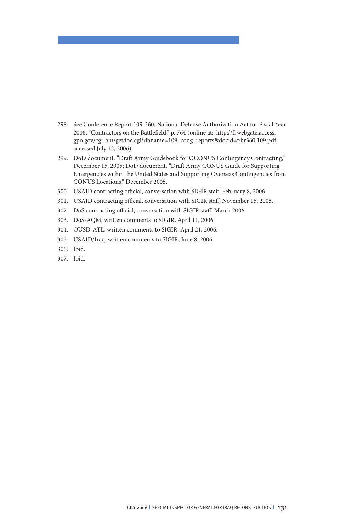- 298. See Conference Report 109-360, National Defense Authorization Act for Fiscal Year 2006, "Contractors on the Battlefield," p. 764 (online at: http://frwebgate.access. gpo.gov/cgi-bin/getdoc.cgi?dbname=109\_cong\_reports&docid=f:hr360.109.pdf, accessed July 12, 2006).
- 299. DoD document, "Draft Army Guidebook for OCONUS Contingency Contracting," December 15, 2005; DoD document, "Draft Army CONUS Guide for Supporting Emergencies within the United States and Supporting Overseas Contingencies from CONUS Locations," December 2005.
- 300. USAID contracting official, conversation with SIGIR staff, February 8, 2006.
- 301. USAID contracting official, conversation with SIGIR staff, November 15, 2005.
- 302. DoS contracting official, conversation with SIGIR staff, March 2006.
- 303. DoS-AQM, written comments to SIGIR, April 11, 2006.
- 304. OUSD-ATL, written comments to SIGIR, April 21, 2006.
- 305. USAID/Iraq, written comments to SIGIR, June 8, 2006.
- 306. Ibid.
- 307. Ibid.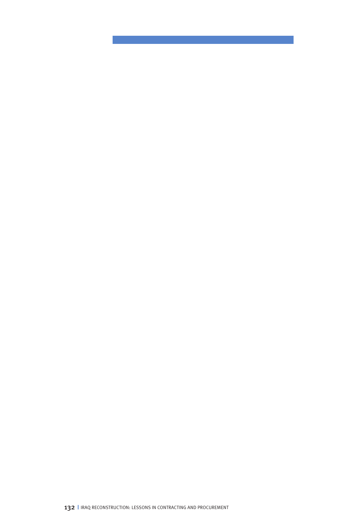132 | IRAQ RECONSTRUCTION: LESSONS IN CONTRACTING AND PROCUREMENT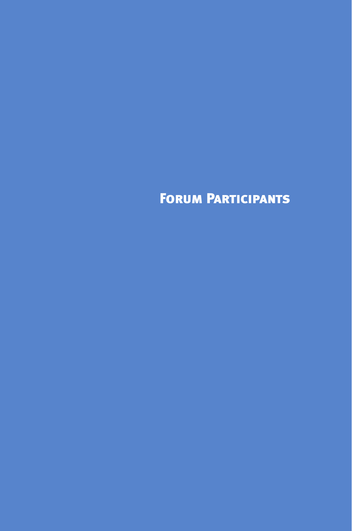Forum Participants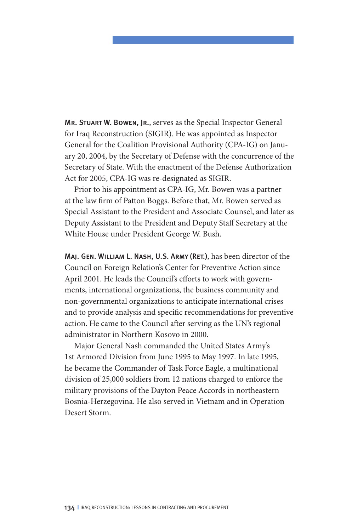MR. STUART W. BOWEN, JR., serves as the Special Inspector General for Iraq Reconstruction (SIGIR). He was appointed as Inspector General for the Coalition Provisional Authority (CPA-IG) on January 20, 2004, by the Secretary of Defense with the concurrence of the Secretary of State. With the enactment of the Defense Authorization Act for 2005, CPA-IG was re-designated as SIGIR.

Prior to his appointment as CPA-IG, Mr. Bowen was a partner at the law firm of Patton Boggs. Before that, Mr. Bowen served as Special Assistant to the President and Associate Counsel, and later as Deputy Assistant to the President and Deputy Staff Secretary at the White House under President George W. Bush.

Maj. Gen. William L. Nash, U.S. Army (Ret.), has been director of the Council on Foreign Relation's Center for Preventive Action since April 2001. He leads the Council's efforts to work with governments, international organizations, the business community and non-governmental organizations to anticipate international crises and to provide analysis and specific recommendations for preventive action. He came to the Council after serving as the UN's regional administrator in Northern Kosovo in 2000.

Major General Nash commanded the United States Army's 1st Armored Division from June 1995 to May 1997. In late 1995, he became the Commander of Task Force Eagle, a multinational division of 25,000 soldiers from 12 nations charged to enforce the military provisions of the Dayton Peace Accords in northeastern Bosnia-Herzegovina. He also served in Vietnam and in Operation Desert Storm.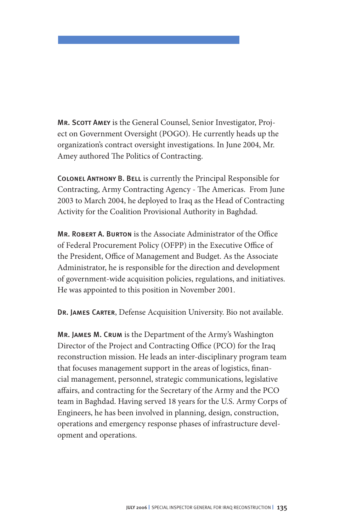MR. SCOTT AMEY is the General Counsel, Senior Investigator, Project on Government Oversight (POGO). He currently heads up the organization's contract oversight investigations. In June 2004, Mr. Amey authored The Politics of Contracting.

Colonel Anthony B. Bell is currently the Principal Responsible for Contracting, Army Contracting Agency - The Americas. From June 2003 to March 2004, he deployed to Iraq as the Head of Contracting Activity for the Coalition Provisional Authority in Baghdad.

Mr. Robert A. Burton is the Associate Administrator of the Office of Federal Procurement Policy (OFPP) in the Executive Office of the President, Office of Management and Budget. As the Associate Administrator, he is responsible for the direction and development of government-wide acquisition policies, regulations, and initiatives. He was appointed to this position in November 2001.

Dr. James Carter, Defense Acquisition University. Bio not available.

Mr. James M. Crum is the Department of the Army's Washington Director of the Project and Contracting Office (PCO) for the Iraq reconstruction mission. He leads an inter-disciplinary program team that focuses management support in the areas of logistics, financial management, personnel, strategic communications, legislative affairs, and contracting for the Secretary of the Army and the PCO team in Baghdad. Having served 18 years for the U.S. Army Corps of Engineers, he has been involved in planning, design, construction, operations and emergency response phases of infrastructure development and operations.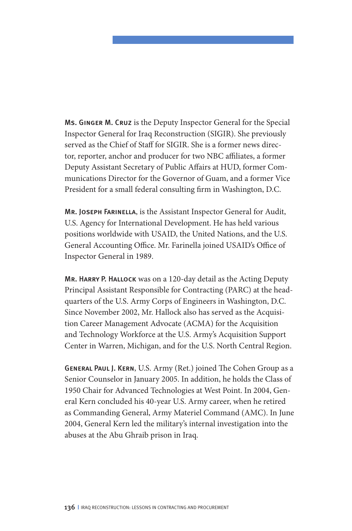Ms. Ginger M. Cruz is the Deputy Inspector General for the Special Inspector General for Iraq Reconstruction (SIGIR). She previously served as the Chief of Staff for SIGIR. She is a former news director, reporter, anchor and producer for two NBC affiliates, a former Deputy Assistant Secretary of Public Affairs at HUD, former Communications Director for the Governor of Guam, and a former Vice President for a small federal consulting firm in Washington, D.C.

Mr. Joseph Farinella, is the Assistant Inspector General for Audit, U.S. Agency for International Development. He has held various positions worldwide with USAID, the United Nations, and the U.S. General Accounting Office. Mr. Farinella joined USAID's Office of Inspector General in 1989.

MR. HARRY P. HALLOCK was on a 120-day detail as the Acting Deputy Principal Assistant Responsible for Contracting (PARC) at the headquarters of the U.S. Army Corps of Engineers in Washington, D.C. Since November 2002, Mr. Hallock also has served as the Acquisition Career Management Advocate (ACMA) for the Acquisition and Technology Workforce at the U.S. Army's Acquisition Support Center in Warren, Michigan, and for the U.S. North Central Region.

General Paul J. Kern, U.S. Army (Ret.) joined The Cohen Group as a Senior Counselor in January 2005. In addition, he holds the Class of 1950 Chair for Advanced Technologies at West Point. In 2004, General Kern concluded his 40-year U.S. Army career, when he retired as Commanding General, Army Materiel Command (AMC). In June 2004, General Kern led the military's internal investigation into the abuses at the Abu Ghraib prison in Iraq.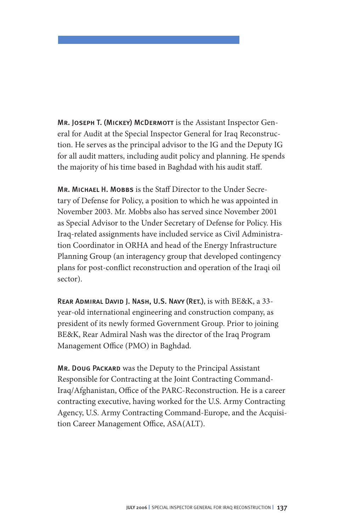MR. JOSEPH T. (MICKEY) MCDERMOTT is the Assistant Inspector General for Audit at the Special Inspector General for Iraq Reconstruction. He serves as the principal advisor to the IG and the Deputy IG for all audit matters, including audit policy and planning. He spends the majority of his time based in Baghdad with his audit staff.

Mr. Michael H. Mobbs is the Staff Director to the Under Secretary of Defense for Policy, a position to which he was appointed in November 2003. Mr. Mobbs also has served since November 2001 as Special Advisor to the Under Secretary of Defense for Policy. His Iraq-related assignments have included service as Civil Administration Coordinator in ORHA and head of the Energy Infrastructure Planning Group (an interagency group that developed contingency plans for post-conflict reconstruction and operation of the Iraqi oil sector).

Rear Admiral David J. Nash, U.S. Navy (Ret.), is with BE&K, a 33 year-old international engineering and construction company, as president of its newly formed Government Group. Prior to joining BE&K, Rear Admiral Nash was the director of the Iraq Program Management Office (PMO) in Baghdad.

Mr. Doug Packard was the Deputy to the Principal Assistant Responsible for Contracting at the Joint Contracting Command-Iraq/Afghanistan, Office of the PARC-Reconstruction. He is a career contracting executive, having worked for the U.S. Army Contracting Agency, U.S. Army Contracting Command-Europe, and the Acquisition Career Management Office, ASA(ALT).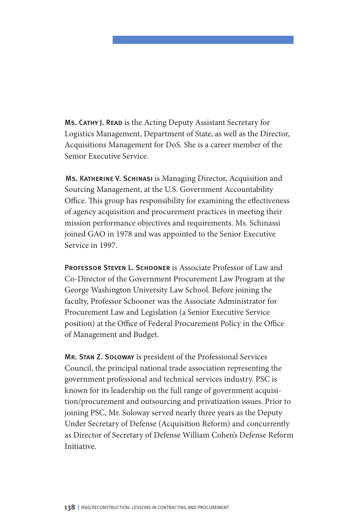Ms. Cathy J. Read is the Acting Deputy Assistant Secretary for Logistics Management, Department of State, as well as the Director, Acquisitions Management for DoS. She is a career member of the Senior Executive Service.

Ms. Katherine V. Schinasi is Managing Director, Acquisition and Sourcing Management, at the U.S. Government Accountability Office. This group has responsibility for examining the effectiveness of agency acquisition and procurement practices in meeting their mission performance objectives and requirements. Ms. Schinassi joined GAO in 1978 and was appointed to the Senior Executive Service in 1997.

Professor Steven L. Schooner is Associate Professor of Law and Co-Director of the Government Procurement Law Program at the George Washington University Law School. Before joining the faculty, Professor Schooner was the Associate Administrator for Procurement Law and Legislation (a Senior Executive Service position) at the Office of Federal Procurement Policy in the Office of Management and Budget.

Mr. Stan Z. Soloway is president of the Professional Services Council, the principal national trade association representing the government professional and technical services industry. PSC is known for its leadership on the full range of government acquisition/procurement and outsourcing and privatization issues. Prior to joining PSC, Mr. Soloway served nearly three years as the Deputy Under Secretary of Defense (Acquisition Reform) and concurrently as Director of Secretary of Defense William Cohen's Defense Reform Initiative.